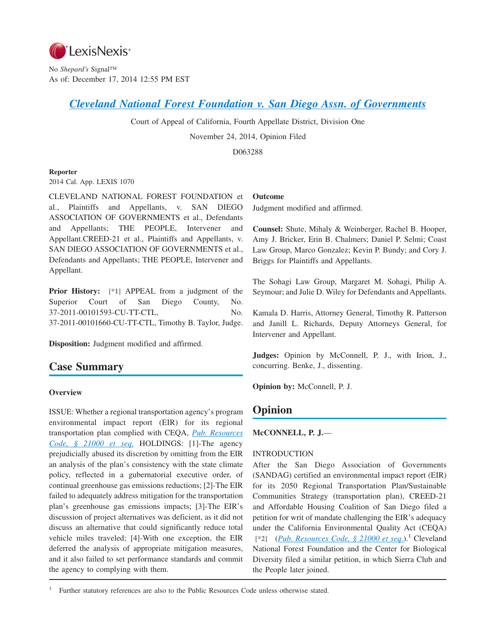

No *Shepard's* Signal™ As of: December 17, 2014 12:55 PM EST

# *[Cleveland National Forest Foundation v. San Diego Assn. of Governments](http://advance.lexis.com/api/document?collection=cases&id=urn:contentItem:5DNV-KFT1-F04B-N0WJ-00000-00&context=1000516)*

Court of Appeal of California, Fourth Appellate District, Division One

November 24, 2014, Opinion Filed

D063288

## **Reporter**

2014 Cal. App. LEXIS 1070

CLEVELAND NATIONAL FOREST FOUNDATION et al., Plaintiffs and Appellants, v. SAN DIEGO ASSOCIATION OF GOVERNMENTS et al., Defendants and Appellants; THE PEOPLE, Intervener and Appellant.CREED-21 et al., Plaintiffs and Appellants, v. SAN DIEGO ASSOCIATION OF GOVERNMENTS et al., Defendants and Appellants; THE PEOPLE, Intervener and Appellant.

**Prior History: [\*1]** APPEAL from a judgment of the Superior Court of San Diego County, No. 37-2011-00101593-CU-TT-CTL, No. 37-2011-00101660-CU-TT-CTL, Timothy B. Taylor, Judge.

**Disposition:** Judgment modified and affirmed.

# **Case Summary**

## **Overview**

ISSUE: Whether a regional transportation agency's program environmental impact report (EIR) for its regional transportation plan complied with CEQA, *[Pub. Resources](http://advance.lexis.com/api/document?collection=statutes-legislation&id=urn:contentItem:4WN4-1BN0-R03K-G176-00000-00&context=1000516) [Code, § 21000 et seq.](http://advance.lexis.com/api/document?collection=statutes-legislation&id=urn:contentItem:4WN4-1BN0-R03K-G176-00000-00&context=1000516)* HOLDINGS: [1]-The agency prejudicially abused its discretion by omitting from the EIR an analysis of the plan's consistency with the state climate policy, reflected in a gubernatorial executive order, of continual greenhouse gas emissions reductions; [2]-The EIR failed to adequately address mitigation for the transportation plan's greenhouse gas emissions impacts; [3]-The EIR's discussion of project alternatives was deficient, as it did not discuss an alternative that could significantly reduce total vehicle miles traveled; [4]-With one exception, the EIR deferred the analysis of appropriate mitigation measures, and it also failed to set performance standards and commit the agency to complying with them.

#### **Outcome**

Judgment modified and affirmed.

**Counsel:** Shute, Mihaly & Weinberger, Rachel B. Hooper, Amy J. Bricker, Erin B. Chalmers; Daniel P. Selmi; Coast Law Group, Marco Gonzalez; Kevin P. Bundy; and Cory J. Briggs for Plaintiffs and Appellants.

The Sohagi Law Group, Margaret M. Sohagi, Philip A. Seymour; and Julie D. Wiley for Defendants and Appellants.

Kamala D. Harris, Attorney General, Timothy R. Patterson and Janill L. Richards, Deputy Attorneys General, for Intervener and Appellant.

**Judges:** Opinion by McConnell, P. J., with Irion, J., concurring. Benke, J., dissenting.

**Opinion by:** McConnell, P. J.

# **Opinion**

#### **McCONNELL, P. J.**—

#### INTRODUCTION

After the San Diego Association of Governments (SANDAG) certified an environmental impact report (EIR) for its 2050 Regional Transportation Plan/Sustainable Communities Strategy (transportation plan), CREED-21 and Affordable Housing Coalition of San Diego filed a petition for writ of mandate challenging the EIR's adequacy under the California Environmental Quality Act (CEQA) [\*2] (*[Pub. Resources Code, § 21000 et seq.](http://advance.lexis.com/api/document?collection=statutes-legislation&id=urn:contentItem:4WN4-1BN0-R03K-G176-00000-00&context=1000516)*).<sup>1</sup> Cleveland National Forest Foundation and the Center for Biological Diversity filed a similar petition, in which Sierra Club and the People later joined.

1 Further statutory references are also to the Public Resources Code unless otherwise stated.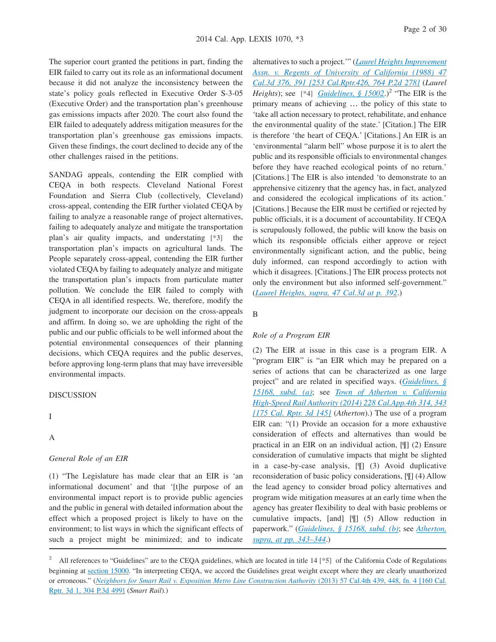The superior court granted the petitions in part, finding the EIR failed to carry out its role as an informational document because it did not analyze the inconsistency between the state's policy goals reflected in Executive Order S-3-05 (Executive Order) and the transportation plan's greenhouse gas emissions impacts after 2020. The court also found the EIR failed to adequately address mitigation measures for the transportation plan's greenhouse gas emissions impacts. Given these findings, the court declined to decide any of the other challenges raised in the petitions.

SANDAG appeals, contending the EIR complied with CEQA in both respects. Cleveland National Forest Foundation and Sierra Club (collectively, Cleveland) cross-appeal, contending the EIR further violated CEQA by failing to analyze a reasonable range of project alternatives, failing to adequately analyze and mitigate the transportation plan's air quality impacts, and understating **[\*3]** the transportation plan's impacts on agricultural lands. The People separately cross-appeal, contending the EIR further violated CEQA by failing to adequately analyze and mitigate the transportation plan's impacts from particulate matter pollution. We conclude the EIR failed to comply with CEQA in all identified respects. We, therefore, modify the judgment to incorporate our decision on the cross-appeals and affirm. In doing so, we are upholding the right of the public and our public officials to be well informed about the potential environmental consequences of their planning decisions, which CEQA requires and the public deserves, before approving long-term plans that may have irreversible environmental impacts.

DISCUSSION

# I

## A

#### *General Role of an EIR*

(1) "The Legislature has made clear that an EIR is 'an informational document' and that '[t]he purpose of an environmental impact report is to provide public agencies and the public in general with detailed information about the effect which a proposed project is likely to have on the environment; to list ways in which the significant effects of such a project might be minimized; and to indicate

alternatives to such a project.'" (*[Laurel Heights Improvement](http://advance.lexis.com/api/document?collection=cases&id=urn:contentItem:3RX4-CFC0-003D-J4J6-00000-00&context=1000516) [Assn. v. Regents of University of California \(1988\) 47](http://advance.lexis.com/api/document?collection=cases&id=urn:contentItem:3RX4-CFC0-003D-J4J6-00000-00&context=1000516) [Cal.3d 376, 391 \[253 Cal.Rptr.426, 764 P.2d 278\]](http://advance.lexis.com/api/document?collection=cases&id=urn:contentItem:3RX4-CFC0-003D-J4J6-00000-00&context=1000516)* (*Laurel Heights*); see [\*4] *[Guidelines, § 15002](http://advance.lexis.com/api/document?collection=administrative-codes&id=urn:contentItem:5381-TN70-0012-J526-00000-00&context=1000516)*.)<sup>2</sup> "The EIR is the primary means of achieving … the policy of this state to 'take all action necessary to protect, rehabilitate, and enhance the environmental quality of the state.' [Citation.] The EIR is therefore 'the heart of CEQA.' [Citations.] An EIR is an 'environmental "alarm bell" whose purpose it is to alert the public and its responsible officials to environmental changes before they have reached ecological points of no return.' [Citations.] The EIR is also intended 'to demonstrate to an apprehensive citizenry that the agency has, in fact, analyzed and considered the ecological implications of its action.' [Citations.] Because the EIR must be certified or rejected by public officials, it is a document of accountability. If CEQA is scrupulously followed, the public will know the basis on which its responsible officials either approve or reject environmentally significant action, and the public, being duly informed, can respond accordingly to action with which it disagrees. [Citations.] The EIR process protects not only the environment but also informed self-government." (*[Laurel Heights, supra, 47 Cal.3d at p. 392](http://advance.lexis.com/api/document?collection=cases&id=urn:contentItem:3RX4-CFC0-003D-J4J6-00000-00&context=1000516)*.)

#### B

#### *Role of a Program EIR*

(2) The EIR at issue in this case is a program EIR. A "program EIR" is "an EIR which may be prepared on a series of actions that can be characterized as one large project" and are related in specified ways. (*[Guidelines, §](http://advance.lexis.com/api/document?collection=administrative-codes&id=urn:contentItem:5381-TNC0-0012-J001-00000-00&context=1000516) [15168, subd. \(a\)](http://advance.lexis.com/api/document?collection=administrative-codes&id=urn:contentItem:5381-TNC0-0012-J001-00000-00&context=1000516)*; see *[Town of Atherton v. California](http://advance.lexis.com/api/document?collection=cases&id=urn:contentItem:5CRM-5V71-F04B-N094-00000-00&context=1000516) [High-Speed Rail Authority \(2014\) 228 Cal.App.4th 314, 343](http://advance.lexis.com/api/document?collection=cases&id=urn:contentItem:5CRM-5V71-F04B-N094-00000-00&context=1000516) [\[175 Cal. Rptr. 3d 145\]](http://advance.lexis.com/api/document?collection=cases&id=urn:contentItem:5CRM-5V71-F04B-N094-00000-00&context=1000516)* (*Atherton*).) The use of a program EIR can: "(1) Provide an occasion for a more exhaustive consideration of effects and alternatives than would be practical in an EIR on an individual action, [¶] (2) Ensure consideration of cumulative impacts that might be slighted in a case-by-case analysis, [¶] (3) Avoid duplicative reconsideration of basic policy considerations, [¶] (4) Allow the lead agency to consider broad policy alternatives and program wide mitigation measures at an early time when the agency has greater flexibility to deal with basic problems or cumulative impacts, [and] [¶] (5) Allow reduction in paperwork." (*[Guidelines, § 15168, subd. \(b\)](http://advance.lexis.com/api/document?collection=administrative-codes&id=urn:contentItem:5381-TNC0-0012-J001-00000-00&context=1000516)*; see *[Atherton,](http://advance.lexis.com/api/document?collection=cases&id=urn:contentItem:5CRM-5V71-F04B-N094-00000-00&context=1000516) [supra, at pp. 343–344](http://advance.lexis.com/api/document?collection=cases&id=urn:contentItem:5CRM-5V71-F04B-N094-00000-00&context=1000516)*.)

<sup>&</sup>lt;sup>2</sup> All references to "Guidelines" are to the CEQA guidelines, which are located in title 14 [\*5] of the California Code of Regulations beginning at [section 15000.](http://advance.lexis.com/api/document?collection=administrative-codes&id=urn:contentItem:5381-TN70-0012-J524-00000-00&context=1000516) "In interpreting CEQA, we accord the Guidelines great weight except where they are clearly unauthorized or erroneous." (*[Neighbors for Smart Rail v. Exposition Metro Line Construction Authority](http://advance.lexis.com/api/document?collection=cases&id=urn:contentItem:592B-3NT1-F04B-P001-00000-00&context=1000516)* (2013) 57 Cal.4th 439, 448, fn. 4 [160 Cal. [Rptr. 3d 1, 304 P.3d 499\]](http://advance.lexis.com/api/document?collection=cases&id=urn:contentItem:592B-3NT1-F04B-P001-00000-00&context=1000516) (*Smart Rail*).)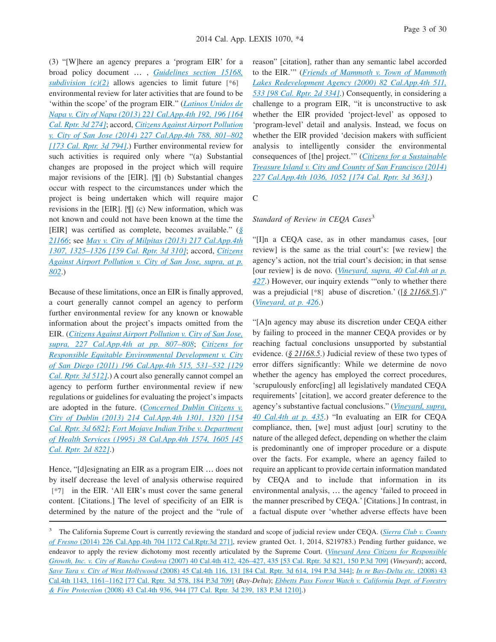(3) "[W]here an agency prepares a 'program EIR' for a broad policy document … , *[Guidelines section 15168,](http://advance.lexis.com/api/document?collection=administrative-codes&id=urn:contentItem:5381-TNC0-0012-J001-00000-00&context=1000516) [subdivision \(c\)\(2\)](http://advance.lexis.com/api/document?collection=administrative-codes&id=urn:contentItem:5381-TNC0-0012-J001-00000-00&context=1000516)* allows agencies to limit future **[\*6]** environmental review for later activities that are found to be 'within the scope' of the program EIR." (*[Latinos Unidos de](http://advance.lexis.com/api/document?collection=cases&id=urn:contentItem:59S0-BYW1-F04B-N0NG-00000-00&context=1000516) [Napa v. City of Napa \(2013\) 221 Cal.App.4th 192, 196 \[164](http://advance.lexis.com/api/document?collection=cases&id=urn:contentItem:59S0-BYW1-F04B-N0NG-00000-00&context=1000516) [Cal. Rptr. 3d 274\]](http://advance.lexis.com/api/document?collection=cases&id=urn:contentItem:59S0-BYW1-F04B-N0NG-00000-00&context=1000516)*; accord, *[Citizens Against Airport Pollution](http://advance.lexis.com/api/document?collection=cases&id=urn:contentItem:5CJY-DBC1-F04B-N034-00000-00&context=1000516) [v. City of San Jose \(2014\) 227 Cal.App.4th 788, 801–802](http://advance.lexis.com/api/document?collection=cases&id=urn:contentItem:5CJY-DBC1-F04B-N034-00000-00&context=1000516) [\[173 Cal. Rptr. 3d 794\]](http://advance.lexis.com/api/document?collection=cases&id=urn:contentItem:5CJY-DBC1-F04B-N034-00000-00&context=1000516)*.) Further environmental review for such activities is required only where "(a) Substantial changes are proposed in the project which will require major revisions of the [EIR]. [¶] (b) Substantial changes occur with respect to the circumstances under which the project is being undertaken which will require major revisions in the [EIR]. [¶] (c) New information, which was not known and could not have been known at the time the [EIR] was certified as complete, becomes available." (*[§](http://advance.lexis.com/api/document?collection=statutes-legislation&id=urn:contentItem:4WN4-1PW0-R03K-K1G6-00000-00&context=1000516) [21166](http://advance.lexis.com/api/document?collection=statutes-legislation&id=urn:contentItem:4WN4-1PW0-R03K-K1G6-00000-00&context=1000516)*; see *[May v. City of Milpitas \(2013\) 217 Cal.App.4th](http://advance.lexis.com/api/document?collection=cases&id=urn:contentItem:58X3-9831-F04B-N064-00000-00&context=1000516) [1307, 1325–1326 \[159 Cal. Rptr. 3d 310\]](http://advance.lexis.com/api/document?collection=cases&id=urn:contentItem:58X3-9831-F04B-N064-00000-00&context=1000516)*; accord, *[Citizens](http://advance.lexis.com/api/document?collection=cases&id=urn:contentItem:5CJY-DBC1-F04B-N034-00000-00&context=1000516) [Against Airport Pollution v. City of San Jose, supra, at p.](http://advance.lexis.com/api/document?collection=cases&id=urn:contentItem:5CJY-DBC1-F04B-N034-00000-00&context=1000516) [802](http://advance.lexis.com/api/document?collection=cases&id=urn:contentItem:5CJY-DBC1-F04B-N034-00000-00&context=1000516)*.)

Because of these limitations, once an EIR is finally approved, a court generally cannot compel an agency to perform further environmental review for any known or knowable information about the project's impacts omitted from the EIR. (*[Citizens Against Airport Pollution v. City of San Jose,](http://advance.lexis.com/api/document?collection=cases&id=urn:contentItem:5CJY-DBC1-F04B-N034-00000-00&context=1000516) [supra, 227 Cal.App.4th at pp. 807–808](http://advance.lexis.com/api/document?collection=cases&id=urn:contentItem:5CJY-DBC1-F04B-N034-00000-00&context=1000516)*; *[Citizens for](http://advance.lexis.com/api/document?collection=cases&id=urn:contentItem:532H-BHG1-F04B-N3MF-00000-00&context=1000516) [Responsible Equitable Environmental Development v. City](http://advance.lexis.com/api/document?collection=cases&id=urn:contentItem:532H-BHG1-F04B-N3MF-00000-00&context=1000516) [of San Diego \(2011\) 196 Cal.App.4th 515, 531–532 \[129](http://advance.lexis.com/api/document?collection=cases&id=urn:contentItem:532H-BHG1-F04B-N3MF-00000-00&context=1000516) [Cal. Rptr. 3d 512\]](http://advance.lexis.com/api/document?collection=cases&id=urn:contentItem:532H-BHG1-F04B-N3MF-00000-00&context=1000516)*.) A court also generally cannot compel an agency to perform further environmental review if new regulations or guidelines for evaluating the project's impacts are adopted in the future. (*[Concerned Dublin Citizens v.](http://advance.lexis.com/api/document?collection=cases&id=urn:contentItem:582K-WSC1-F04B-N0GT-00000-00&context=1000516) [City of Dublin \(2013\) 214 Cal.App.4th 1301, 1320 \[154](http://advance.lexis.com/api/document?collection=cases&id=urn:contentItem:582K-WSC1-F04B-N0GT-00000-00&context=1000516) [Cal. Rptr. 3d 682\]](http://advance.lexis.com/api/document?collection=cases&id=urn:contentItem:582K-WSC1-F04B-N0GT-00000-00&context=1000516)*; *[Fort Mojave Indian Tribe v. Department](http://advance.lexis.com/api/document?collection=cases&id=urn:contentItem:3RX6-FJ10-003D-J41Y-00000-00&context=1000516) [of Health Services \(1995\) 38 Cal.App.4th 1574, 1605 \[45](http://advance.lexis.com/api/document?collection=cases&id=urn:contentItem:3RX6-FJ10-003D-J41Y-00000-00&context=1000516) [Cal. Rptr. 2d 822\]](http://advance.lexis.com/api/document?collection=cases&id=urn:contentItem:3RX6-FJ10-003D-J41Y-00000-00&context=1000516)*.)

Hence, "[d]esignating an EIR as a program EIR … does not by itself decrease the level of analysis otherwise required **[\*7]** in the EIR. 'All EIR's must cover the same general content. [Citations.] The level of specificity of an EIR is determined by the nature of the project and the "rule of reason" [citation], rather than any semantic label accorded to the EIR.'" (*[Friends of Mammoth v. Town of Mammoth](http://advance.lexis.com/api/document?collection=cases&id=urn:contentItem:40SN-Y720-0039-41GY-00000-00&context=1000516) [Lakes Redevelopment Agency \(2000\) 82 Cal.App.4th 511,](http://advance.lexis.com/api/document?collection=cases&id=urn:contentItem:40SN-Y720-0039-41GY-00000-00&context=1000516) [533 \[98 Cal. Rptr. 2d 334\]](http://advance.lexis.com/api/document?collection=cases&id=urn:contentItem:40SN-Y720-0039-41GY-00000-00&context=1000516)*.) Consequently, in considering a challenge to a program EIR, "it is unconstructive to ask whether the EIR provided 'project-level' as opposed to 'program-level' detail and analysis. Instead, we focus on whether the EIR provided 'decision makers with sufficient analysis to intelligently consider the environmental consequences of [the] project.'" (*[Citizens for a Sustainable](http://advance.lexis.com/api/document?collection=cases&id=urn:contentItem:5CM6-2V41-F04B-N045-00000-00&context=1000516) [Treasure Island v. City and County of San Francisco \(2014\)](http://advance.lexis.com/api/document?collection=cases&id=urn:contentItem:5CM6-2V41-F04B-N045-00000-00&context=1000516) [227 Cal.App.4th 1036, 1052 \[174 Cal. Rptr. 3d 363\]](http://advance.lexis.com/api/document?collection=cases&id=urn:contentItem:5CM6-2V41-F04B-N045-00000-00&context=1000516)*.)

C

#### *Standard of Review in CEQA Cases*<sup>3</sup>

"[I]n a CEQA case, as in other mandamus cases, [our review] is the same as the trial court's: [we review] the agency's action, not the trial court's decision; in that sense [our review] is de novo. (*[Vineyard, supra, 40 Cal.4th at p.](http://advance.lexis.com/api/document?collection=cases&id=urn:contentItem:4MYG-C580-0039-40F2-00000-00&context=1000516) [427](http://advance.lexis.com/api/document?collection=cases&id=urn:contentItem:4MYG-C580-0039-40F2-00000-00&context=1000516)*.) However, our inquiry extends '"only to whether there was a prejudicial **[\*8]** abuse of discretion.' ([*§ 21168.5*].)" (*[Vineyard, at p. 426](http://advance.lexis.com/api/document?collection=cases&id=urn:contentItem:4MYG-C580-0039-40F2-00000-00&context=1000516)*.)

"[A]n agency may abuse its discretion under CEQA either by failing to proceed in the manner CEQA provides or by reaching factual conclusions unsupported by substantial evidence. (*§ 21168.5*.) Judicial review of these two types of error differs significantly: While we determine de novo whether the agency has employed the correct procedures, 'scrupulously enforc[ing] all legislatively mandated CEQA requirements' [citation], we accord greater deference to the agency's substantive factual conclusions." (*[Vineyard, supra,](http://advance.lexis.com/api/document?collection=cases&id=urn:contentItem:4MYG-C580-0039-40F2-00000-00&context=1000516) [40 Cal.4th at p. 435](http://advance.lexis.com/api/document?collection=cases&id=urn:contentItem:4MYG-C580-0039-40F2-00000-00&context=1000516)*.) "In evaluating an EIR for CEQA compliance, then, [we] must adjust [our] scrutiny to the nature of the alleged defect, depending on whether the claim is predominantly one of improper procedure or a dispute over the facts. For example, where an agency failed to require an applicant to provide certain information mandated by CEQA and to include that information in its environmental analysis, … the agency 'failed to proceed in the manner prescribed by CEQA.' [Citations.] In contrast, in a factual dispute over 'whether adverse effects have been

<sup>&</sup>lt;sup>3</sup> The California Supreme Court is currently reviewing the standard and scope of judicial review under CEQA. (*[Sierra Club v. County](http://advance.lexis.com/api/document?collection=cases&id=urn:contentItem:5C98-FNM1-F04B-N01F-00000-00&context=1000516) of Fresno* [\(2014\) 226 Cal.App.4th 704 \[172 Cal.Rptr.3d 271\],](http://advance.lexis.com/api/document?collection=cases&id=urn:contentItem:5C98-FNM1-F04B-N01F-00000-00&context=1000516) review granted Oct. 1, 2014, S219783.) Pending further guidance, we endeavor to apply the review dichotomy most recently articulated by the Supreme Court. (*[Vineyard Area Citizens for Responsible](http://advance.lexis.com/api/document?collection=cases&id=urn:contentItem:4MYG-C580-0039-40F2-00000-00&context=1000516) Growth, Inc. v. City of Rancho Cordova* [\(2007\) 40 Cal.4th 412, 426–427, 435 \[53 Cal. Rptr. 3d 821, 150 P.3d 709\]](http://advance.lexis.com/api/document?collection=cases&id=urn:contentItem:4MYG-C580-0039-40F2-00000-00&context=1000516) (*Vineyard*); accord, *Save Tara v. City of West Hollywood* [\(2008\) 45 Cal.4th 116, 131 \[84 Cal. Rptr. 3d 614, 194 P.3d 344\];](http://advance.lexis.com/api/document?collection=cases&id=urn:contentItem:4TT9-5810-TXFN-8216-00000-00&context=1000516) *[In re Bay-Delta etc.](http://advance.lexis.com/api/document?collection=cases&id=urn:contentItem:4SP4-6FT0-TX4N-G17X-00000-00&context=1000516)* (2008) 43 [Cal.4th 1143, 1161–1162 \[77 Cal. Rptr. 3d 578, 184 P.3d 709\]](http://advance.lexis.com/api/document?collection=cases&id=urn:contentItem:4SP4-6FT0-TX4N-G17X-00000-00&context=1000516) (*Bay-Delta*); *[Ebbetts Pass Forest Watch v. California Dept. of Forestry](http://advance.lexis.com/api/document?collection=cases&id=urn:contentItem:4SK2-TY00-TXFN-826K-00000-00&context=1000516) & Fire Protection* [\(2008\) 43 Cal.4th 936, 944 \[77 Cal. Rptr. 3d 239, 183 P.3d 1210\].](http://advance.lexis.com/api/document?collection=cases&id=urn:contentItem:4SK2-TY00-TXFN-826K-00000-00&context=1000516))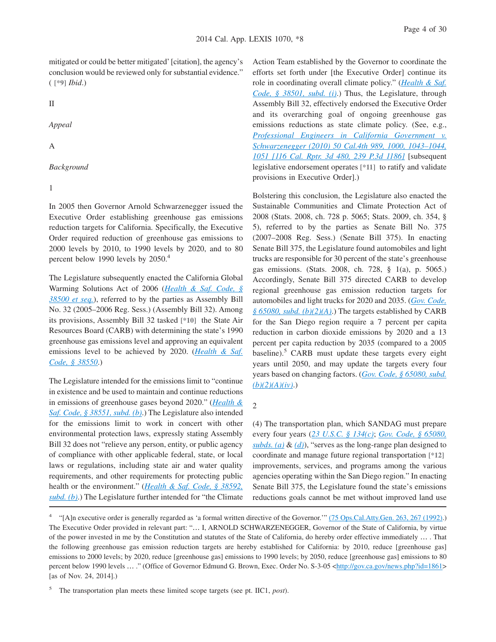mitigated or could be better mitigated' [citation], the agency's conclusion would be reviewed only for substantial evidence." ( **[\*9]** *Ibid*.)

II

*Appeal*

A

#### *Background*

1

In 2005 then Governor Arnold Schwarzenegger issued the Executive Order establishing greenhouse gas emissions reduction targets for California. Specifically, the Executive Order required reduction of greenhouse gas emissions to 2000 levels by 2010, to 1990 levels by 2020, and to 80 percent below 1990 levels by 2050.<sup>4</sup>

The Legislature subsequently enacted the California Global Warming Solutions Act of 2006 (*[Health & Saf. Code, §](http://advance.lexis.com/api/document?collection=statutes-legislation&id=urn:contentItem:4WK4-7CV0-R03K-N0P5-00000-00&context=1000516) [38500 et seq.](http://advance.lexis.com/api/document?collection=statutes-legislation&id=urn:contentItem:4WK4-7CV0-R03K-N0P5-00000-00&context=1000516)*), referred to by the parties as Assembly Bill No. 32 (2005–2006 Reg. Sess.) (Assembly Bill 32). Among its provisions, Assembly Bill 32 tasked **[\*10]** the State Air Resources Board (CARB) with determining the state's 1990 greenhouse gas emissions level and approving an equivalent emissions level to be achieved by 2020. (*[Health & Saf.](http://advance.lexis.com/api/document?collection=statutes-legislation&id=urn:contentItem:4WK4-7CV0-R03K-N0PB-00000-00&context=1000516) [Code, § 38550](http://advance.lexis.com/api/document?collection=statutes-legislation&id=urn:contentItem:4WK4-7CV0-R03K-N0PB-00000-00&context=1000516)*.)

The Legislature intended for the emissions limit to "continue in existence and be used to maintain and continue reductions in emissions of greenhouse gases beyond 2020." (*[Health &](http://advance.lexis.com/api/document?collection=statutes-legislation&id=urn:contentItem:4WK4-7CV0-R03K-N0PC-00000-00&context=1000516) [Saf. Code, § 38551, subd. \(b\)](http://advance.lexis.com/api/document?collection=statutes-legislation&id=urn:contentItem:4WK4-7CV0-R03K-N0PC-00000-00&context=1000516)*.) The Legislature also intended for the emissions limit to work in concert with other environmental protection laws, expressly stating Assembly Bill 32 does not "relieve any person, entity, or public agency of compliance with other applicable federal, state, or local laws or regulations, including state air and water quality requirements, and other requirements for protecting public health or the environment." (*[Health & Saf. Code, § 38592,](http://advance.lexis.com/api/document?collection=statutes-legislation&id=urn:contentItem:4WK4-7CV0-R03K-N0PW-00000-00&context=1000516) [subd. \(b\)](http://advance.lexis.com/api/document?collection=statutes-legislation&id=urn:contentItem:4WK4-7CV0-R03K-N0PW-00000-00&context=1000516)*.) The Legislature further intended for "the Climate

Action Team established by the Governor to coordinate the efforts set forth under [the Executive Order] continue its role in coordinating overall climate policy." (*[Health & Saf.](http://advance.lexis.com/api/document?collection=statutes-legislation&id=urn:contentItem:4WK4-7CV0-R03K-N0P6-00000-00&context=1000516) [Code, § 38501, subd. \(i\)](http://advance.lexis.com/api/document?collection=statutes-legislation&id=urn:contentItem:4WK4-7CV0-R03K-N0P6-00000-00&context=1000516)*.) Thus, the Legislature, through Assembly Bill 32, effectively endorsed the Executive Order and its overarching goal of ongoing greenhouse gas emissions reductions as state climate policy. (See, e.g., *[Professional Engineers in California Government v.](http://advance.lexis.com/api/document?collection=cases&id=urn:contentItem:515D-9D41-F04B-P002-00000-00&context=1000516) [Schwarzenegger \(2010\) 50 Cal.4th 989, 1000, 1043–1044,](http://advance.lexis.com/api/document?collection=cases&id=urn:contentItem:515D-9D41-F04B-P002-00000-00&context=1000516) [1051 \[116 Cal. Rptr. 3d 480, 239 P.3d 1186\]](http://advance.lexis.com/api/document?collection=cases&id=urn:contentItem:515D-9D41-F04B-P002-00000-00&context=1000516)* [subsequent legislative endorsement operates **[\*11]** to ratify and validate provisions in Executive Order].)

Bolstering this conclusion, the Legislature also enacted the Sustainable Communities and Climate Protection Act of 2008 (Stats. 2008, ch. 728 p. 5065; Stats. 2009, ch. 354, § 5), referred to by the parties as Senate Bill No. 375 (2007–2008 Reg. Sess.) (Senate Bill 375). In enacting Senate Bill 375, the Legislature found automobiles and light trucks are responsible for 30 percent of the state's greenhouse gas emissions. (Stats. 2008, ch. 728, § 1(a), p. 5065.) Accordingly, Senate Bill 375 directed CARB to develop regional greenhouse gas emission reduction targets for automobiles and light trucks for 2020 and 2035. (*[Gov. Code,](http://advance.lexis.com/api/document?collection=statutes-legislation&id=urn:contentItem:4WN7-X0P0-R03K-N109-00000-00&context=1000516) [§ 65080, subd. \(b\)\(2\)\(A\)](http://advance.lexis.com/api/document?collection=statutes-legislation&id=urn:contentItem:4WN7-X0P0-R03K-N109-00000-00&context=1000516)*.) The targets established by CARB for the San Diego region require a 7 percent per capita reduction in carbon dioxide emissions by 2020 and a 13 percent per capita reduction by 2035 (compared to a 2005 baseline). $5$  CARB must update these targets every eight years until 2050, and may update the targets every four years based on changing factors. (*[Gov. Code, § 65080, subd.](http://advance.lexis.com/api/document?collection=statutes-legislation&id=urn:contentItem:4WN7-X0P0-R03K-N109-00000-00&context=1000516) [\(b\)\(2\)\(A\)\(iv\)](http://advance.lexis.com/api/document?collection=statutes-legislation&id=urn:contentItem:4WN7-X0P0-R03K-N109-00000-00&context=1000516)*.)

#### 2

(4) The transportation plan, which SANDAG must prepare every four years (*[23 U.S.C. § 134\(c\)](http://advance.lexis.com/api/document?collection=statutes-legislation&id=urn:contentItem:4YF7-GVX1-NRF4-40MC-00000-00&context=1000516)*; *[Gov. Code, § 65080,](http://advance.lexis.com/api/document?collection=statutes-legislation&id=urn:contentItem:4WN7-X0P0-R03K-N109-00000-00&context=1000516) [subds. \(a\)](http://advance.lexis.com/api/document?collection=statutes-legislation&id=urn:contentItem:4WN7-X0P0-R03K-N109-00000-00&context=1000516)* & *[\(d\)](http://advance.lexis.com/api/document?collection=statutes-legislation&id=urn:contentItem:4WN7-X0P0-R03K-N109-00000-00&context=1000516)*), "serves as the long-range plan designed to coordinate and manage future regional transportation **[\*12]** improvements, services, and programs among the various agencies operating within the San Diego region." In enacting Senate Bill 375, the Legislature found the state's emissions reductions goals cannot be met without improved land use

<sup>4</sup> "[A]n executive order is generally regarded as 'a formal written directive of the Governor."" [\(75 Ops.Cal.Atty.Gen. 263, 267 \(1992\).](http://advance.lexis.com/api/document?collection=administrative-materials&id=urn:contentItem:3RJM-WXT0-003Y-Y18H-00000-00&context=1000516)) The Executive Order provided in relevant part: "… I, ARNOLD SCHWARZENEGGER, Governor of the State of California, by virtue of the power invested in me by the Constitution and statutes of the State of California, do hereby order effective immediately … . That the following greenhouse gas emission reduction targets are hereby established for California: by 2010, reduce [greenhouse gas] emissions to 2000 levels; by 2020, reduce [greenhouse gas] emissions to 1990 levels; by 2050, reduce [greenhouse gas] emissions to 80 percent below 1990 levels ... ." (Office of Governor Edmund G. Brown, Exec. Order No. S-3-05 [<http://gov.ca.gov/news.php?id=1861>](http://gov.ca.gov/news.php?id=1861) [as of Nov. 24, 2014].)

5 The transportation plan meets these limited scope targets (see pt. IIC1, *post*).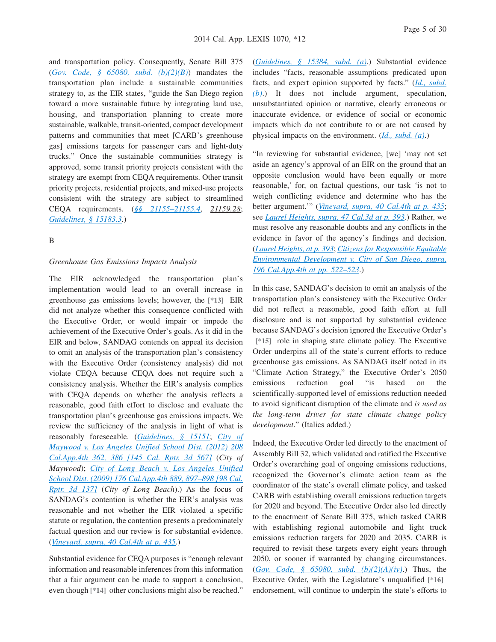and transportation policy. Consequently, Senate Bill 375 (*[Gov. Code, § 65080, subd. \(b\)\(2\)\(B\)](http://advance.lexis.com/api/document?collection=statutes-legislation&id=urn:contentItem:4WN7-X0P0-R03K-N109-00000-00&context=1000516)*) mandates the transportation plan include a sustainable communities strategy to, as the EIR states, "guide the San Diego region toward a more sustainable future by integrating land use, housing, and transportation planning to create more sustainable, walkable, transit-oriented, compact development patterns and communities that meet [CARB's greenhouse gas] emissions targets for passenger cars and light-duty trucks." Once the sustainable communities strategy is approved, some transit priority projects consistent with the strategy are exempt from CEQA requirements. Other transit priority projects, residential projects, and mixed-use projects consistent with the strategy are subject to streamlined CEQA requirements. (*[§§ 21155–21155.4](http://advance.lexis.com/api/document?collection=statutes-legislation&id=urn:contentItem:4WN4-1PW0-R03K-K1F1-00000-00&context=1000516)*, *21159.28*; *[Guidelines, § 15183.3](http://advance.lexis.com/api/document?collection=administrative-codes&id=urn:contentItem:57WR-2980-0012-J005-00000-00&context=1000516)*.)

## B

#### *Greenhouse Gas Emissions Impacts Analysis*

The EIR acknowledged the transportation plan's implementation would lead to an overall increase in greenhouse gas emissions levels; however, the **[\*13]** EIR did not analyze whether this consequence conflicted with the Executive Order, or would impair or impede the achievement of the Executive Order's goals. As it did in the EIR and below, SANDAG contends on appeal its decision to omit an analysis of the transportation plan's consistency with the Executive Order (consistency analysis) did not violate CEQA because CEQA does not require such a consistency analysis. Whether the EIR's analysis complies with CEQA depends on whether the analysis reflects a reasonable, good faith effort to disclose and evaluate the transportation plan's greenhouse gas emissions impacts. We review the sufficiency of the analysis in light of what is reasonably foreseeable. (*[Guidelines, § 15151](http://advance.lexis.com/api/document?collection=administrative-codes&id=urn:contentItem:5381-TNB0-0012-J55T-00000-00&context=1000516)*; *[City of](http://advance.lexis.com/api/document?collection=cases&id=urn:contentItem:56BT-PBP1-F04B-N19T-00000-00&context=1000516) [Maywood v. Los Angeles Unified School Dist. \(2012\) 208](http://advance.lexis.com/api/document?collection=cases&id=urn:contentItem:56BT-PBP1-F04B-N19T-00000-00&context=1000516) [Cal.App.4th 362, 386 \[145 Cal. Rptr. 3d 567\]](http://advance.lexis.com/api/document?collection=cases&id=urn:contentItem:56BT-PBP1-F04B-N19T-00000-00&context=1000516)* (*City of Maywood*); *[City of Long Beach v. Los Angeles Unified](http://advance.lexis.com/api/document?collection=cases&id=urn:contentItem:4X1C-3CY0-TXFN-7377-00000-00&context=1000516) [School Dist. \(2009\) 176 Cal.App.4th 889, 897–898 \[98 Cal.](http://advance.lexis.com/api/document?collection=cases&id=urn:contentItem:4X1C-3CY0-TXFN-7377-00000-00&context=1000516) [Rptr. 3d 137\]](http://advance.lexis.com/api/document?collection=cases&id=urn:contentItem:4X1C-3CY0-TXFN-7377-00000-00&context=1000516)* (*City of Long Beach*).) As the focus of SANDAG's contention is whether the EIR's analysis was reasonable and not whether the EIR violated a specific statute or regulation, the contention presents a predominately factual question and our review is for substantial evidence. (*[Vineyard, supra, 40 Cal.4th at p. 435](http://advance.lexis.com/api/document?collection=cases&id=urn:contentItem:4MYG-C580-0039-40F2-00000-00&context=1000516)*.)

Substantial evidence for CEQA purposes is "enough relevant information and reasonable inferences from this information that a fair argument can be made to support a conclusion, even though **[\*14]** other conclusions might also be reached."

(*[Guidelines, § 15384, subd. \(a\)](http://advance.lexis.com/api/document?collection=administrative-codes&id=urn:contentItem:5381-TND0-0012-J05M-00000-00&context=1000516)*.) Substantial evidence includes "facts, reasonable assumptions predicated upon facts, and expert opinion supported by facts." (*[Id., subd.](http://advance.lexis.com/api/document?collection=administrative-codes&id=urn:contentItem:5381-TND0-0012-J05M-00000-00&context=1000516) [\(b\)](http://advance.lexis.com/api/document?collection=administrative-codes&id=urn:contentItem:5381-TND0-0012-J05M-00000-00&context=1000516)*.) It does not include argument, speculation, unsubstantiated opinion or narrative, clearly erroneous or inaccurate evidence, or evidence of social or economic impacts which do not contribute to or are not caused by physical impacts on the environment. (*[Id., subd. \(a\)](http://advance.lexis.com/api/document?collection=administrative-codes&id=urn:contentItem:5381-TND0-0012-J05M-00000-00&context=1000516)*.)

"In reviewing for substantial evidence, [we] 'may not set aside an agency's approval of an EIR on the ground that an opposite conclusion would have been equally or more reasonable,' for, on factual questions, our task 'is not to weigh conflicting evidence and determine who has the better argument.'" (*[Vineyard, supra, 40 Cal.4th at p. 435](http://advance.lexis.com/api/document?collection=cases&id=urn:contentItem:4MYG-C580-0039-40F2-00000-00&context=1000516)*; see *[Laurel Heights, supra, 47 Cal.3d at p. 393](http://advance.lexis.com/api/document?collection=cases&id=urn:contentItem:3RX4-CFC0-003D-J4J6-00000-00&context=1000516)*.) Rather, we must resolve any reasonable doubts and any conflicts in the evidence in favor of the agency's findings and decision. (*[Laurel Heights, at p. 393](http://advance.lexis.com/api/document?collection=cases&id=urn:contentItem:3RX4-CFC0-003D-J4J6-00000-00&context=1000516)*; *[Citizens for Responsible Equitable](http://advance.lexis.com/api/document?collection=cases&id=urn:contentItem:532H-BHG1-F04B-N3MF-00000-00&context=1000516) [Environmental Development v. City of San Diego, supra,](http://advance.lexis.com/api/document?collection=cases&id=urn:contentItem:532H-BHG1-F04B-N3MF-00000-00&context=1000516) [196 Cal.App.4th at pp. 522–523](http://advance.lexis.com/api/document?collection=cases&id=urn:contentItem:532H-BHG1-F04B-N3MF-00000-00&context=1000516)*.)

In this case, SANDAG's decision to omit an analysis of the transportation plan's consistency with the Executive Order did not reflect a reasonable, good faith effort at full disclosure and is not supported by substantial evidence because SANDAG's decision ignored the Executive Order's **[\*15]** role in shaping state climate policy. The Executive Order underpins all of the state's current efforts to reduce greenhouse gas emissions. As SANDAG itself noted in its "Climate Action Strategy," the Executive Order's 2050 emissions reduction goal "is based on the scientifically-supported level of emissions reduction needed to avoid significant disruption of the climate and *is used as the long-term driver for state climate change policy development*." (Italics added.)

Indeed, the Executive Order led directly to the enactment of Assembly Bill 32, which validated and ratified the Executive Order's overarching goal of ongoing emissions reductions, recognized the Governor's climate action team as the coordinator of the state's overall climate policy, and tasked CARB with establishing overall emissions reduction targets for 2020 and beyond. The Executive Order also led directly to the enactment of Senate Bill 375, which tasked CARB with establishing regional automobile and light truck emissions reduction targets for 2020 and 2035. CARB is required to revisit these targets every eight years through 2050, or sooner if warranted by changing circumstances. (*[Gov. Code, § 65080, subd. \(b\)\(2\)\(A\)\(iv\)](http://advance.lexis.com/api/document?collection=statutes-legislation&id=urn:contentItem:4WN7-X0P0-R03K-N109-00000-00&context=1000516)*.) Thus, the Executive Order, with the Legislature's unqualified **[\*16]** endorsement, will continue to underpin the state's efforts to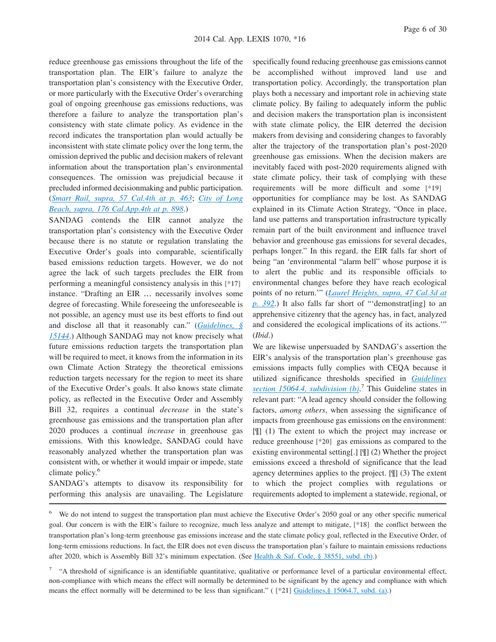reduce greenhouse gas emissions throughout the life of the transportation plan. The EIR's failure to analyze the transportation plan's consistency with the Executive Order, or more particularly with the Executive Order's overarching goal of ongoing greenhouse gas emissions reductions, was therefore a failure to analyze the transportation plan's consistency with state climate policy. As evidence in the record indicates the transportation plan would actually be inconsistent with state climate policy over the long term, the omission deprived the public and decision makers of relevant information about the transportation plan's environmental consequences. The omission was prejudicial because it precluded informed decisionmaking and public participation. (*[Smart Rail, supra, 57 Cal.4th at p. 463](http://advance.lexis.com/api/document?collection=cases&id=urn:contentItem:592B-3NT1-F04B-P001-00000-00&context=1000516)*; *[City of Long](http://advance.lexis.com/api/document?collection=cases&id=urn:contentItem:4X1C-3CY0-TXFN-7377-00000-00&context=1000516) [Beach, supra, 176 Cal.App.4th at p. 898](http://advance.lexis.com/api/document?collection=cases&id=urn:contentItem:4X1C-3CY0-TXFN-7377-00000-00&context=1000516)*.)

SANDAG contends the EIR cannot analyze the transportation plan's consistency with the Executive Order because there is no statute or regulation translating the Executive Order's goals into comparable, scientifically based emissions reduction targets. However, we do not agree the lack of such targets precludes the EIR from performing a meaningful consistency analysis in this **[\*17]** instance. "Drafting an EIR … necessarily involves some degree of forecasting. While foreseeing the unforeseeable is not possible, an agency must use its best efforts to find out and disclose all that it reasonably can." (*[Guidelines, §](http://advance.lexis.com/api/document?collection=administrative-codes&id=urn:contentItem:5381-TNB0-0012-J55J-00000-00&context=1000516) [15144](http://advance.lexis.com/api/document?collection=administrative-codes&id=urn:contentItem:5381-TNB0-0012-J55J-00000-00&context=1000516)*.) Although SANDAG may not know precisely what future emissions reduction targets the transportation plan will be required to meet, it knows from the information in its own Climate Action Strategy the theoretical emissions reduction targets necessary for the region to meet its share of the Executive Order's goals. It also knows state climate policy, as reflected in the Executive Order and Assembly Bill 32, requires a continual *decrease* in the state's greenhouse gas emissions and the transportation plan after 2020 produces a continual *increase* in greenhouse gas emissions. With this knowledge, SANDAG could have reasonably analyzed whether the transportation plan was consistent with, or whether it would impair or impede, state climate policy.<sup>6</sup>

SANDAG's attempts to disavow its responsibility for performing this analysis are unavailing. The Legislature

specifically found reducing greenhouse gas emissions cannot be accomplished without improved land use and transportation policy. Accordingly, the transportation plan plays both a necessary and important role in achieving state climate policy. By failing to adequately inform the public and decision makers the transportation plan is inconsistent with state climate policy, the EIR deterred the decision makers from devising and considering changes to favorably alter the trajectory of the transportation plan's post-2020 greenhouse gas emissions. When the decision makers are inevitably faced with post-2020 requirements aligned with state climate policy, their task of complying with these requirements will be more difficult and some **[\*19]** opportunities for compliance may be lost. As SANDAG explained in its Climate Action Strategy, "Once in place, land use patterns and transportation infrastructure typically remain part of the built environment and influence travel behavior and greenhouse gas emissions for several decades, perhaps longer." In this regard, the EIR falls far short of being "an 'environmental "alarm bell" whose purpose it is to alert the public and its responsible officials to environmental changes before they have reach ecological points of no return.'" (*[Laurel Heights, supra, 47 Cal.3d at](http://advance.lexis.com/api/document?collection=cases&id=urn:contentItem:3RX4-CFC0-003D-J4J6-00000-00&context=1000516) [p. 392](http://advance.lexis.com/api/document?collection=cases&id=urn:contentItem:3RX4-CFC0-003D-J4J6-00000-00&context=1000516)*.) It also falls far short of "'demonstrat[ing] to an apprehensive citizenry that the agency has, in fact, analyzed and considered the ecological implications of its actions.'" (*Ibid*.)

We are likewise unpersuaded by SANDAG's assertion the EIR's analysis of the transportation plan's greenhouse gas emissions impacts fully complies with CEQA because it utilized significance thresholds specified in *[Guidelines](http://advance.lexis.com/api/document?collection=administrative-codes&id=urn:contentItem:5381-TN80-0012-J536-00000-00&context=1000516) [section 15064.4, subdivision \(b\)](http://advance.lexis.com/api/document?collection=administrative-codes&id=urn:contentItem:5381-TN80-0012-J536-00000-00&context=1000516)*. <sup>7</sup> This Guideline states in relevant part: "A lead agency should consider the following factors, *among others*, when assessing the significance of impacts from greenhouse gas emissions on the environment: [¶] (1) The extent to which the project may increase or reduce greenhouse **[\*20]** gas emissions as compared to the existing environmental setting[.] [¶] (2) Whether the project emissions exceed a threshold of significance that the lead agency determines applies to the project. [¶] (3) The extent to which the project complies with regulations or requirements adopted to implement a statewide, regional, or

<sup>&</sup>lt;sup>6</sup> We do not intend to suggest the transportation plan must achieve the Executive Order's 2050 goal or any other specific numerical goal. Our concern is with the EIR's failure to recognize, much less analyze and attempt to mitigate, **[\*18]** the conflict between the transportation plan's long-term greenhouse gas emissions increase and the state climate policy goal, reflected in the Executive Order, of long-term emissions reductions. In fact, the EIR does not even discuss the transportation plan's failure to maintain emissions reductions after 2020, which is Assembly Bill 32's minimum expectation. (See [Health & Saf. Code, § 38551, subd. \(b\).](http://advance.lexis.com/api/document?collection=statutes-legislation&id=urn:contentItem:4WK4-7CV0-R03K-N0PC-00000-00&context=1000516))

<sup>&</sup>lt;sup>7</sup> "A threshold of significance is an identifiable quantitative, qualitative or performance level of a particular environmental effect, non-compliance with which means the effect will normally be determined to be significant by the agency and compliance with which means the effect normally will be determined to be less than significant." ( **[\*21]** [Guidelines,§ 15064.7, subd. \(a\).](http://advance.lexis.com/api/document?collection=administrative-codes&id=urn:contentItem:5381-TN80-0012-J538-00000-00&context=1000516))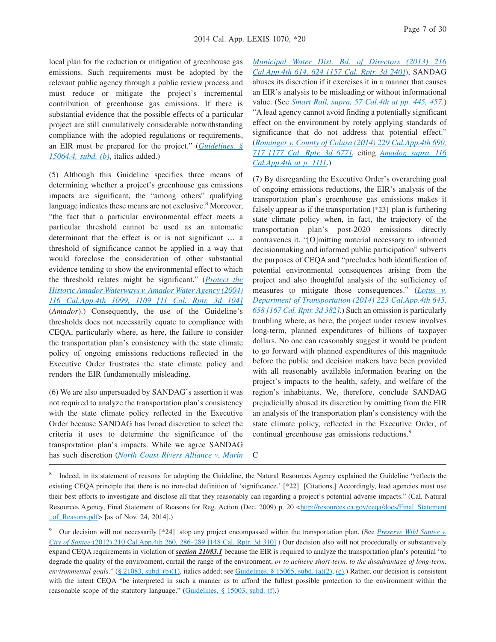local plan for the reduction or mitigation of greenhouse gas emissions. Such requirements must be adopted by the relevant public agency through a public review process and must reduce or mitigate the project's incremental contribution of greenhouse gas emissions. If there is substantial evidence that the possible effects of a particular project are still cumulatively considerable notwithstanding compliance with the adopted regulations or requirements, an EIR must be prepared for the project." (*[Guidelines, §](http://advance.lexis.com/api/document?collection=administrative-codes&id=urn:contentItem:5381-TN80-0012-J536-00000-00&context=1000516) [15064.4, subd. \(b\)](http://advance.lexis.com/api/document?collection=administrative-codes&id=urn:contentItem:5381-TN80-0012-J536-00000-00&context=1000516)*, italics added.)

(5) Although this Guideline specifies three means of determining whether a project's greenhouse gas emissions impacts are significant, the "among others" qualifying language indicates these means are not exclusive. $8$  Moreover, "the fact that a particular environmental effect meets a particular threshold cannot be used as an automatic determinant that the effect is or is not significant … a threshold of significance cannot be applied in a way that would foreclose the consideration of other substantial evidence tending to show the environmental effect to which the threshold relates might be significant." (*[Protect the](http://advance.lexis.com/api/document?collection=cases&id=urn:contentItem:4BX9-5710-0039-4542-00000-00&context=1000516) [Historic Amador Waterways v. Amador Water Agency \(2004\)](http://advance.lexis.com/api/document?collection=cases&id=urn:contentItem:4BX9-5710-0039-4542-00000-00&context=1000516) [116 Cal.App.4th 1099, 1109 \[11 Cal. Rptr. 3d 104\]](http://advance.lexis.com/api/document?collection=cases&id=urn:contentItem:4BX9-5710-0039-4542-00000-00&context=1000516)* (*Amador*).) Consequently, the use of the Guideline's thresholds does not necessarily equate to compliance with CEQA, particularly where, as here, the failure to consider the transportation plan's consistency with the state climate policy of ongoing emissions reductions reflected in the Executive Order frustrates the state climate policy and renders the EIR fundamentally misleading.

(6) We are also unpersuaded by SANDAG's assertion it was not required to analyze the transportation plan's consistency with the state climate policy reflected in the Executive Order because SANDAG has broad discretion to select the criteria it uses to determine the significance of the transportation plan's impacts. While we agree SANDAG has such discretion (*[North Coast Rivers Alliance v. Marin](http://advance.lexis.com/api/document?collection=cases&id=urn:contentItem:58G5-71Y1-F04B-N00T-00000-00&context=1000516)* *[Municipal Water Dist. Bd. of Directors \(2013\) 216](http://advance.lexis.com/api/document?collection=cases&id=urn:contentItem:58G5-71Y1-F04B-N00T-00000-00&context=1000516) [Cal.App.4th 614, 624 \[157 Cal. Rptr. 3d 240\]](http://advance.lexis.com/api/document?collection=cases&id=urn:contentItem:58G5-71Y1-F04B-N00T-00000-00&context=1000516)*), SANDAG abuses its discretion if it exercises it in a manner that causes an EIR's analysis to be misleading or without informational value. (See *[Smart Rail, supra, 57 Cal.4th at pp. 445, 457](http://advance.lexis.com/api/document?collection=cases&id=urn:contentItem:592B-3NT1-F04B-P001-00000-00&context=1000516)*.) "A lead agency cannot avoid finding a potentially significant effect on the environment by rotely applying standards of significance that do not address that potential effect." (*[Rominger v. County of Colusa \(2014\) 229 Cal.App.4th 690,](http://advance.lexis.com/api/document?collection=cases&id=urn:contentItem:5D3M-WTY1-F04B-N070-00000-00&context=1000516) [717 \[177 Cal. Rptr. 3d 677\]](http://advance.lexis.com/api/document?collection=cases&id=urn:contentItem:5D3M-WTY1-F04B-N070-00000-00&context=1000516)*, citing *[Amador, supra, 116](http://advance.lexis.com/api/document?collection=cases&id=urn:contentItem:4BX9-5710-0039-4542-00000-00&context=1000516) [Cal.App.4th at p. 1111](http://advance.lexis.com/api/document?collection=cases&id=urn:contentItem:4BX9-5710-0039-4542-00000-00&context=1000516)*.)

(7) By disregarding the Executive Order's overarching goal of ongoing emissions reductions, the EIR's analysis of the transportation plan's greenhouse gas emissions makes it falsely appear as if the transportation **[\*23]** plan is furthering state climate policy when, in fact, the trajectory of the transportation plan's post-2020 emissions directly contravenes it. "[O]mitting material necessary to informed decisionmaking and informed public participation" subverts the purposes of CEQA and "precludes both identification of potential environmental consequences arising from the project and also thoughtful analysis of the sufficiency of measures to mitigate those consequences." (*[Lotus v.](http://advance.lexis.com/api/document?collection=cases&id=urn:contentItem:5BD9-DGT1-F04B-N3CR-00000-00&context=1000516) [Department of Transportation \(2014\) 223 Cal.App.4th 645,](http://advance.lexis.com/api/document?collection=cases&id=urn:contentItem:5BD9-DGT1-F04B-N3CR-00000-00&context=1000516) [658 \[167 Cal. Rptr. 3d 382\]](http://advance.lexis.com/api/document?collection=cases&id=urn:contentItem:5BD9-DGT1-F04B-N3CR-00000-00&context=1000516)*.) Such an omission is particularly troubling where, as here, the project under review involves long-term, planned expenditures of billions of taxpayer dollars. No one can reasonably suggest it would be prudent to go forward with planned expenditures of this magnitude before the public and decision makers have been provided with all reasonably available information bearing on the project's impacts to the health, safety, and welfare of the region's inhabitants. We, therefore, conclude SANDAG prejudicially abused its discretion by omitting from the EIR an analysis of the transportation plan's consistency with the state climate policy, reflected in the Executive Order, of continual greenhouse gas emissions reductions.<sup>9</sup>

<sup>8</sup> Indeed, in its statement of reasons for adopting the Guideline, the Natural Resources Agency explained the Guideline "reflects the existing CEQA principle that there is no iron-clad definition of 'significance.' **[\*22]** [Citations.] Accordingly, lead agencies must use their best efforts to investigate and disclose all that they reasonably can regarding a project's potential adverse impacts." (Cal. Natural Resources Agency, Final Statement of Reasons for Reg. Action (Dec. 2009) p. 20 [<http://resources.ca.gov/ceqa/docs/Final\\_Statement](http://resources.ca.gov/ceqa/docs/Final_Statement_of_Reasons.pdf)  $of$  Reasons.pdf> [as of Nov. 24, 2014].)

C

<sup>9</sup> Our decision will not necessarily **[\*24]** stop any project encompassed within the transportation plan. (See *[Preserve Wild Santee v.](http://advance.lexis.com/api/document?collection=cases&id=urn:contentItem:56VG-T8T1-F04B-N1WK-00000-00&context=1000516) City of Santee* [\(2012\) 210 Cal.App.4th 260, 286–289 \[148 Cal. Rptr. 3d 310\].](http://advance.lexis.com/api/document?collection=cases&id=urn:contentItem:56VG-T8T1-F04B-N1WK-00000-00&context=1000516)) Our decision also will not procedurally or substantively expand CEQA requirements in violation of *section 21083.1* because the EIR is required to analyze the transportation plan's potential "to degrade the quality of the environment, curtail the range of the environment, *or to achieve short-term, to the disadvantage of long-term, environmental goals*." [\(§ 21083, subd. \(b\)\(1\),](http://advance.lexis.com/api/document?collection=statutes-legislation&id=urn:contentItem:4WN4-1BN0-R03K-G1B5-00000-00&context=1000516) italics added; see [Guidelines, § 15065, subd. \(a\)\(2\),](http://advance.lexis.com/api/document?collection=administrative-codes&id=urn:contentItem:5381-TN80-0012-J539-00000-00&context=1000516) [\(c\).](http://advance.lexis.com/api/document?collection=administrative-codes&id=urn:contentItem:5381-TN80-0012-J539-00000-00&context=1000516)) Rather, our decision is consistent with the intent CEQA "be interpreted in such a manner as to afford the fullest possible protection to the environment within the reasonable scope of the statutory language." [\(Guidelines, § 15003, subd. \(f\).](http://advance.lexis.com/api/document?collection=administrative-codes&id=urn:contentItem:5381-TN70-0012-J527-00000-00&context=1000516))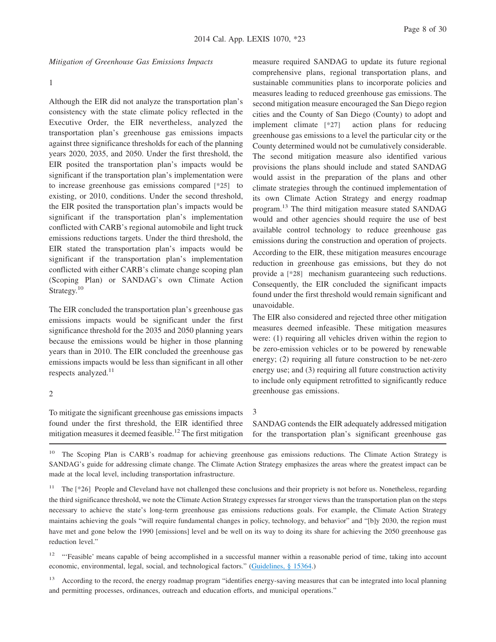*Mitigation of Greenhouse Gas Emissions Impacts*

#### 1

Although the EIR did not analyze the transportation plan's consistency with the state climate policy reflected in the Executive Order, the EIR nevertheless, analyzed the transportation plan's greenhouse gas emissions impacts against three significance thresholds for each of the planning years 2020, 2035, and 2050. Under the first threshold, the EIR posited the transportation plan's impacts would be significant if the transportation plan's implementation were to increase greenhouse gas emissions compared **[\*25]** to existing, or 2010, conditions. Under the second threshold, the EIR posited the transportation plan's impacts would be significant if the transportation plan's implementation conflicted with CARB's regional automobile and light truck emissions reductions targets. Under the third threshold, the EIR stated the transportation plan's impacts would be significant if the transportation plan's implementation conflicted with either CARB's climate change scoping plan (Scoping Plan) or SANDAG's own Climate Action Strategy.<sup>10</sup>

The EIR concluded the transportation plan's greenhouse gas emissions impacts would be significant under the first significance threshold for the 2035 and 2050 planning years because the emissions would be higher in those planning years than in 2010. The EIR concluded the greenhouse gas emissions impacts would be less than significant in all other respects analyzed.<sup>11</sup>

comprehensive plans, regional transportation plans, and sustainable communities plans to incorporate policies and measures leading to reduced greenhouse gas emissions. The second mitigation measure encouraged the San Diego region cities and the County of San Diego (County) to adopt and implement climate **[\*27]** action plans for reducing greenhouse gas emissions to a level the particular city or the County determined would not be cumulatively considerable. The second mitigation measure also identified various provisions the plans should include and stated SANDAG would assist in the preparation of the plans and other climate strategies through the continued implementation of its own Climate Action Strategy and energy roadmap program.<sup>13</sup> The third mitigation measure stated SANDAG would and other agencies should require the use of best available control technology to reduce greenhouse gas emissions during the construction and operation of projects. According to the EIR, these mitigation measures encourage reduction in greenhouse gas emissions, but they do not provide a **[\*28]** mechanism guaranteeing such reductions. Consequently, the EIR concluded the significant impacts found under the first threshold would remain significant and unavoidable.

measure required SANDAG to update its future regional

The EIR also considered and rejected three other mitigation measures deemed infeasible. These mitigation measures were: (1) requiring all vehicles driven within the region to be zero-emission vehicles or to be powered by renewable energy; (2) requiring all future construction to be net-zero energy use; and (3) requiring all future construction activity to include only equipment retrofitted to significantly reduce greenhouse gas emissions.

#### 2

To mitigate the significant greenhouse gas emissions impacts found under the first threshold, the EIR identified three mitigation measures it deemed feasible.<sup>12</sup> The first mitigation 3

SANDAG contends the EIR adequately addressed mitigation for the transportation plan's significant greenhouse gas

<sup>10</sup> The Scoping Plan is CARB's roadmap for achieving greenhouse gas emissions reductions. The Climate Action Strategy is SANDAG's guide for addressing climate change. The Climate Action Strategy emphasizes the areas where the greatest impact can be made at the local level, including transportation infrastructure.

<sup>11</sup> The [\*26] People and Cleveland have not challenged these conclusions and their propriety is not before us. Nonetheless, regarding the third significance threshold, we note the Climate Action Strategy expresses far stronger views than the transportation plan on the steps necessary to achieve the state's long-term greenhouse gas emissions reductions goals. For example, the Climate Action Strategy maintains achieving the goals "will require fundamental changes in policy, technology, and behavior" and "[b]y 2030, the region must have met and gone below the 1990 [emissions] level and be well on its way to doing its share for achieving the 2050 greenhouse gas reduction level."

<sup>12</sup> "'Feasible' means capable of being accomplished in a successful manner within a reasonable period of time, taking into account economic, environmental, legal, social, and technological factors." [\(Guidelines, § 15364.](http://advance.lexis.com/api/document?collection=administrative-codes&id=urn:contentItem:5381-TND0-0012-J04V-00000-00&context=1000516))

<sup>13</sup> According to the record, the energy roadmap program "identifies energy-saving measures that can be integrated into local planning and permitting processes, ordinances, outreach and education efforts, and municipal operations."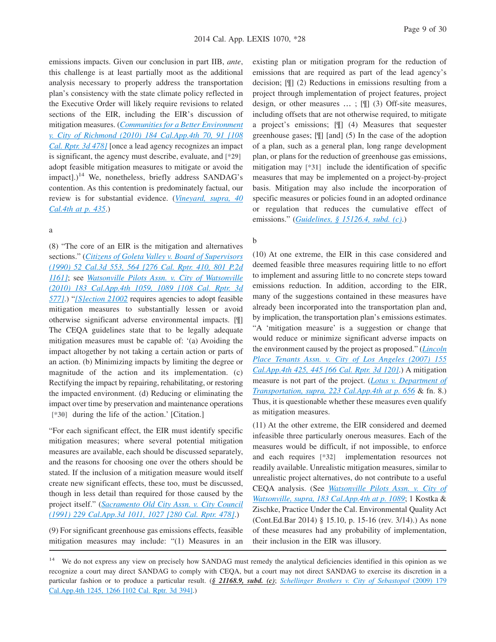emissions impacts. Given our conclusion in part IIB, *ante*, this challenge is at least partially moot as the additional analysis necessary to properly address the transportation plan's consistency with the state climate policy reflected in the Executive Order will likely require revisions to related sections of the EIR, including the EIR's discussion of mitigation measures. (*[Communities for a Better Environment](http://advance.lexis.com/api/document?collection=cases&id=urn:contentItem:7YB7-41B0-YB0K-H05Y-00000-00&context=1000516) [v. City of Richmond \(2010\) 184 Cal.App.4th 70, 91 \[108](http://advance.lexis.com/api/document?collection=cases&id=urn:contentItem:7YB7-41B0-YB0K-H05Y-00000-00&context=1000516) [Cal. Rptr. 3d 478\]](http://advance.lexis.com/api/document?collection=cases&id=urn:contentItem:7YB7-41B0-YB0K-H05Y-00000-00&context=1000516)* [once a lead agency recognizes an impact is significant, the agency must describe, evaluate, and **[\*29]** adopt feasible mitigation measures to mitigate or avoid the impact].)<sup>14</sup> We, nonetheless, briefly address SANDAG's contention. As this contention is predominately factual, our review is for substantial evidence. (*[Vineyard, supra, 40](http://advance.lexis.com/api/document?collection=cases&id=urn:contentItem:4MYG-C580-0039-40F2-00000-00&context=1000516) [Cal.4th at p. 435](http://advance.lexis.com/api/document?collection=cases&id=urn:contentItem:4MYG-C580-0039-40F2-00000-00&context=1000516)*.)

#### a

(8) "The core of an EIR is the mitigation and alternatives sections." (*[Citizens of Goleta Valley v. Board of Supervisors](http://advance.lexis.com/api/document?collection=cases&id=urn:contentItem:3RX4-8Y60-003D-J14Y-00000-00&context=1000516) [\(1990\) 52 Cal.3d 553, 564 \[276 Cal. Rptr. 410, 801 P.2d](http://advance.lexis.com/api/document?collection=cases&id=urn:contentItem:3RX4-8Y60-003D-J14Y-00000-00&context=1000516) [1161\]](http://advance.lexis.com/api/document?collection=cases&id=urn:contentItem:3RX4-8Y60-003D-J14Y-00000-00&context=1000516)*; see *[Watsonville Pilots Assn. v. City of Watsonville](http://advance.lexis.com/api/document?collection=cases&id=urn:contentItem:7Y74-MM10-YB0K-H1GP-00000-00&context=1000516) [\(2010\) 183 Cal.App.4th 1059, 1089 \[108 Cal. Rptr. 3d](http://advance.lexis.com/api/document?collection=cases&id=urn:contentItem:7Y74-MM10-YB0K-H1GP-00000-00&context=1000516) [577\]](http://advance.lexis.com/api/document?collection=cases&id=urn:contentItem:7Y74-MM10-YB0K-H1GP-00000-00&context=1000516)*.) "*[\[S\]ection 21002](http://advance.lexis.com/api/document?collection=statutes-legislation&id=urn:contentItem:4WN4-1BN0-R03K-G179-00000-00&context=1000516)* requires agencies to adopt feasible mitigation measures to substantially lessen or avoid otherwise significant adverse environmental impacts. [¶] The CEQA guidelines state that to be legally adequate mitigation measures must be capable of: '(a) Avoiding the impact altogether by not taking a certain action or parts of an action. (b) Minimizing impacts by limiting the degree or magnitude of the action and its implementation. (c) Rectifying the impact by repairing, rehabilitating, or restoring the impacted environment. (d) Reducing or eliminating the impact over time by preservation and maintenance operations **[\*30]** during the life of the action.' [Citation.]

"For each significant effect, the EIR must identify specific mitigation measures; where several potential mitigation measures are available, each should be discussed separately, and the reasons for choosing one over the others should be stated. If the inclusion of a mitigation measure would itself create new significant effects, these too, must be discussed, though in less detail than required for those caused by the project itself." (*[Sacramento Old City Assn. v. City Council](http://advance.lexis.com/api/document?collection=cases&id=urn:contentItem:3RX6-HC40-003D-J0Y0-00000-00&context=1000516) [\(1991\) 229 Cal.App.3d 1011, 1027 \[280 Cal. Rptr. 478\]](http://advance.lexis.com/api/document?collection=cases&id=urn:contentItem:3RX6-HC40-003D-J0Y0-00000-00&context=1000516)*.)

(9) For significant greenhouse gas emissions effects, feasible mitigation measures may include: "(1) Measures in an

existing plan or mitigation program for the reduction of emissions that are required as part of the lead agency's decision; [¶] (2) Reductions in emissions resulting from a project through implementation of project features, project design, or other measures … ; [¶] (3) Off-site measures, including offsets that are not otherwise required, to mitigate a project's emissions; [¶] (4) Measures that sequester greenhouse gases; [¶] [and] (5) In the case of the adoption of a plan, such as a general plan, long range development plan, or plans for the reduction of greenhouse gas emissions, mitigation may **[\*31]** include the identification of specific measures that may be implemented on a project-by-project basis. Mitigation may also include the incorporation of specific measures or policies found in an adopted ordinance or regulation that reduces the cumulative effect of emissions." (*[Guidelines, § 15126.4, subd. \(c\)](http://advance.lexis.com/api/document?collection=administrative-codes&id=urn:contentItem:5381-TN90-0012-J554-00000-00&context=1000516)*.)

#### b

(10) At one extreme, the EIR in this case considered and deemed feasible three measures requiring little to no effort to implement and assuring little to no concrete steps toward emissions reduction. In addition, according to the EIR, many of the suggestions contained in these measures have already been incorporated into the transportation plan and, by implication, the transportation plan's emissions estimates. "A 'mitigation measure' is a suggestion or change that would reduce or minimize significant adverse impacts on the environment caused by the project as proposed." (*[Lincoln](http://advance.lexis.com/api/document?collection=cases&id=urn:contentItem:4PPR-6J60-TXFN-7221-00000-00&context=1000516) [Place Tenants Assn. v. City of Los Angeles \(2007\) 155](http://advance.lexis.com/api/document?collection=cases&id=urn:contentItem:4PPR-6J60-TXFN-7221-00000-00&context=1000516) [Cal.App.4th 425, 445 \[66 Cal. Rptr. 3d 120\]](http://advance.lexis.com/api/document?collection=cases&id=urn:contentItem:4PPR-6J60-TXFN-7221-00000-00&context=1000516)*.) A mitigation measure is not part of the project. (*[Lotus v. Department of](http://advance.lexis.com/api/document?collection=cases&id=urn:contentItem:5BD9-DGT1-F04B-N3CR-00000-00&context=1000516) [Transportation, supra, 223 Cal.App.4th at p. 656](http://advance.lexis.com/api/document?collection=cases&id=urn:contentItem:5BD9-DGT1-F04B-N3CR-00000-00&context=1000516)* & fn. 8.) Thus, it is questionable whether these measures even qualify as mitigation measures.

(11) At the other extreme, the EIR considered and deemed infeasible three particularly onerous measures. Each of the measures would be difficult, if not impossible, to enforce and each requires **[\*32]** implementation resources not readily available. Unrealistic mitigation measures, similar to unrealistic project alternatives, do not contribute to a useful CEQA analysis. (See *[Watsonville Pilots Assn. v. City of](http://advance.lexis.com/api/document?collection=cases&id=urn:contentItem:7Y74-MM10-YB0K-H1GP-00000-00&context=1000516) [Watsonville, supra, 183 Cal.App.4th at p. 1089](http://advance.lexis.com/api/document?collection=cases&id=urn:contentItem:7Y74-MM10-YB0K-H1GP-00000-00&context=1000516)*; 1 Kostka & Zischke, Practice Under the Cal. Environmental Quality Act (Cont.Ed.Bar 2014) § 15.10, p. 15-16 (rev. 3/14).) As none of these measures had any probability of implementation, their inclusion in the EIR was illusory.

<sup>&</sup>lt;sup>14</sup> We do not express any view on precisely how SANDAG must remedy the analytical deficiencies identified in this opinion as we recognize a court may direct SANDAG to comply with CEQA, but a court may not direct SANDAG to exercise its discretion in a particular fashion or to produce a particular result. (*§ 21168.9, subd. (c)*; *[Schellinger Brothers v. City of Sebastopol](http://advance.lexis.com/api/document?collection=cases&id=urn:contentItem:7X76-W760-YB0K-H0SH-00000-00&context=1000516)* (2009) 179 [Cal.App.4th 1245, 1266 \[102 Cal. Rptr. 3d 394\].](http://advance.lexis.com/api/document?collection=cases&id=urn:contentItem:7X76-W760-YB0K-H0SH-00000-00&context=1000516))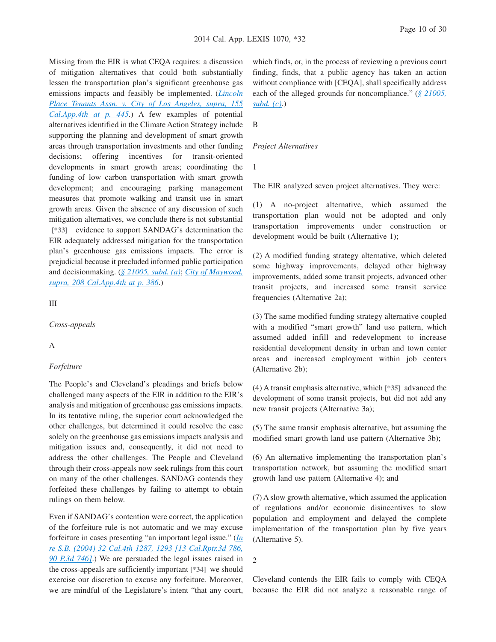Missing from the EIR is what CEQA requires: a discussion of mitigation alternatives that could both substantially lessen the transportation plan's significant greenhouse gas emissions impacts and feasibly be implemented. (*[Lincoln](http://advance.lexis.com/api/document?collection=cases&id=urn:contentItem:4PPR-6J60-TXFN-7221-00000-00&context=1000516) [Place Tenants Assn. v. City of Los Angeles, supra, 155](http://advance.lexis.com/api/document?collection=cases&id=urn:contentItem:4PPR-6J60-TXFN-7221-00000-00&context=1000516) [Cal.App.4th at p. 445](http://advance.lexis.com/api/document?collection=cases&id=urn:contentItem:4PPR-6J60-TXFN-7221-00000-00&context=1000516)*.) A few examples of potential alternatives identified in the Climate Action Strategy include supporting the planning and development of smart growth areas through transportation investments and other funding decisions; offering incentives for transit-oriented developments in smart growth areas; coordinating the funding of low carbon transportation with smart growth development; and encouraging parking management measures that promote walking and transit use in smart growth areas. Given the absence of any discussion of such mitigation alternatives, we conclude there is not substantial **[\*33]** evidence to support SANDAG's determination the EIR adequately addressed mitigation for the transportation plan's greenhouse gas emissions impacts. The error is prejudicial because it precluded informed public participation and decisionmaking. (*[§ 21005, subd. \(a\)](http://advance.lexis.com/api/document?collection=statutes-legislation&id=urn:contentItem:4WN4-1BN0-R03K-G17G-00000-00&context=1000516)*; *[City of Maywood,](http://advance.lexis.com/api/document?collection=cases&id=urn:contentItem:56BT-PBP1-F04B-N19T-00000-00&context=1000516) [supra, 208 Cal.App.4th at p. 386](http://advance.lexis.com/api/document?collection=cases&id=urn:contentItem:56BT-PBP1-F04B-N19T-00000-00&context=1000516)*.)

III

*Cross-appeals*

#### A

#### *Forfeiture*

The People's and Cleveland's pleadings and briefs below challenged many aspects of the EIR in addition to the EIR's analysis and mitigation of greenhouse gas emissions impacts. In its tentative ruling, the superior court acknowledged the other challenges, but determined it could resolve the case solely on the greenhouse gas emissions impacts analysis and mitigation issues and, consequently, it did not need to address the other challenges. The People and Cleveland through their cross-appeals now seek rulings from this court on many of the other challenges. SANDAG contends they forfeited these challenges by failing to attempt to obtain rulings on them below.

Even if SANDAG's contention were correct, the application of the forfeiture rule is not automatic and we may excuse forfeiture in cases presenting "an important legal issue." (*[In](http://advance.lexis.com/api/document?collection=cases&id=urn:contentItem:4CGG-XVK0-0039-4357-00000-00&context=1000516) [re S.B. \(2004\) 32 Cal.4th 1287, 1293 \[13 Cal.Rptr.3d 786,](http://advance.lexis.com/api/document?collection=cases&id=urn:contentItem:4CGG-XVK0-0039-4357-00000-00&context=1000516) [90 P.3d 746\]](http://advance.lexis.com/api/document?collection=cases&id=urn:contentItem:4CGG-XVK0-0039-4357-00000-00&context=1000516)*.) We are persuaded the legal issues raised in the cross-appeals are sufficiently important **[\*34]** we should exercise our discretion to excuse any forfeiture. Moreover, we are mindful of the Legislature's intent "that any court,

which finds, or, in the process of reviewing a previous court finding, finds, that a public agency has taken an action without compliance with [CEQA], shall specifically address each of the alleged grounds for noncompliance." (*[§ 21005,](http://advance.lexis.com/api/document?collection=statutes-legislation&id=urn:contentItem:4WN4-1BN0-R03K-G17G-00000-00&context=1000516) [subd. \(c\)](http://advance.lexis.com/api/document?collection=statutes-legislation&id=urn:contentItem:4WN4-1BN0-R03K-G17G-00000-00&context=1000516)*.)

B

#### *Project Alternatives*

1

The EIR analyzed seven project alternatives. They were:

(1) A no-project alternative, which assumed the transportation plan would not be adopted and only transportation improvements under construction or development would be built (Alternative 1);

(2) A modified funding strategy alternative, which deleted some highway improvements, delayed other highway improvements, added some transit projects, advanced other transit projects, and increased some transit service frequencies (Alternative 2a);

(3) The same modified funding strategy alternative coupled with a modified "smart growth" land use pattern, which assumed added infill and redevelopment to increase residential development density in urban and town center areas and increased employment within job centers (Alternative 2b);

(4) A transit emphasis alternative, which **[\*35]** advanced the development of some transit projects, but did not add any new transit projects (Alternative 3a);

(5) The same transit emphasis alternative, but assuming the modified smart growth land use pattern (Alternative 3b);

(6) An alternative implementing the transportation plan's transportation network, but assuming the modified smart growth land use pattern (Alternative 4); and

(7) A slow growth alternative, which assumed the application of regulations and/or economic disincentives to slow population and employment and delayed the complete implementation of the transportation plan by five years (Alternative 5).

2

Cleveland contends the EIR fails to comply with CEQA because the EIR did not analyze a reasonable range of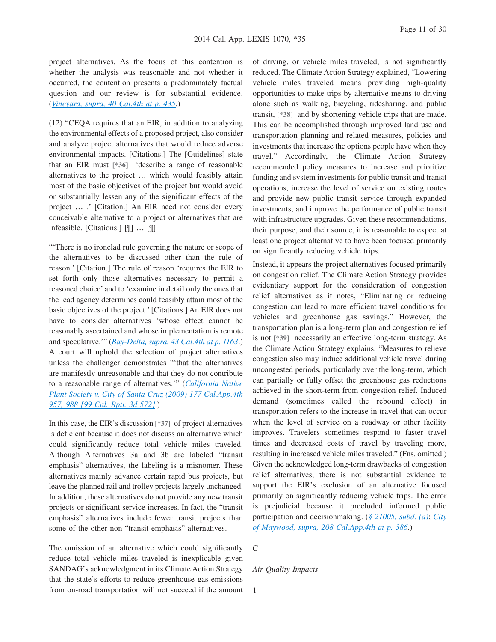project alternatives. As the focus of this contention is whether the analysis was reasonable and not whether it occurred, the contention presents a predominately factual question and our review is for substantial evidence. (*[Vineyard, supra, 40 Cal.4th at p. 435](http://advance.lexis.com/api/document?collection=cases&id=urn:contentItem:4MYG-C580-0039-40F2-00000-00&context=1000516)*.)

(12) "CEQA requires that an EIR, in addition to analyzing the environmental effects of a proposed project, also consider and analyze project alternatives that would reduce adverse environmental impacts. [Citations.] The [Guidelines] state that an EIR must **[\*36]** 'describe a range of reasonable alternatives to the project … which would feasibly attain most of the basic objectives of the project but would avoid or substantially lessen any of the significant effects of the project … .' [Citation.] An EIR need not consider every conceivable alternative to a project or alternatives that are infeasible. [Citations.] [¶] … [¶]

"'There is no ironclad rule governing the nature or scope of the alternatives to be discussed other than the rule of reason.' [Citation.] The rule of reason 'requires the EIR to set forth only those alternatives necessary to permit a reasoned choice' and to 'examine in detail only the ones that the lead agency determines could feasibly attain most of the basic objectives of the project.' [Citations.] An EIR does not have to consider alternatives 'whose effect cannot be reasonably ascertained and whose implementation is remote and speculative.'" (*[Bay-Delta, supra, 43 Cal.4th at p. 1163](http://advance.lexis.com/api/document?collection=cases&id=urn:contentItem:4SP4-6FT0-TX4N-G17X-00000-00&context=1000516)*.) A court will uphold the selection of project alternatives unless the challenger demonstrates "'that the alternatives are manifestly unreasonable and that they do not contribute to a reasonable range of alternatives.'" (*[California Native](http://advance.lexis.com/api/document?collection=cases&id=urn:contentItem:4X86-1DF0-TXFN-72JG-00000-00&context=1000516) [Plant Society v. City of Santa Cruz \(2009\) 177 Cal.App.4th](http://advance.lexis.com/api/document?collection=cases&id=urn:contentItem:4X86-1DF0-TXFN-72JG-00000-00&context=1000516) [957, 988 \[99 Cal. Rptr. 3d 572\]](http://advance.lexis.com/api/document?collection=cases&id=urn:contentItem:4X86-1DF0-TXFN-72JG-00000-00&context=1000516)*.)

In this case, the EIR's discussion **[\*37]** of project alternatives is deficient because it does not discuss an alternative which could significantly reduce total vehicle miles traveled. Although Alternatives 3a and 3b are labeled "transit emphasis" alternatives, the labeling is a misnomer. These alternatives mainly advance certain rapid bus projects, but leave the planned rail and trolley projects largely unchanged. In addition, these alternatives do not provide any new transit projects or significant service increases. In fact, the "transit emphasis" alternatives include fewer transit projects than some of the other non-"transit-emphasis" alternatives.

The omission of an alternative which could significantly reduce total vehicle miles traveled is inexplicable given SANDAG's acknowledgment in its Climate Action Strategy that the state's efforts to reduce greenhouse gas emissions from on-road transportation will not succeed if the amount of driving, or vehicle miles traveled, is not significantly reduced. The Climate Action Strategy explained, "Lowering vehicle miles traveled means providing high-quality opportunities to make trips by alternative means to driving alone such as walking, bicycling, ridesharing, and public transit, **[\*38]** and by shortening vehicle trips that are made. This can be accomplished through improved land use and transportation planning and related measures, policies and investments that increase the options people have when they travel." Accordingly, the Climate Action Strategy recommended policy measures to increase and prioritize funding and system investments for public transit and transit operations, increase the level of service on existing routes and provide new public transit service through expanded investments, and improve the performance of public transit with infrastructure upgrades. Given these recommendations, their purpose, and their source, it is reasonable to expect at least one project alternative to have been focused primarily on significantly reducing vehicle trips.

Instead, it appears the project alternatives focused primarily on congestion relief. The Climate Action Strategy provides evidentiary support for the consideration of congestion relief alternatives as it notes, "Eliminating or reducing congestion can lead to more efficient travel conditions for vehicles and greenhouse gas savings." However, the transportation plan is a long-term plan and congestion relief is not **[\*39]** necessarily an effective long-term strategy. As the Climate Action Strategy explains, "Measures to relieve congestion also may induce additional vehicle travel during uncongested periods, particularly over the long-term, which can partially or fully offset the greenhouse gas reductions achieved in the short-term from congestion relief. Induced demand (sometimes called the rebound effect) in transportation refers to the increase in travel that can occur when the level of service on a roadway or other facility improves. Travelers sometimes respond to faster travel times and decreased costs of travel by traveling more, resulting in increased vehicle miles traveled." (Fns. omitted.) Given the acknowledged long-term drawbacks of congestion relief alternatives, there is not substantial evidence to support the EIR's exclusion of an alternative focused primarily on significantly reducing vehicle trips. The error is prejudicial because it precluded informed public participation and decisionmaking. (*[§ 21005, subd. \(a\)](http://advance.lexis.com/api/document?collection=statutes-legislation&id=urn:contentItem:4WN4-1BN0-R03K-G17G-00000-00&context=1000516)*; *[City](http://advance.lexis.com/api/document?collection=cases&id=urn:contentItem:56BT-PBP1-F04B-N19T-00000-00&context=1000516) [of Maywood, supra, 208 Cal.App.4th at p. 386](http://advance.lexis.com/api/document?collection=cases&id=urn:contentItem:56BT-PBP1-F04B-N19T-00000-00&context=1000516)*.)

C

#### *Air Quality Impacts*

1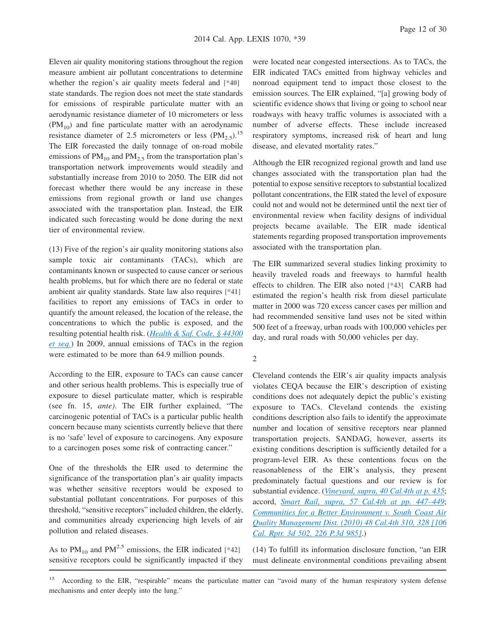Eleven air quality monitoring stations throughout the region measure ambient air pollutant concentrations to determine whether the region's air quality meets federal and **[\*40]** state standards. The region does not meet the state standards for emissions of respirable particulate matter with an aerodynamic resistance diameter of 10 micrometers or less  $(PM_{10})$  and fine particulate matter with an aerodynamic resistance diameter of 2.5 micrometers or less  $(PM_{2.5})$ .<sup>15</sup> The EIR forecasted the daily tonnage of on-road mobile emissions of  $PM_{10}$  and  $PM_{2.5}$  from the transportation plan's transportation network improvements would steadily and substantially increase from 2010 to 2050. The EIR did not forecast whether there would be any increase in these emissions from regional growth or land use changes associated with the transportation plan. Instead, the EIR indicated such forecasting would be done during the next tier of environmental review.

(13) Five of the region's air quality monitoring stations also sample toxic air contaminants (TACs), which are contaminants known or suspected to cause cancer or serious health problems, but for which there are no federal or state ambient air quality standards. State law also requires **[\*41]** facilities to report any emissions of TACs in order to quantify the amount released, the location of the release, the concentrations to which the public is exposed, and the resulting potential health risk. (*[Health & Saf. Code, § 44300](http://advance.lexis.com/api/document?collection=statutes-legislation&id=urn:contentItem:559S-5XM0-R03N-J50Y-00000-00&context=1000516) [et seq.](http://advance.lexis.com/api/document?collection=statutes-legislation&id=urn:contentItem:559S-5XM0-R03N-J50Y-00000-00&context=1000516)*) In 2009, annual emissions of TACs in the region were estimated to be more than 64.9 million pounds.

According to the EIR, exposure to TACs can cause cancer and other serious health problems. This is especially true of exposure to diesel particulate matter, which is respirable (see fn. 15, *ante)*. The EIR further explained, "The carcinogenic potential of TACs is a particular public health concern because many scientists currently believe that there is no 'safe' level of exposure to carcinogens. Any exposure to a carcinogen poses some risk of contracting cancer."

One of the thresholds the EIR used to determine the significance of the transportation plan's air quality impacts was whether sensitive receptors would be exposed to substantial pollutant concentrations. For purposes of this threshold, "sensitive receptors" included children, the elderly, and communities already experiencing high levels of air pollution and related diseases.

As to  $PM_{10}$  and  $PM_{2.5}^{2.5}$  emissions, the EIR indicated [\*42] sensitive receptors could be significantly impacted if they were located near congested intersections. As to TACs, the EIR indicated TACs emitted from highway vehicles and nonroad equipment tend to impact those closest to the emission sources. The EIR explained, "[a] growing body of scientific evidence shows that living or going to school near roadways with heavy traffic volumes is associated with a number of adverse effects. These include increased respiratory symptoms, increased risk of heart and lung disease, and elevated mortality rates."

Although the EIR recognized regional growth and land use changes associated with the transportation plan had the potential to expose sensitive receptors to substantial localized pollutant concentrations, the EIR stated the level of exposure could not and would not be determined until the next tier of environmental review when facility designs of individual projects became available. The EIR made identical statements regarding proposed transportation improvements associated with the transportation plan.

The EIR summarized several studies linking proximity to heavily traveled roads and freeways to harmful health effects to children. The EIR also noted **[\*43]** CARB had estimated the region's health risk from diesel particulate matter in 2000 was 720 excess cancer cases per million and had recommended sensitive land uses not be sited within 500 feet of a freeway, urban roads with 100,000 vehicles per day, and rural roads with 50,000 vehicles per day.

Cleveland contends the EIR's air quality impacts analysis violates CEQA because the EIR's description of existing conditions does not adequately depict the public's existing exposure to TACs. Cleveland contends the existing conditions description also fails to identify the approximate number and location of sensitive receptors near planned transportation projects. SANDAG, however, asserts its existing conditions description is sufficiently detailed for a program-level EIR. As these contentions focus on the reasonableness of the EIR's analysis, they present predominately factual questions and our review is for substantial evidence. (*[Vineyard, supra, 40 Cal.4th at p. 435](http://advance.lexis.com/api/document?collection=cases&id=urn:contentItem:4MYG-C580-0039-40F2-00000-00&context=1000516)*; accord, *[Smart Rail, supra, 57 Cal.4th at pp. 447–449](http://advance.lexis.com/api/document?collection=cases&id=urn:contentItem:592B-3NT1-F04B-P001-00000-00&context=1000516)*; *[Communities for a Better Environment v. South Coast Air](http://advance.lexis.com/api/document?collection=cases&id=urn:contentItem:7Y15-86G0-YB0K-J03S-00000-00&context=1000516) [Quality Management Dist. \(2010\) 48 Cal.4th 310, 328 \[106](http://advance.lexis.com/api/document?collection=cases&id=urn:contentItem:7Y15-86G0-YB0K-J03S-00000-00&context=1000516) [Cal. Rptr. 3d 502, 226 P.3d 985\]](http://advance.lexis.com/api/document?collection=cases&id=urn:contentItem:7Y15-86G0-YB0K-J03S-00000-00&context=1000516)*.)

(14) To fulfill its information disclosure function, "an EIR must delineate environmental conditions prevailing absent

<sup>2</sup>

<sup>&</sup>lt;sup>15</sup> According to the EIR, "respirable" means the particulate matter can "avoid many of the human respiratory system defense mechanisms and enter deeply into the lung."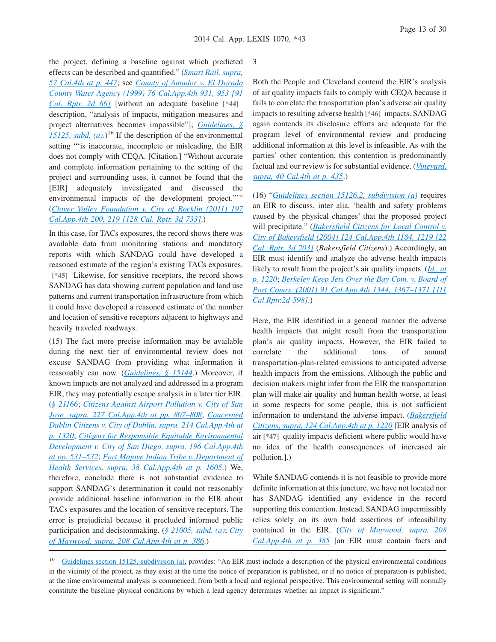the project, defining a baseline against which predicted effects can be described and quantified." (*[Smart Rail, supra,](http://advance.lexis.com/api/document?collection=cases&id=urn:contentItem:592B-3NT1-F04B-P001-00000-00&context=1000516) [57 Cal.4th at p. 447](http://advance.lexis.com/api/document?collection=cases&id=urn:contentItem:592B-3NT1-F04B-P001-00000-00&context=1000516)*; see *[County of Amador v. El Dorado](http://advance.lexis.com/api/document?collection=cases&id=urn:contentItem:3Y21-XYF0-0039-40KT-00000-00&context=1000516) [County Water Agency \(1999\) 76 Cal.App.4th 931, 953 \[91](http://advance.lexis.com/api/document?collection=cases&id=urn:contentItem:3Y21-XYF0-0039-40KT-00000-00&context=1000516) [Cal. Rptr. 2d 66\]](http://advance.lexis.com/api/document?collection=cases&id=urn:contentItem:3Y21-XYF0-0039-40KT-00000-00&context=1000516)* [without an adequate baseline **[\*44]** description, "analysis of impacts, mitigation measures and project alternatives becomes impossible"]; *[Guidelines, §](http://advance.lexis.com/api/document?collection=administrative-codes&id=urn:contentItem:5381-TN90-0012-J551-00000-00&context=1000516)* 15125, subd.  $(a)$ .)<sup>16</sup> If the description of the environmental setting "'is inaccurate, incomplete or misleading, the EIR does not comply with CEQA. [Citation.] "Without accurate and complete information pertaining to the setting of the project and surrounding uses, it cannot be found that the [EIR] adequately investigated and discussed the environmental impacts of the development project.""" (*[Clover Valley Foundation v. City of Rocklin \(2011\) 197](http://advance.lexis.com/api/document?collection=cases&id=urn:contentItem:538G-F051-F04B-N4RT-00000-00&context=1000516) [Cal.App.4th 200, 219 \[128 Cal. Rptr. 3d 733\]](http://advance.lexis.com/api/document?collection=cases&id=urn:contentItem:538G-F051-F04B-N4RT-00000-00&context=1000516)*.)

In this case, for TACs exposures, the record shows there was available data from monitoring stations and mandatory reports with which SANDAG could have developed a reasoned estimate of the region's existing TACs exposures. **[\*45]** Likewise, for sensitive receptors, the record shows SANDAG has data showing current population and land use patterns and current transportation infrastructure from which it could have developed a reasoned estimate of the number and location of sensitive receptors adjacent to highways and heavily traveled roadways.

(15) The fact more precise information may be available during the next tier of environmental review does not excuse SANDAG from providing what information it reasonably can now. (*[Guidelines, § 15144](http://advance.lexis.com/api/document?collection=administrative-codes&id=urn:contentItem:5381-TNB0-0012-J55J-00000-00&context=1000516)*.) Moreover, if known impacts are not analyzed and addressed in a program EIR, they may potentially escape analysis in a later tier EIR. (*[§ 21166](http://advance.lexis.com/api/document?collection=statutes-legislation&id=urn:contentItem:4WN4-1PW0-R03K-K1G6-00000-00&context=1000516)*; *[Citizens Against Airport Pollution v. City of San](http://advance.lexis.com/api/document?collection=cases&id=urn:contentItem:5CJY-DBC1-F04B-N034-00000-00&context=1000516) [Jose, supra, 227 Cal.App.4th at pp. 807–808](http://advance.lexis.com/api/document?collection=cases&id=urn:contentItem:5CJY-DBC1-F04B-N034-00000-00&context=1000516)*; *[Concerned](http://advance.lexis.com/api/document?collection=cases&id=urn:contentItem:582K-WSC1-F04B-N0GT-00000-00&context=1000516) [Dublin Citizens v. City of Dublin, supra, 214 Cal.App.4th at](http://advance.lexis.com/api/document?collection=cases&id=urn:contentItem:582K-WSC1-F04B-N0GT-00000-00&context=1000516) [p. 1320](http://advance.lexis.com/api/document?collection=cases&id=urn:contentItem:582K-WSC1-F04B-N0GT-00000-00&context=1000516)*; *[Citizens for Responsible Equitable Environmental](http://advance.lexis.com/api/document?collection=cases&id=urn:contentItem:532H-BHG1-F04B-N3MF-00000-00&context=1000516) [Development v. City of San Diego, supra, 196 Cal.App.4th](http://advance.lexis.com/api/document?collection=cases&id=urn:contentItem:532H-BHG1-F04B-N3MF-00000-00&context=1000516) [at pp. 531–532](http://advance.lexis.com/api/document?collection=cases&id=urn:contentItem:532H-BHG1-F04B-N3MF-00000-00&context=1000516)*; *[Fort Mojave Indian Tribe v. Department of](http://advance.lexis.com/api/document?collection=cases&id=urn:contentItem:3RX6-FJ10-003D-J41Y-00000-00&context=1000516) [Health Services, supra, 38 Cal.App.4th at p. 1605](http://advance.lexis.com/api/document?collection=cases&id=urn:contentItem:3RX6-FJ10-003D-J41Y-00000-00&context=1000516)*.) We, therefore, conclude there is not substantial evidence to support SANDAG's determination it could not reasonably provide additional baseline information in the EIR about TACs exposures and the location of sensitive receptors. The error is prejudicial because it precluded informed public participation and decisionmaking. (*[§ 21005, subd. \(a\)](http://advance.lexis.com/api/document?collection=statutes-legislation&id=urn:contentItem:4WN4-1BN0-R03K-G17G-00000-00&context=1000516)*; *[City](http://advance.lexis.com/api/document?collection=cases&id=urn:contentItem:56BT-PBP1-F04B-N19T-00000-00&context=1000516) [of Maywood, supra, 208 Cal.App.4th at p. 386](http://advance.lexis.com/api/document?collection=cases&id=urn:contentItem:56BT-PBP1-F04B-N19T-00000-00&context=1000516)*.)

3

Both the People and Cleveland contend the EIR's analysis of air quality impacts fails to comply with CEQA because it fails to correlate the transportation plan's adverse air quality impacts to resulting adverse health **[\*46]** impacts. SANDAG again contends its disclosure efforts are adequate for the program level of environmental review and producing additional information at this level is infeasible. As with the parties' other contention, this contention is predominantly factual and our review is for substantial evidence. (*[Vineyard,](http://advance.lexis.com/api/document?collection=cases&id=urn:contentItem:4MYG-C580-0039-40F2-00000-00&context=1000516) [supra, 40 Cal.4th at p. 435](http://advance.lexis.com/api/document?collection=cases&id=urn:contentItem:4MYG-C580-0039-40F2-00000-00&context=1000516)*.)

(16) "*[Guidelines section 15126.2, subdivision \(a\)](http://advance.lexis.com/api/document?collection=administrative-codes&id=urn:contentItem:5381-TN90-0012-J553-00000-00&context=1000516)* requires an EIR to discuss, inter alia, 'health and safety problems caused by the physical changes' that the proposed project will precipitate." (*[Bakersfield Citizens for Local Control v.](http://advance.lexis.com/api/document?collection=cases&id=urn:contentItem:4F15-3KY0-0039-445V-00000-00&context=1000516) [City of Bakersfield \(2004\) 124 Cal.App.4th 1184, 1219 \[22](http://advance.lexis.com/api/document?collection=cases&id=urn:contentItem:4F15-3KY0-0039-445V-00000-00&context=1000516) [Cal. Rptr. 3d 203\]](http://advance.lexis.com/api/document?collection=cases&id=urn:contentItem:4F15-3KY0-0039-445V-00000-00&context=1000516)* (*Bakersfield Citizens*).) Accordingly, an EIR must identify and analyze the adverse health impacts likely to result from the project's air quality impacts. (*[Id., at](http://advance.lexis.com/api/document?collection=cases&id=urn:contentItem:4F15-3KY0-0039-445V-00000-00&context=1000516) [p. 1220](http://advance.lexis.com/api/document?collection=cases&id=urn:contentItem:4F15-3KY0-0039-445V-00000-00&context=1000516)*; *[Berkeley Keep Jets Over the Bay Com. v. Board of](http://advance.lexis.com/api/document?collection=cases&id=urn:contentItem:43W2-5TC0-0039-43KH-00000-00&context=1000516) [Port Comrs. \(2001\) 91 Cal.App.4th 1344, 1367–1371 \[111](http://advance.lexis.com/api/document?collection=cases&id=urn:contentItem:43W2-5TC0-0039-43KH-00000-00&context=1000516) [Cal.Rptr.2d 598\]](http://advance.lexis.com/api/document?collection=cases&id=urn:contentItem:43W2-5TC0-0039-43KH-00000-00&context=1000516)*.)

Here, the EIR identified in a general manner the adverse health impacts that might result from the transportation plan's air quality impacts. However, the EIR failed to correlate the additional tons of annual transportation-plan-related emissions to anticipated adverse health impacts from the emissions. Although the public and decision makers might infer from the EIR the transportation plan will make air quality and human health worse, at least in some respects for some people, this is not sufficient information to understand the adverse impact. (*[Bakersfield](http://advance.lexis.com/api/document?collection=cases&id=urn:contentItem:4F15-3KY0-0039-445V-00000-00&context=1000516) [Citizens, supra, 124 Cal.App.4th at p. 1220](http://advance.lexis.com/api/document?collection=cases&id=urn:contentItem:4F15-3KY0-0039-445V-00000-00&context=1000516)* [EIR analysis of air **[\*47]** quality impacts deficient where public would have no idea of the health consequences of increased air pollution.].)

While SANDAG contends it is not feasible to provide more definite information at this juncture, we have not located nor has SANDAG identified any evidence in the record supporting this contention. Instead, SANDAG impermissibly relies solely on its own bald assertions of infeasibility contained in the EIR. (*[City of Maywood, supra, 208](http://advance.lexis.com/api/document?collection=cases&id=urn:contentItem:56BT-PBP1-F04B-N19T-00000-00&context=1000516) [Cal.App.4th at p. 385](http://advance.lexis.com/api/document?collection=cases&id=urn:contentItem:56BT-PBP1-F04B-N19T-00000-00&context=1000516)* [an EIR must contain facts and

<sup>&</sup>lt;sup>16</sup> [Guidelines section 15125, subdivision \(a\),](http://advance.lexis.com/api/document?collection=administrative-codes&id=urn:contentItem:5381-TN90-0012-J551-00000-00&context=1000516) provides: "An EIR must include a description of the physical environmental conditions in the vicinity of the project, as they exist at the time the notice of preparation is published, or if no notice of preparation is published, at the time environmental analysis is commenced, from both a local and regional perspective. This environmental setting will normally constitute the baseline physical conditions by which a lead agency determines whether an impact is significant."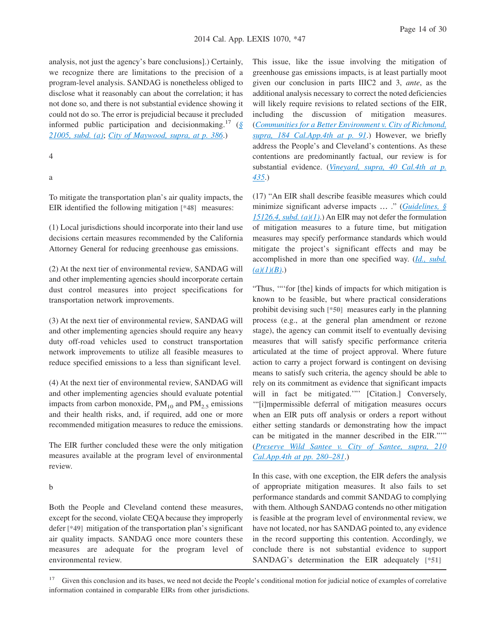analysis, not just the agency's bare conclusions].) Certainly, we recognize there are limitations to the precision of a program-level analysis. SANDAG is nonetheless obliged to disclose what it reasonably can about the correlation; it has not done so, and there is not substantial evidence showing it could not do so. The error is prejudicial because it precluded informed public participation and decisionmaking.<sup>17</sup> (*[§](http://advance.lexis.com/api/document?collection=statutes-legislation&id=urn:contentItem:4WN4-1BN0-R03K-G17G-00000-00&context=1000516) [21005, subd. \(a\)](http://advance.lexis.com/api/document?collection=statutes-legislation&id=urn:contentItem:4WN4-1BN0-R03K-G17G-00000-00&context=1000516)*; *[City of Maywood, supra, at p. 386](http://advance.lexis.com/api/document?collection=cases&id=urn:contentItem:56BT-PBP1-F04B-N19T-00000-00&context=1000516)*.)

#### 4

a

To mitigate the transportation plan's air quality impacts, the EIR identified the following mitigation **[\*48]** measures:

(1) Local jurisdictions should incorporate into their land use decisions certain measures recommended by the California Attorney General for reducing greenhouse gas emissions.

(2) At the next tier of environmental review, SANDAG will and other implementing agencies should incorporate certain dust control measures into project specifications for transportation network improvements.

(3) At the next tier of environmental review, SANDAG will and other implementing agencies should require any heavy duty off-road vehicles used to construct transportation network improvements to utilize all feasible measures to reduce specified emissions to a less than significant level.

(4) At the next tier of environmental review, SANDAG will and other implementing agencies should evaluate potential impacts from carbon monoxide,  $PM_{10}$  and  $PM_{2.5}$  emissions and their health risks, and, if required, add one or more recommended mitigation measures to reduce the emissions.

The EIR further concluded these were the only mitigation measures available at the program level of environmental review.

#### b

Both the People and Cleveland contend these measures, except for the second, violate CEQA because they improperly defer **[\*49]** mitigation of the transportation plan's significant air quality impacts. SANDAG once more counters these measures are adequate for the program level of environmental review.

This issue, like the issue involving the mitigation of greenhouse gas emissions impacts, is at least partially moot given our conclusion in parts IIIC2 and 3, *ante*, as the additional analysis necessary to correct the noted deficiencies will likely require revisions to related sections of the EIR, including the discussion of mitigation measures. (*[Communities for a Better Environment v. City of Richmond,](http://advance.lexis.com/api/document?collection=cases&id=urn:contentItem:7YB7-41B0-YB0K-H05Y-00000-00&context=1000516) [supra, 184 Cal.App.4th at p. 91](http://advance.lexis.com/api/document?collection=cases&id=urn:contentItem:7YB7-41B0-YB0K-H05Y-00000-00&context=1000516)*.) However, we briefly address the People's and Cleveland's contentions. As these contentions are predominantly factual, our review is for substantial evidence. (*[Vineyard, supra, 40 Cal.4th at p.](http://advance.lexis.com/api/document?collection=cases&id=urn:contentItem:4MYG-C580-0039-40F2-00000-00&context=1000516) [435](http://advance.lexis.com/api/document?collection=cases&id=urn:contentItem:4MYG-C580-0039-40F2-00000-00&context=1000516)*.)

(17) "An EIR shall describe feasible measures which could minimize significant adverse impacts … ." (*[Guidelines, §](http://advance.lexis.com/api/document?collection=administrative-codes&id=urn:contentItem:5381-TN90-0012-J554-00000-00&context=1000516) [15126.4, subd. \(a\)\(1\)](http://advance.lexis.com/api/document?collection=administrative-codes&id=urn:contentItem:5381-TN90-0012-J554-00000-00&context=1000516)*.) An EIR may not defer the formulation of mitigation measures to a future time, but mitigation measures may specify performance standards which would mitigate the project's significant effects and may be accomplished in more than one specified way. (*[Id., subd.](http://advance.lexis.com/api/document?collection=administrative-codes&id=urn:contentItem:5381-TN90-0012-J554-00000-00&context=1000516) [\(a\)\(1\)\(B\)](http://advance.lexis.com/api/document?collection=administrative-codes&id=urn:contentItem:5381-TN90-0012-J554-00000-00&context=1000516)*.)

"Thus, '"'for [the] kinds of impacts for which mitigation is known to be feasible, but where practical considerations prohibit devising such **[\*50]** measures early in the planning process (e.g., at the general plan amendment or rezone stage), the agency can commit itself to eventually devising measures that will satisfy specific performance criteria articulated at the time of project approval. Where future action to carry a project forward is contingent on devising means to satisfy such criteria, the agency should be able to rely on its commitment as evidence that significant impacts will in fact be mitigated."" [Citation.] Conversely, '"[i]mpermissible deferral of mitigation measures occurs when an EIR puts off analysis or orders a report without either setting standards or demonstrating how the impact can be mitigated in the manner described in the EIR."'" (*[Preserve Wild Santee v. City of Santee, supra, 210](http://advance.lexis.com/api/document?collection=cases&id=urn:contentItem:56VG-T8T1-F04B-N1WK-00000-00&context=1000516) [Cal.App.4th at pp. 280–281](http://advance.lexis.com/api/document?collection=cases&id=urn:contentItem:56VG-T8T1-F04B-N1WK-00000-00&context=1000516)*.)

In this case, with one exception, the EIR defers the analysis of appropriate mitigation measures. It also fails to set performance standards and commit SANDAG to complying with them. Although SANDAG contends no other mitigation is feasible at the program level of environmental review, we have not located, nor has SANDAG pointed to, any evidence in the record supporting this contention. Accordingly, we conclude there is not substantial evidence to support SANDAG's determination the EIR adequately **[\*51]**

Given this conclusion and its bases, we need not decide the People's conditional motion for judicial notice of examples of correlative information contained in comparable EIRs from other jurisdictions.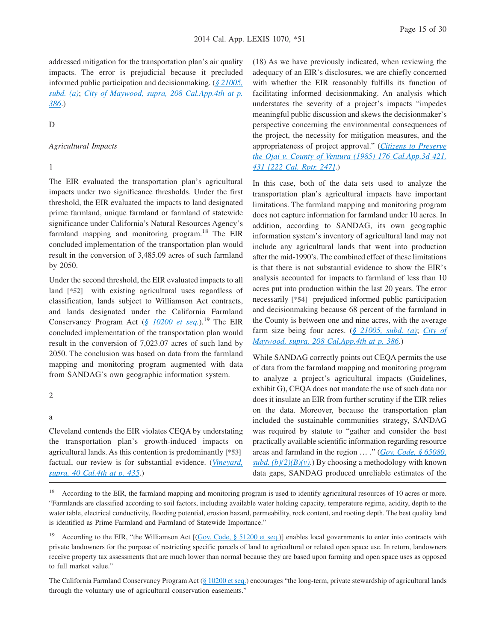addressed mitigation for the transportation plan's air quality impacts. The error is prejudicial because it precluded informed public participation and decisionmaking. (*[§ 21005,](http://advance.lexis.com/api/document?collection=statutes-legislation&id=urn:contentItem:4WN4-1BN0-R03K-G17G-00000-00&context=1000516) [subd. \(a\)](http://advance.lexis.com/api/document?collection=statutes-legislation&id=urn:contentItem:4WN4-1BN0-R03K-G17G-00000-00&context=1000516)*; *[City of Maywood, supra, 208 Cal.App.4th at p.](http://advance.lexis.com/api/document?collection=cases&id=urn:contentItem:56BT-PBP1-F04B-N19T-00000-00&context=1000516) [386](http://advance.lexis.com/api/document?collection=cases&id=urn:contentItem:56BT-PBP1-F04B-N19T-00000-00&context=1000516)*.)

#### D

#### *Agricultural Impacts*

## 1

The EIR evaluated the transportation plan's agricultural impacts under two significance thresholds. Under the first threshold, the EIR evaluated the impacts to land designated prime farmland, unique farmland or farmland of statewide significance under California's Natural Resources Agency's farmland mapping and monitoring program.<sup>18</sup> The EIR concluded implementation of the transportation plan would result in the conversion of 3,485.09 acres of such farmland by 2050.

Under the second threshold, the EIR evaluated impacts to all land **[\*52]** with existing agricultural uses regardless of classification, lands subject to Williamson Act contracts, and lands designated under the California Farmland Conservancy Program Act ( $\frac{\xi}{\xi}$  10200 *et seq.*).<sup>19</sup> The EIR concluded implementation of the transportation plan would result in the conversion of 7,023.07 acres of such land by 2050. The conclusion was based on data from the farmland mapping and monitoring program augmented with data from SANDAG's own geographic information system.

## 2

#### a

Cleveland contends the EIR violates CEQA by understating the transportation plan's growth-induced impacts on agricultural lands. As this contention is predominantly **[\*53]** factual, our review is for substantial evidence. (*[Vineyard,](http://advance.lexis.com/api/document?collection=cases&id=urn:contentItem:4MYG-C580-0039-40F2-00000-00&context=1000516) [supra, 40 Cal.4th at p. 435](http://advance.lexis.com/api/document?collection=cases&id=urn:contentItem:4MYG-C580-0039-40F2-00000-00&context=1000516)*.)

(18) As we have previously indicated, when reviewing the adequacy of an EIR's disclosures, we are chiefly concerned with whether the EIR reasonably fulfills its function of facilitating informed decisionmaking. An analysis which understates the severity of a project's impacts "impedes meaningful public discussion and skews the decisionmaker's perspective concerning the environmental consequences of the project, the necessity for mitigation measures, and the appropriateness of project approval." (*[Citizens to Preserve](http://advance.lexis.com/api/document?collection=cases&id=urn:contentItem:3RX6-K900-003D-J43D-00000-00&context=1000516) [the Ojai v. County of Ventura \(1985\) 176 Cal.App.3d 421,](http://advance.lexis.com/api/document?collection=cases&id=urn:contentItem:3RX6-K900-003D-J43D-00000-00&context=1000516) [431 \[222 Cal. Rptr. 247\]](http://advance.lexis.com/api/document?collection=cases&id=urn:contentItem:3RX6-K900-003D-J43D-00000-00&context=1000516)*.)

In this case, both of the data sets used to analyze the transportation plan's agricultural impacts have important limitations. The farmland mapping and monitoring program does not capture information for farmland under 10 acres. In addition, according to SANDAG, its own geographic information system's inventory of agricultural land may not include any agricultural lands that went into production after the mid-1990's. The combined effect of these limitations is that there is not substantial evidence to show the EIR's analysis accounted for impacts to farmland of less than 10 acres put into production within the last 20 years. The error necessarily **[\*54]** prejudiced informed public participation and decisionmaking because 68 percent of the farmland in the County is between one and nine acres, with the average farm size being four acres. (*[§ 21005, subd. \(a\)](http://advance.lexis.com/api/document?collection=statutes-legislation&id=urn:contentItem:4WN4-1BN0-R03K-G17G-00000-00&context=1000516)*; *[City of](http://advance.lexis.com/api/document?collection=cases&id=urn:contentItem:56BT-PBP1-F04B-N19T-00000-00&context=1000516) [Maywood, supra, 208 Cal.App.4th at p. 386](http://advance.lexis.com/api/document?collection=cases&id=urn:contentItem:56BT-PBP1-F04B-N19T-00000-00&context=1000516)*.)

While SANDAG correctly points out CEQA permits the use of data from the farmland mapping and monitoring program to analyze a project's agricultural impacts (Guidelines, exhibit G), CEQA does not mandate the use of such data nor does it insulate an EIR from further scrutiny if the EIR relies on the data. Moreover, because the transportation plan included the sustainable communities strategy, SANDAG was required by statute to "gather and consider the best practically available scientific information regarding resource areas and farmland in the region … ." (*[Gov. Code, § 65080,](http://advance.lexis.com/api/document?collection=statutes-legislation&id=urn:contentItem:4WN7-X0P0-R03K-N109-00000-00&context=1000516)*  $subd. (b)(2)(B)(v)$ .) By choosing a methodology with known data gaps, SANDAG produced unreliable estimates of the

<sup>18</sup> According to the EIR, the farmland mapping and monitoring program is used to identify agricultural resources of 10 acres or more. "Farmlands are classified according to soil factors, including available water holding capacity, temperature regime, acidity, depth to the water table, electrical conductivity, flooding potential, erosion hazard, permeability, rock content, and rooting depth. The best quality land is identified as Prime Farmland and Farmland of Statewide Importance."

<sup>19</sup> According to the EIR, "the Williamson Act  $[(Gov. Code, § 51200 et seq.)]$  $[(Gov. Code, § 51200 et seq.)]$  $[(Gov. Code, § 51200 et seq.)]$  enables local governments to enter into contracts with private landowners for the purpose of restricting specific parcels of land to agricultural or related open space use. In return, landowners receive property tax assessments that are much lower than normal because they are based upon farming and open space uses as opposed to full market value."

The California Farmland Conservancy Program Act [\(§ 10200 et seq.\)](http://advance.lexis.com/api/document?collection=statutes-legislation&id=urn:contentItem:4WN4-08D0-R03N-402F-00000-00&context=1000516) encourages "the long-term, private stewardship of agricultural lands through the voluntary use of agricultural conservation easements."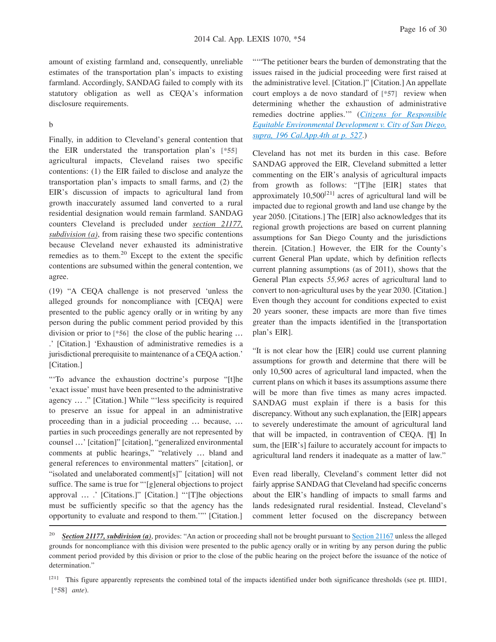amount of existing farmland and, consequently, unreliable estimates of the transportation plan's impacts to existing farmland. Accordingly, SANDAG failed to comply with its statutory obligation as well as CEQA's information disclosure requirements.

#### b

Finally, in addition to Cleveland's general contention that the EIR understated the transportation plan's **[\*55]** agricultural impacts, Cleveland raises two specific contentions: (1) the EIR failed to disclose and analyze the transportation plan's impacts to small farms, and (2) the EIR's discussion of impacts to agricultural land from growth inaccurately assumed land converted to a rural residential designation would remain farmland. SANDAG counters Cleveland is precluded under *section 21177, subdivision (a)*, from raising these two specific contentions because Cleveland never exhausted its administrative remedies as to them.<sup>20</sup> Except to the extent the specific contentions are subsumed within the general contention, we agree.

(19) "A CEQA challenge is not preserved 'unless the alleged grounds for noncompliance with [CEQA] were presented to the public agency orally or in writing by any person during the public comment period provided by this division or prior to **[\*56]** the close of the public hearing … .' [Citation.] 'Exhaustion of administrative remedies is a jurisdictional prerequisite to maintenance of a CEQA action.' [Citation.]

"'To advance the exhaustion doctrine's purpose "[t]he 'exact issue' must have been presented to the administrative agency … ." [Citation.] While "'less specificity is required to preserve an issue for appeal in an administrative proceeding than in a judicial proceeding … because, … parties in such proceedings generally are not represented by counsel …' [citation]" [citation], "generalized environmental comments at public hearings," "relatively … bland and general references to environmental matters" [citation], or "isolated and unelaborated comment[s]" [citation] will not suffice. The same is true for "'[g]eneral objections to project approval … .' [Citations.]" [Citation.] "'[T]he objections must be sufficiently specific so that the agency has the opportunity to evaluate and respond to them.'"' [Citation.]

""The petitioner bears the burden of demonstrating that the issues raised in the judicial proceeding were first raised at the administrative level. [Citation.]" [Citation.] An appellate court employs a de novo standard of **[\*57]** review when determining whether the exhaustion of administrative remedies doctrine applies.'" (*[Citizens for Responsible](http://advance.lexis.com/api/document?collection=cases&id=urn:contentItem:532H-BHG1-F04B-N3MF-00000-00&context=1000516) [Equitable Environmental Development v. City of San Diego,](http://advance.lexis.com/api/document?collection=cases&id=urn:contentItem:532H-BHG1-F04B-N3MF-00000-00&context=1000516) [supra, 196 Cal.App.4th at p. 527](http://advance.lexis.com/api/document?collection=cases&id=urn:contentItem:532H-BHG1-F04B-N3MF-00000-00&context=1000516)*.)

Cleveland has not met its burden in this case. Before SANDAG approved the EIR, Cleveland submitted a letter commenting on the EIR's analysis of agricultural impacts from growth as follows: "[T]he [EIR] states that approximately  $10,500^{[21]}$  acres of agricultural land will be impacted due to regional growth and land use change by the year 2050. [Citations.] The [EIR] also acknowledges that its regional growth projections are based on current planning assumptions for San Diego County and the jurisdictions therein. [Citation.] However, the EIR for the County's current General Plan update, which by definition reflects current planning assumptions (as of 2011), shows that the General Plan expects *55,963* acres of agricultural land to convert to non-agricultural uses by the year 2030. [Citation.] Even though they account for conditions expected to exist 20 years sooner, these impacts are more than five times greater than the impacts identified in the [transportation plan's EIR].

"It is not clear how the [EIR] could use current planning assumptions for growth and determine that there will be only 10,500 acres of agricultural land impacted, when the current plans on which it bases its assumptions assume there will be more than five times as many acres impacted. SANDAG must explain if there is a basis for this discrepancy. Without any such explanation, the [EIR] appears to severely underestimate the amount of agricultural land that will be impacted, in contravention of CEQA. [¶] In sum, the [EIR's] failure to accurately account for impacts to agricultural land renders it inadequate as a matter of law."

Even read liberally, Cleveland's comment letter did not fairly apprise SANDAG that Cleveland had specific concerns about the EIR's handling of impacts to small farms and lands redesignated rural residential. Instead, Cleveland's comment letter focused on the discrepancy between

<sup>&</sup>lt;sup>20</sup> **Section 21177, subdivision (a)**, provides: "An action or proceeding shall not be brought pursuant to [Section 21167](http://advance.lexis.com/api/document?collection=statutes-legislation&id=urn:contentItem:4WN4-1PW0-R03K-K1G8-00000-00&context=1000516) unless the alleged grounds for noncompliance with this division were presented to the public agency orally or in writing by any person during the public comment period provided by this division or prior to the close of the public hearing on the project before the issuance of the notice of determination."

<sup>[21]</sup> This figure apparently represents the combined total of the impacts identified under both significance thresholds (see pt. IIID1, **[\*58]** *ante*).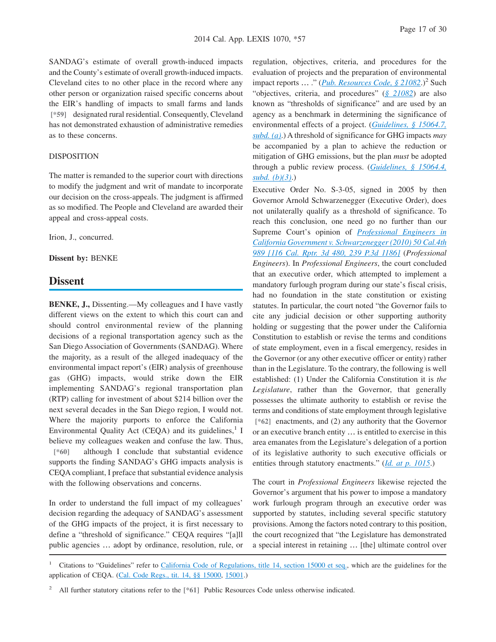SANDAG's estimate of overall growth-induced impacts and the County's estimate of overall growth-induced impacts. Cleveland cites to no other place in the record where any other person or organization raised specific concerns about the EIR's handling of impacts to small farms and lands **[\*59]** designated rural residential. Consequently, Cleveland has not demonstrated exhaustion of administrative remedies as to these concerns.

#### DISPOSITION

The matter is remanded to the superior court with directions to modify the judgment and writ of mandate to incorporate our decision on the cross-appeals. The judgment is affirmed as so modified. The People and Cleveland are awarded their appeal and cross-appeal costs.

Irion, J., concurred.

**Dissent by:** BENKE

## **Dissent**

**BENKE, J.,** Dissenting.—My colleagues and I have vastly different views on the extent to which this court can and should control environmental review of the planning decisions of a regional transportation agency such as the San Diego Association of Governments (SANDAG). Where the majority, as a result of the alleged inadequacy of the environmental impact report's (EIR) analysis of greenhouse gas (GHG) impacts, would strike down the EIR implementing SANDAG's regional transportation plan (RTP) calling for investment of about \$214 billion over the next several decades in the San Diego region, I would not. Where the majority purports to enforce the California Environmental Quality Act (CEQA) and its guidelines,<sup>1</sup> I believe my colleagues weaken and confuse the law. Thus, **[\*60]** although I conclude that substantial evidence supports the finding SANDAG's GHG impacts analysis is CEQA compliant, I preface that substantial evidence analysis with the following observations and concerns.

In order to understand the full impact of my colleagues' decision regarding the adequacy of SANDAG's assessment of the GHG impacts of the project, it is first necessary to define a "threshold of significance." CEQA requires "[a]ll public agencies … adopt by ordinance, resolution, rule, or regulation, objectives, criteria, and procedures for the evaluation of projects and the preparation of environmental impact reports ... ." (*[Pub. Resources Code, § 21082](http://advance.lexis.com/api/document?collection=statutes-legislation&id=urn:contentItem:4WN4-1BN0-R03K-G1B2-00000-00&context=1000516)*.)<sup>2</sup> Such "objectives, criteria, and procedures" (*[§ 21082](http://advance.lexis.com/api/document?collection=statutes-legislation&id=urn:contentItem:4WN4-1BN0-R03K-G1B2-00000-00&context=1000516)*) are also known as "thresholds of significance" and are used by an agency as a benchmark in determining the significance of environmental effects of a project. (*[Guidelines, § 15064.7,](http://advance.lexis.com/api/document?collection=administrative-codes&id=urn:contentItem:5381-TN80-0012-J538-00000-00&context=1000516) [subd. \(a\)](http://advance.lexis.com/api/document?collection=administrative-codes&id=urn:contentItem:5381-TN80-0012-J538-00000-00&context=1000516)*.) A threshold of significance for GHG impacts *may* be accompanied by a plan to achieve the reduction or mitigation of GHG emissions, but the plan *must* be adopted through a public review process. (*[Guidelines, § 15064.4,](http://advance.lexis.com/api/document?collection=administrative-codes&id=urn:contentItem:5381-TN80-0012-J536-00000-00&context=1000516) [subd. \(b\)\(3\)](http://advance.lexis.com/api/document?collection=administrative-codes&id=urn:contentItem:5381-TN80-0012-J536-00000-00&context=1000516)*.)

Executive Order No. S-3-05, signed in 2005 by then Governor Arnold Schwarzenegger (Executive Order), does not unilaterally qualify as a threshold of significance. To reach this conclusion, one need go no further than our Supreme Court's opinion of *[Professional Engineers in](http://advance.lexis.com/api/document?collection=cases&id=urn:contentItem:515D-9D41-F04B-P002-00000-00&context=1000516) [California Government v. Schwarzenegger \(2010\) 50 Cal.4th](http://advance.lexis.com/api/document?collection=cases&id=urn:contentItem:515D-9D41-F04B-P002-00000-00&context=1000516) [989 \[116 Cal. Rptr. 3d 480, 239 P.3d 1186\]](http://advance.lexis.com/api/document?collection=cases&id=urn:contentItem:515D-9D41-F04B-P002-00000-00&context=1000516)* (*Professional Engineers*). In *Professional Engineers*, the court concluded that an executive order, which attempted to implement a mandatory furlough program during our state's fiscal crisis, had no foundation in the state constitution or existing statutes. In particular, the court noted "the Governor fails to cite any judicial decision or other supporting authority holding or suggesting that the power under the California Constitution to establish or revise the terms and conditions of state employment, even in a fiscal emergency, resides in the Governor (or any other executive officer or entity) rather than in the Legislature. To the contrary, the following is well established: (1) Under the California Constitution it is *the Legislature*, rather than the Governor, that generally possesses the ultimate authority to establish or revise the terms and conditions of state employment through legislative **[\*62]** enactments, and (2) any authority that the Governor or an executive branch entity … is entitled to exercise in this area emanates from the Legislature's delegation of a portion of its legislative authority to such executive officials or entities through statutory enactments." (*[Id. at p. 1015](http://advance.lexis.com/api/document?collection=cases&id=urn:contentItem:515D-9D41-F04B-P002-00000-00&context=1000516)*.)

The court in *Professional Engineers* likewise rejected the Governor's argument that his power to impose a mandatory work furlough program through an executive order was supported by statutes, including several specific statutory provisions. Among the factors noted contrary to this position, the court recognized that "the Legislature has demonstrated a special interest in retaining … [the] ultimate control over

<sup>1</sup> Citations to "Guidelines" refer to [California Code of Regulations, title 14, section 15000 et seq.,](http://advance.lexis.com/api/document?collection=administrative-codes&id=urn:contentItem:5381-TN70-0012-J524-00000-00&context=1000516) which are the guidelines for the application of CEQA. [\(Cal. Code Regs., tit. 14, §§ 15000,](http://advance.lexis.com/api/document?collection=administrative-codes&id=urn:contentItem:5381-TN70-0012-J524-00000-00&context=1000516) [15001.](http://advance.lexis.com/api/document?collection=administrative-codes&id=urn:contentItem:5381-TN70-0012-J525-00000-00&context=1000516))

<sup>2</sup> All further statutory citations refer to the **[\*61]** Public Resources Code unless otherwise indicated.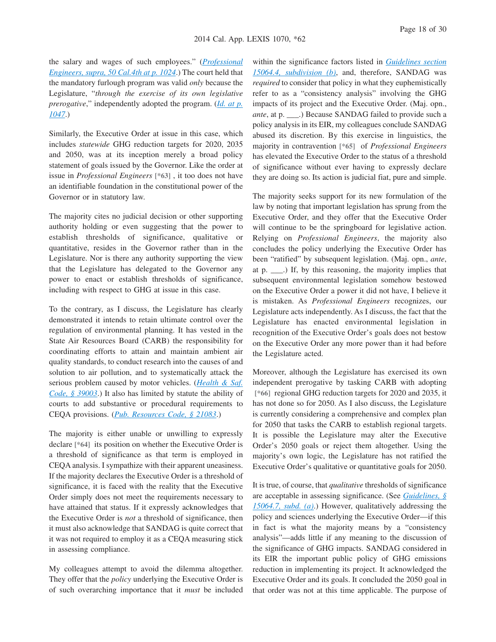the salary and wages of such employees." (*[Professional](http://advance.lexis.com/api/document?collection=cases&id=urn:contentItem:515D-9D41-F04B-P002-00000-00&context=1000516) [Engineers, supra, 50 Cal.4th at p. 1024](http://advance.lexis.com/api/document?collection=cases&id=urn:contentItem:515D-9D41-F04B-P002-00000-00&context=1000516)*.) The court held that the mandatory furlough program was valid *only* because the Legislature, "*through the exercise of its own legislative prerogative*," independently adopted the program. (*[Id. at p.](http://advance.lexis.com/api/document?collection=cases&id=urn:contentItem:515D-9D41-F04B-P002-00000-00&context=1000516) [1047](http://advance.lexis.com/api/document?collection=cases&id=urn:contentItem:515D-9D41-F04B-P002-00000-00&context=1000516)*.)

Similarly, the Executive Order at issue in this case, which includes *statewide* GHG reduction targets for 2020, 2035 and 2050, was at its inception merely a broad policy statement of goals issued by the Governor. Like the order at issue in *Professional Engineers* **[\*63]** , it too does not have an identifiable foundation in the constitutional power of the Governor or in statutory law.

The majority cites no judicial decision or other supporting authority holding or even suggesting that the power to establish thresholds of significance, qualitative or quantitative, resides in the Governor rather than in the Legislature. Nor is there any authority supporting the view that the Legislature has delegated to the Governor any power to enact or establish thresholds of significance, including with respect to GHG at issue in this case.

To the contrary, as I discuss, the Legislature has clearly demonstrated it intends to retain ultimate control over the regulation of environmental planning. It has vested in the State Air Resources Board (CARB) the responsibility for coordinating efforts to attain and maintain ambient air quality standards, to conduct research into the causes of and solution to air pollution, and to systematically attack the serious problem caused by motor vehicles. (*[Health & Saf.](http://advance.lexis.com/api/document?collection=statutes-legislation&id=urn:contentItem:4WK4-7CV0-R03K-N0R8-00000-00&context=1000516) [Code, § 39003](http://advance.lexis.com/api/document?collection=statutes-legislation&id=urn:contentItem:4WK4-7CV0-R03K-N0R8-00000-00&context=1000516)*.) It also has limited by statute the ability of courts to add substantive or procedural requirements to CEQA provisions. (*[Pub. Resources Code, § 21083](http://advance.lexis.com/api/document?collection=statutes-legislation&id=urn:contentItem:4WN4-1BN0-R03K-G1B5-00000-00&context=1000516)*.)

The majority is either unable or unwilling to expressly declare **[\*64]** its position on whether the Executive Order is a threshold of significance as that term is employed in CEQA analysis. I sympathize with their apparent uneasiness. If the majority declares the Executive Order is a threshold of significance, it is faced with the reality that the Executive Order simply does not meet the requirements necessary to have attained that status. If it expressly acknowledges that the Executive Order is *not* a threshold of significance, then it must also acknowledge that SANDAG is quite correct that it was not required to employ it as a CEQA measuring stick in assessing compliance.

My colleagues attempt to avoid the dilemma altogether. They offer that the *policy* underlying the Executive Order is of such overarching importance that it *must* be included within the significance factors listed in *[Guidelines section](http://advance.lexis.com/api/document?collection=administrative-codes&id=urn:contentItem:5381-TN80-0012-J536-00000-00&context=1000516) [15064.4, subdivision \(b\)](http://advance.lexis.com/api/document?collection=administrative-codes&id=urn:contentItem:5381-TN80-0012-J536-00000-00&context=1000516)*, and, therefore, SANDAG was *required* to consider that policy in what they euphemistically refer to as a "consistency analysis" involving the GHG impacts of its project and the Executive Order. (Maj. opn., *ante*, at p. \_\_\_.) Because SANDAG failed to provide such a policy analysis in its EIR, my colleagues conclude SANDAG abused its discretion. By this exercise in linguistics, the majority in contravention **[\*65]** of *Professional Engineers* has elevated the Executive Order to the status of a threshold of significance without ever having to expressly declare they are doing so. Its action is judicial fiat, pure and simple.

The majority seeks support for its new formulation of the law by noting that important legislation has sprung from the Executive Order, and they offer that the Executive Order will continue to be the springboard for legislative action. Relying on *Professional Engineers*, the majority also concludes the policy underlying the Executive Order has been "ratified" by subsequent legislation. (Maj. opn., *ante*, at p. \_\_\_.) If, by this reasoning, the majority implies that subsequent environmental legislation somehow bestowed on the Executive Order a power it did not have, I believe it is mistaken. As *Professional Engineers* recognizes, our Legislature acts independently. As I discuss, the fact that the Legislature has enacted environmental legislation in recognition of the Executive Order's goals does not bestow on the Executive Order any more power than it had before the Legislature acted.

Moreover, although the Legislature has exercised its own independent prerogative by tasking CARB with adopting **[\*66]** regional GHG reduction targets for 2020 and 2035, it has not done so for 2050. As I also discuss, the Legislature is currently considering a comprehensive and complex plan for 2050 that tasks the CARB to establish regional targets. It is possible the Legislature may alter the Executive Order's 2050 goals or reject them altogether. Using the majority's own logic, the Legislature has not ratified the Executive Order's qualitative or quantitative goals for 2050.

It is true, of course, that *qualitative* thresholds of significance are acceptable in assessing significance. (See *[Guidelines, §](http://advance.lexis.com/api/document?collection=administrative-codes&id=urn:contentItem:5381-TN80-0012-J538-00000-00&context=1000516) [15064.7, subd. \(a\)](http://advance.lexis.com/api/document?collection=administrative-codes&id=urn:contentItem:5381-TN80-0012-J538-00000-00&context=1000516)*.) However, qualitatively addressing the policy and sciences underlying the Executive Order—if this in fact is what the majority means by a "consistency analysis"—adds little if any meaning to the discussion of the significance of GHG impacts. SANDAG considered in its EIR the important public policy of GHG emissions reduction in implementing its project. It acknowledged the Executive Order and its goals. It concluded the 2050 goal in that order was not at this time applicable. The purpose of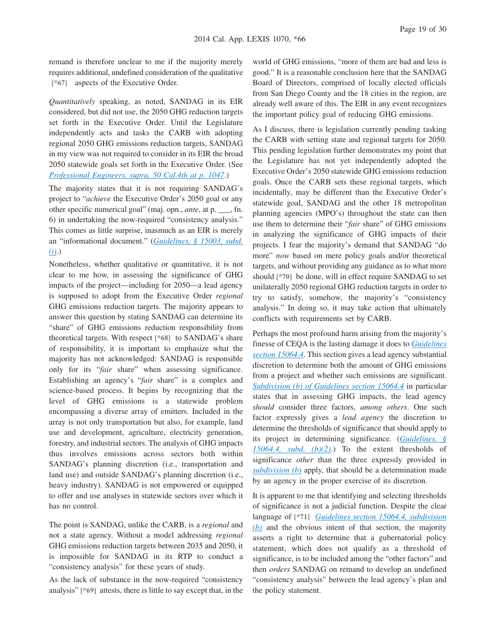remand is therefore unclear to me if the majority merely requires additional, undefined consideration of the qualitative **[\*67]** aspects of the Executive Order.

*Quantitatively* speaking, as noted, SANDAG in its EIR considered, but did not use, the 2050 GHG reduction targets set forth in the Executive Order. Until the Legislature independently acts and tasks the CARB with adopting regional 2050 GHG emissions reduction targets, SANDAG in my view was not required to consider in its EIR the broad 2050 statewide goals set forth in the Executive Order. (See *[Professional Engineers, supra, 50 Cal.4th at p. 1047](http://advance.lexis.com/api/document?collection=cases&id=urn:contentItem:515D-9D41-F04B-P002-00000-00&context=1000516)*.)

The majority states that it is not requiring SANDAG's project to "*achieve* the Executive Order's 2050 goal or any other specific numerical goal" (maj. opn., *ante*, at p. \_\_\_, fn. 6) in undertaking the now-required "consistency analysis." This comes as little surprise, inasmuch as an EIR is merely an "informational document." (*[Guidelines, § 15003, subd.](http://advance.lexis.com/api/document?collection=administrative-codes&id=urn:contentItem:5381-TN70-0012-J527-00000-00&context=1000516) [\(i\)](http://advance.lexis.com/api/document?collection=administrative-codes&id=urn:contentItem:5381-TN70-0012-J527-00000-00&context=1000516)*.)

Nonetheless, whether qualitative or quantitative, it is not clear to me how, in assessing the significance of GHG impacts of the project—including for 2050—a lead agency is supposed to adopt from the Executive Order *regional* GHG emissions reduction targets. The majority appears to answer this question by stating SANDAG can determine its "share" of GHG emissions reduction responsibility from theoretical targets. With respect **[\*68]** to SANDAG's share of responsibility, it is important to emphasize what the majority has not acknowledged: SANDAG is responsible only for its "*fair* share" when assessing significance. Establishing an agency's "*fair* share" is a complex and science-based process. It begins by recognizing that the level of GHG emissions is a statewide problem encompassing a diverse array of emitters. Included in the array is not only transportation but also, for example, land use and development, agriculture, electricity generation, forestry, and industrial sectors. The analysis of GHG impacts thus involves emissions across sectors both within SANDAG's planning discretion (i.e., transportation and land use) and outside SANDAG's planning discretion (i.e., heavy industry). SANDAG is not empowered or equipped to offer and use analyses in statewide sectors over which it has no control.

The point is SANDAG, unlike the CARB, is a *regional* and not a state agency. Without a model addressing *regional* GHG emissions reduction targets between 2035 and 2050, it is impossible for SANDAG in its RTP to conduct a "consistency analysis" for these years of study.

As the lack of substance in the now-required "consistency analysis" **[\*69]** attests, there is little to say except that, in the world of GHG emissions, "more of them are bad and less is good." It is a reasonable conclusion here that the SANDAG Board of Directors, comprised of locally elected officials from San Diego County and the 18 cities in the region, are already well aware of this. The EIR in any event recognizes the important policy goal of reducing GHG emissions.

As I discuss, there is legislation currently pending tasking the CARB with setting state and regional targets for 2050. This pending legislation further demonstrates my point that the Legislature has not yet independently adopted the Executive Order's 2050 statewide GHG emissions reduction goals. Once the CARB sets these regional targets, which incidentally, may be different than the Executive Order's statewide goal, SANDAG and the other 18 metropolitan planning agencies (MPO's) throughout the state can then use them to determine their "*fair* share" of GHG emissions in analyzing the significance of GHG impacts of their projects. I fear the majority's demand that SANDAG "do more" *now* based on mere policy goals and/or theoretical targets, and without providing any guidance as to what more should **[\*70]** be done, will in effect require SANDAG to set unilaterally 2050 regional GHG reduction targets in order to try to satisfy, somehow, the majority's "consistency analysis." In doing so, it may take action that ultimately conflicts with requirements set by CARB.

Perhaps the most profound harm arising from the majority's finesse of CEQA is the lasting damage it does to *[Guidelines](http://advance.lexis.com/api/document?collection=administrative-codes&id=urn:contentItem:5381-TN80-0012-J536-00000-00&context=1000516) [section 15064.4](http://advance.lexis.com/api/document?collection=administrative-codes&id=urn:contentItem:5381-TN80-0012-J536-00000-00&context=1000516)*. This section gives a lead agency substantial discretion to determine both the amount of GHG emissions from a project and whether such emissions are significant. *[Subdivision \(b\) of Guidelines section 15064.4](http://advance.lexis.com/api/document?collection=administrative-codes&id=urn:contentItem:5381-TN80-0012-J536-00000-00&context=1000516)* in particular states that in assessing GHG impacts, the lead agency *should* consider three factors, *among others*. One such factor expressly gives a *lead agency* the discretion to determine the thresholds of significance that should apply to its project in determining significance. (*[Guidelines, §](http://advance.lexis.com/api/document?collection=administrative-codes&id=urn:contentItem:5381-TN80-0012-J536-00000-00&context=1000516) [15064.4, subd. \(b\)\(2\)](http://advance.lexis.com/api/document?collection=administrative-codes&id=urn:contentItem:5381-TN80-0012-J536-00000-00&context=1000516)*.) To the extent thresholds of significance *other* than the three expressly provided in *[subdivision \(b\)](http://advance.lexis.com/api/document?collection=administrative-codes&id=urn:contentItem:5381-TN80-0012-J536-00000-00&context=1000516)* apply, that should be a determination made by an agency in the proper exercise of its discretion.

It is apparent to me that identifying and selecting thresholds of significance is not a judicial function. Despite the clear language of **[\*71]** *[Guidelines section 15064.4, subdivision](http://advance.lexis.com/api/document?collection=administrative-codes&id=urn:contentItem:5381-TN80-0012-J536-00000-00&context=1000516) [\(b\)](http://advance.lexis.com/api/document?collection=administrative-codes&id=urn:contentItem:5381-TN80-0012-J536-00000-00&context=1000516)* and the obvious intent of that section, the majority asserts a right to determine that a gubernatorial policy statement, which does not qualify as a threshold of significance, is to be included among the "other factors" and then *orders* SANDAG on remand to develop an undefined "consistency analysis" between the lead agency's plan and the policy statement.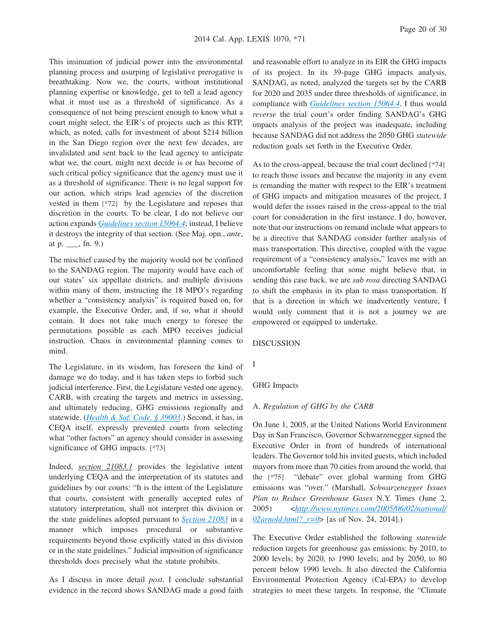This insinuation of judicial power into the environmental planning process and usurping of legislative prerogative is breathtaking. Now we, the courts, without institutional planning expertise or knowledge, get to tell a lead agency what it must use as a threshold of significance. As a consequence of not being prescient enough to know what a court might select, the EIR's of projects such as this RTP, which, as noted, calls for investment of about \$214 billion in the San Diego region over the next few decades, are invalidated and sent back to the lead agency to anticipate what we, the court, might next decide is or has become of such critical policy significance that the agency must use it as a threshold of significance. There is no legal support for our action, which strips lead agencies of the discretion vested in them **[\*72]** by the Legislature and reposes that discretion in the courts. To be clear, I do not believe our action expands *[Guidelines section 15064.4](http://advance.lexis.com/api/document?collection=administrative-codes&id=urn:contentItem:5381-TN80-0012-J536-00000-00&context=1000516)*; instead, I believe it destroys the integrity of that section. (See Maj. opn., *ante*, at p.  $\_\_$ , fn. 9.)

The mischief caused by the majority would not be confined to the SANDAG region. The majority would have each of our states' six appellate districts, and multiple divisions within many of them, instructing the 18 MPO's regarding whether a "consistency analysis" is required based on, for example, the Executive Order, and, if so, what it should contain. It does not take much energy to foresee the permutations possible as each MPO receives judicial instruction. Chaos in environmental planning comes to mind.

The Legislature, in its wisdom, has foreseen the kind of damage we do today, and it has taken steps to forbid such judicial interference. First, the Legislature vested one agency, CARB, with creating the targets and metrics in assessing, and ultimately reducing, GHG emissions regionally and statewide. (*[Health & Saf. Code, § 39003](http://advance.lexis.com/api/document?collection=statutes-legislation&id=urn:contentItem:4WK4-7CV0-R03K-N0R8-00000-00&context=1000516)*.) Second, it has, in CEQA itself, expressly prevented courts from selecting what "other factors" an agency should consider in assessing significance of GHG impacts. **[\*73]**

Indeed, *section 21083.1* provides the legislative intent underlying CEQA and the interpretation of its statutes and guidelines by our courts: "It is the intent of the Legislature that courts, consistent with generally accepted rules of statutory interpretation, shall not interpret this division or the state guidelines adopted pursuant to *[Section 21083](http://advance.lexis.com/api/document?collection=statutes-legislation&id=urn:contentItem:4WN4-1BN0-R03K-G1B5-00000-00&context=1000516)* in a manner which imposes procedural or substantive requirements beyond those explicitly stated in this division or in the state guidelines." Judicial imposition of significance thresholds does precisely what the statute prohibits.

As I discuss in more detail *post*, I conclude substantial evidence in the record shows SANDAG made a good faith and reasonable effort to analyze in its EIR the GHG impacts of its project. In its 39-page GHG impacts analysis, SANDAG, as noted, analyzed the targets set by the CARB for 2020 and 2035 under three thresholds of significance, in compliance with *[Guidelines section 15064.4](http://advance.lexis.com/api/document?collection=administrative-codes&id=urn:contentItem:5381-TN80-0012-J536-00000-00&context=1000516)*. I thus would *reverse* the trial court's order finding SANDAG's GHG impacts analysis of the project was inadequate, including because SANDAG did not address the 2050 GHG *statewide* reduction goals set forth in the Executive Order.

As to the cross-appeal, because the trial court declined **[\*74]** to reach those issues and because the majority in any event is remanding the matter with respect to the EIR's treatment of GHG impacts and mitigation measures of the project, I would defer the issues raised in the cross-appeal to the trial court for consideration in the first instance. I do, however, note that our instructions on remand include what appears to be a directive that SANDAG consider further analysis of mass transportation. This directive, coupled with the vague requirement of a "consistency analysis," leaves me with an uncomfortable feeling that some might believe that, in sending this case back, we are *sub rosa* directing SANDAG to shift the emphasis in its plan to mass transportation. If that is a direction in which we inadvertently venture, I would only comment that it is not a journey we are empowered or equipped to undertake.

#### DISCUSSION

I

#### GHG Impacts

#### A. *Regulation of GHG by the CARB*

On June 1, 2005, at the United Nations World Environment Day in San Francisco, Governor Schwarzenegger signed the Executive Order in front of hundreds of international leaders. The Governor told his invited guests, which included mayors from more than 70 cities from around the world, that the **[\*75]** "debate" over global warming from GHG emissions was "over." (Marshall, *Schwarzenegger Issues Plan to Reduce Greenhouse Gases* N.Y. Times (June 2, 2005) <*[http://www.nytimes.com/2005/06/02/national/](http://www.nytimes.com/2005/06/02/national/02arnold.html?_r=0) [02arnold.html?\\_r=0](http://www.nytimes.com/2005/06/02/national/02arnold.html?_r=0)*> [as of Nov. 24, 2014].)

The Executive Order established the following *statewide* reduction targets for greenhouse gas emissions: by 2010, to 2000 levels; by 2020, to 1990 levels; and by 2050, to 80 percent below 1990 levels. It also directed the California Environmental Protection Agency (Cal-EPA) to develop strategies to meet these targets. In response, the "Climate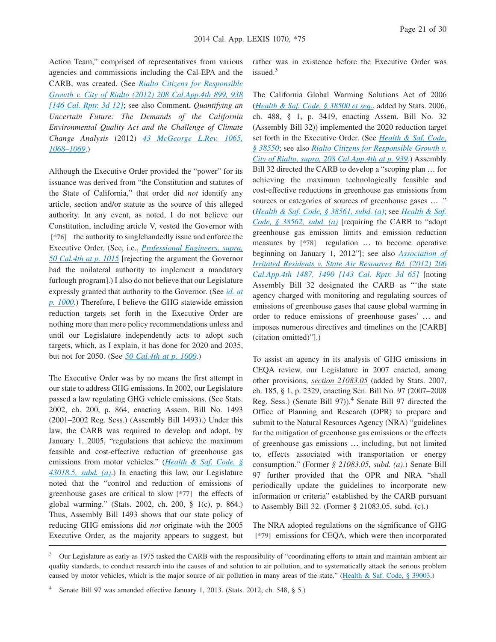Action Team," comprised of representatives from various agencies and commissions including the Cal-EPA and the CARB, was created. (See *[Rialto Citizens for Responsible](http://advance.lexis.com/api/document?collection=cases&id=urn:contentItem:56FC-K921-F04B-N1DS-00000-00&context=1000516) [Growth v. City of Rialto \(2012\) 208 Cal.App.4th 899, 938](http://advance.lexis.com/api/document?collection=cases&id=urn:contentItem:56FC-K921-F04B-N1DS-00000-00&context=1000516) [\[146 Cal. Rptr. 3d 12\]](http://advance.lexis.com/api/document?collection=cases&id=urn:contentItem:56FC-K921-F04B-N1DS-00000-00&context=1000516)*; see also Comment, *Quantifying an Uncertain Future: The Demands of the California Environmental Quality Act and the Challenge of Climate Change Analysis* (2012) *[43 McGeorge L.Rev. 1065,](http://advance.lexis.com/api/document?collection=analytical-materials&id=urn:contentItem:57FK-5FV0-00CV-80CC-00000-00&context=1000516) [1068–1069](http://advance.lexis.com/api/document?collection=analytical-materials&id=urn:contentItem:57FK-5FV0-00CV-80CC-00000-00&context=1000516)*.)

Although the Executive Order provided the "power" for its issuance was derived from "the Constitution and statutes of the State of California," that order did *not* identify any article, section and/or statute as the source of this alleged authority. In any event, as noted, I do not believe our Constitution, including article V, vested the Governor with **[\*76]** the authority to singlehandedly issue and enforce the Executive Order. (See, i.e., *[Professional Engineers, supra,](http://advance.lexis.com/api/document?collection=cases&id=urn:contentItem:515D-9D41-F04B-P002-00000-00&context=1000516) [50 Cal.4th at p. 1015](http://advance.lexis.com/api/document?collection=cases&id=urn:contentItem:515D-9D41-F04B-P002-00000-00&context=1000516)* [rejecting the argument the Governor had the unilateral authority to implement a mandatory furlough program].) I also do not believe that our Legislature expressly granted that authority to the Governor. (See *[id. at](http://advance.lexis.com/api/document?collection=cases&id=urn:contentItem:515D-9D41-F04B-P002-00000-00&context=1000516) [p. 1000](http://advance.lexis.com/api/document?collection=cases&id=urn:contentItem:515D-9D41-F04B-P002-00000-00&context=1000516)*.) Therefore, I believe the GHG statewide emission reduction targets set forth in the Executive Order are nothing more than mere policy recommendations unless and until our Legislature independently acts to adopt such targets, which, as I explain, it has done for 2020 and 2035, but not for 2050. (See *[50 Cal.4th at p. 1000](http://advance.lexis.com/api/document?collection=cases&id=urn:contentItem:515D-9D41-F04B-P002-00000-00&context=1000516)*.)

The Executive Order was by no means the first attempt in our state to address GHG emissions. In 2002, our Legislature passed a law regulating GHG vehicle emissions. (See Stats. 2002, ch. 200, p. 864, enacting Assem. Bill No. 1493 (2001–2002 Reg. Sess.) (Assembly Bill 1493).) Under this law, the CARB was required to develop and adopt, by January 1, 2005, "regulations that achieve the maximum feasible and cost-effective reduction of greenhouse gas emissions from motor vehicles." (*[Health & Saf. Code, §](http://advance.lexis.com/api/document?collection=statutes-legislation&id=urn:contentItem:559S-5V70-R03N-X3VN-00000-00&context=1000516) [43018.5, subd. \(a\)](http://advance.lexis.com/api/document?collection=statutes-legislation&id=urn:contentItem:559S-5V70-R03N-X3VN-00000-00&context=1000516)*.) In enacting this law, our Legislature noted that the "control and reduction of emissions of greenhouse gases are critical to slow **[\*77]** the effects of global warming." (Stats. 2002, ch. 200, § 1(c), p. 864.) Thus, Assembly Bill 1493 shows that our state policy of reducing GHG emissions did *not* originate with the 2005 Executive Order, as the majority appears to suggest, but

rather was in existence before the Executive Order was issued.<sup>3</sup>

The California Global Warming Solutions Act of 2006 (*[Health & Saf. Code, § 38500 et seq.](http://advance.lexis.com/api/document?collection=statutes-legislation&id=urn:contentItem:4WK4-7CV0-R03K-N0P5-00000-00&context=1000516)*, added by Stats. 2006, ch. 488, § 1, p. 3419, enacting Assem. Bill No. 32 (Assembly Bill 32)) implemented the 2020 reduction target set forth in the Executive Order. (See *[Health & Saf. Code,](http://advance.lexis.com/api/document?collection=statutes-legislation&id=urn:contentItem:4WK4-7CV0-R03K-N0PB-00000-00&context=1000516) [§ 38550](http://advance.lexis.com/api/document?collection=statutes-legislation&id=urn:contentItem:4WK4-7CV0-R03K-N0PB-00000-00&context=1000516)*; see also *[Rialto Citizens for Responsible Growth v.](http://advance.lexis.com/api/document?collection=cases&id=urn:contentItem:56FC-K921-F04B-N1DS-00000-00&context=1000516) [City of Rialto, supra, 208 Cal.App.4th at p. 939](http://advance.lexis.com/api/document?collection=cases&id=urn:contentItem:56FC-K921-F04B-N1DS-00000-00&context=1000516)*.) Assembly Bill 32 directed the CARB to develop a "scoping plan … for achieving the maximum technologically feasible and cost-effective reductions in greenhouse gas emissions from sources or categories of sources of greenhouse gases ... ." (*[Health & Saf. Code, § 38561, subd. \(a\)](http://advance.lexis.com/api/document?collection=statutes-legislation&id=urn:contentItem:4WK4-7CV0-R03K-N0PG-00000-00&context=1000516)*; see *[Health & Saf.](http://advance.lexis.com/api/document?collection=statutes-legislation&id=urn:contentItem:4WK4-7CV0-R03K-N0PH-00000-00&context=1000516) [Code, § 38562, subd. \(a\)](http://advance.lexis.com/api/document?collection=statutes-legislation&id=urn:contentItem:4WK4-7CV0-R03K-N0PH-00000-00&context=1000516)* [requiring the CARB to "adopt greenhouse gas emission limits and emission reduction measures by **[\*78]** regulation … to become operative beginning on January 1, 2012"]; see also *[Association of](http://advance.lexis.com/api/document?collection=cases&id=urn:contentItem:55XG-F981-F04B-N0V5-00000-00&context=1000516) [Irritated Residents v. State Air Resources Bd. \(2012\) 206](http://advance.lexis.com/api/document?collection=cases&id=urn:contentItem:55XG-F981-F04B-N0V5-00000-00&context=1000516) [Cal.App.4th 1487, 1490 \[143 Cal. Rptr. 3d 65\]](http://advance.lexis.com/api/document?collection=cases&id=urn:contentItem:55XG-F981-F04B-N0V5-00000-00&context=1000516)* [noting Assembly Bill 32 designated the CARB as "'the state agency charged with monitoring and regulating sources of emissions of greenhouse gases that cause global warming in order to reduce emissions of greenhouse gases' … and imposes numerous directives and timelines on the [CARB] (citation omitted)"].)

To assist an agency in its analysis of GHG emissions in CEQA review, our Legislature in 2007 enacted, among other provisions, *section 21083.05* (added by Stats. 2007, ch. 185, § 1, p. 2329, enacting Sen. Bill No. 97 (2007–2008 Reg. Sess.) (Senate Bill 97)).<sup>4</sup> Senate Bill 97 directed the Office of Planning and Research (OPR) to prepare and submit to the Natural Resources Agency (NRA) "guidelines for the mitigation of greenhouse gas emissions or the effects of greenhouse gas emissions … including, but not limited to, effects associated with transportation or energy consumption." (Former *§ 21083.05, subd. (a)*.) Senate Bill 97 further provided that the OPR and NRA "shall periodically update the guidelines to incorporate new information or criteria" established by the CARB pursuant to Assembly Bill 32. (Former § 21083.05, subd. (c).)

The NRA adopted regulations on the significance of GHG **[\*79]** emissions for CEQA, which were then incorporated

<sup>&</sup>lt;sup>3</sup> Our Legislature as early as 1975 tasked the CARB with the responsibility of "coordinating efforts to attain and maintain ambient air quality standards, to conduct research into the causes of and solution to air pollution, and to systematically attack the serious problem caused by motor vehicles, which is the major source of air pollution in many areas of the state." [\(Health & Saf. Code, § 39003.](http://advance.lexis.com/api/document?collection=statutes-legislation&id=urn:contentItem:4WK4-7CV0-R03K-N0R8-00000-00&context=1000516))

<sup>4</sup> Senate Bill 97 was amended effective January 1, 2013. (Stats. 2012, ch. 548, § 5.)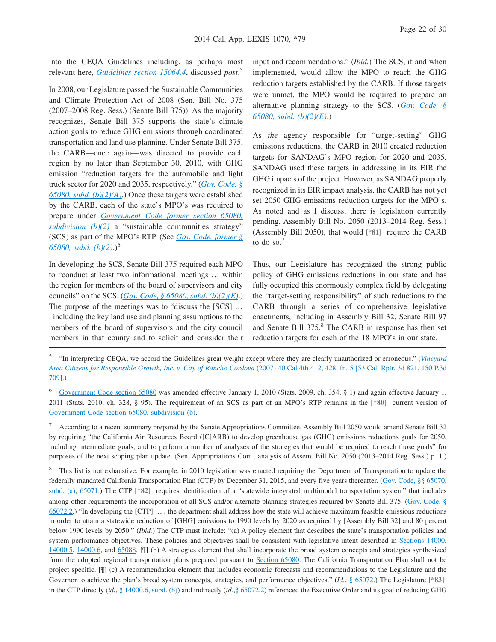into the CEQA Guidelines including, as perhaps most relevant here, *[Guidelines section 15064.4](http://advance.lexis.com/api/document?collection=administrative-codes&id=urn:contentItem:5381-TN80-0012-J536-00000-00&context=1000516)*, discussed *post*. 5

In 2008, our Legislature passed the Sustainable Communities and Climate Protection Act of 2008 (Sen. Bill No. 375 (2007–2008 Reg. Sess.) (Senate Bill 375)). As the majority recognizes, Senate Bill 375 supports the state's climate action goals to reduce GHG emissions through coordinated transportation and land use planning. Under Senate Bill 375, the CARB—once again—was directed to provide each region by no later than September 30, 2010, with GHG emission "reduction targets for the automobile and light truck sector for 2020 and 2035, respectively." (*[Gov. Code, §](http://advance.lexis.com/api/document?collection=statutes-legislation&id=urn:contentItem:4WN7-X0P0-R03K-N109-00000-00&context=1000516) [65080, subd. \(b\)\(2\)\(A\)](http://advance.lexis.com/api/document?collection=statutes-legislation&id=urn:contentItem:4WN7-X0P0-R03K-N109-00000-00&context=1000516)*.) Once these targets were established by the CARB, each of the state's MPO's was required to prepare under *[Government Code former section 65080,](http://advance.lexis.com/api/document?collection=statutes-legislation&id=urn:contentItem:4WN7-X0P0-R03K-N109-00000-00&context=1000516) [subdivision \(b\)\(2\)](http://advance.lexis.com/api/document?collection=statutes-legislation&id=urn:contentItem:4WN7-X0P0-R03K-N109-00000-00&context=1000516)* a "sustainable communities strategy" (SCS) as part of the MPO's RTP. (See *[Gov. Code, former §](http://advance.lexis.com/api/document?collection=statutes-legislation&id=urn:contentItem:4WN7-X0P0-R03K-N109-00000-00&context=1000516) [65080, subd. \(b\)\(2\)](http://advance.lexis.com/api/document?collection=statutes-legislation&id=urn:contentItem:4WN7-X0P0-R03K-N109-00000-00&context=1000516)*.)<sup>6</sup>

In developing the SCS, Senate Bill 375 required each MPO to "conduct at least two informational meetings … within the region for members of the board of supervisors and city councils" on the SCS. (*[Gov. Code, § 65080, subd. \(b\)\(2\)\(E\)](http://advance.lexis.com/api/document?collection=statutes-legislation&id=urn:contentItem:4WN7-X0P0-R03K-N109-00000-00&context=1000516)*.) The purpose of the meetings was to "discuss the [SCS] … , including the key land use and planning assumptions to the members of the board of supervisors and the city council members in that county and to solicit and consider their input and recommendations." (*Ibid.*) The SCS, if and when implemented, would allow the MPO to reach the GHG reduction targets established by the CARB. If those targets were unmet, the MPO would be required to prepare an alternative planning strategy to the SCS. (*[Gov. Code, §](http://advance.lexis.com/api/document?collection=statutes-legislation&id=urn:contentItem:4WN7-X0P0-R03K-N109-00000-00&context=1000516) [65080, subd. \(b\)\(2\)\(E\)](http://advance.lexis.com/api/document?collection=statutes-legislation&id=urn:contentItem:4WN7-X0P0-R03K-N109-00000-00&context=1000516)*.)

As *the* agency responsible for "target-setting" GHG emissions reductions, the CARB in 2010 created reduction targets for SANDAG's MPO region for 2020 and 2035. SANDAG used these targets in addressing in its EIR the GHG impacts of the project. However, as SANDAG properly recognized in its EIR impact analysis, the CARB has not yet set 2050 GHG emissions reduction targets for the MPO's. As noted and as I discuss, there is legislation currently pending, Assembly Bill No. 2050 (2013–2014 Reg. Sess.) (Assembly Bill 2050), that would **[\*81]** require the CARB to do so.<sup>7</sup>

Thus, our Legislature has recognized the strong public policy of GHG emissions reductions in our state and has fully occupied this enormously complex field by delegating the "target-setting responsibility" of such reductions to the CARB through a series of comprehensive legislative enactments, including in Assembly Bill 32, Senate Bill 97 and Senate Bill 375.<sup>8</sup> The CARB in response has then set reduction targets for each of the 18 MPO's in our state.

<sup>5</sup> "In interpreting CEQA, we accord the Guidelines great weight except where they are clearly unauthorized or erroneous." (*[Vineyard](http://advance.lexis.com/api/document?collection=cases&id=urn:contentItem:4MYG-C580-0039-40F2-00000-00&context=1000516) [Area Citizens for Responsible Growth, Inc. v. City of Rancho Cordova](http://advance.lexis.com/api/document?collection=cases&id=urn:contentItem:4MYG-C580-0039-40F2-00000-00&context=1000516)* (2007) 40 Cal.4th 412, 428, fn. 5 [53 Cal. Rptr. 3d 821, 150 P.3d [709\].](http://advance.lexis.com/api/document?collection=cases&id=urn:contentItem:4MYG-C580-0039-40F2-00000-00&context=1000516))

<sup>6</sup> [Government Code section 65080](http://advance.lexis.com/api/document?collection=statutes-legislation&id=urn:contentItem:4WN7-X0P0-R03K-N109-00000-00&context=1000516) was amended effective January 1, 2010 (Stats. 2009, ch. 354, § 1) and again effective January 1, 2011 (Stats. 2010, ch. 328, § 95). The requirement of an SCS as part of an MPO's RTP remains in the **[\*80]** current version of [Government Code section 65080, subdivision \(b\).](http://advance.lexis.com/api/document?collection=statutes-legislation&id=urn:contentItem:4WN7-X0P0-R03K-N109-00000-00&context=1000516)

<sup>7</sup> According to a recent summary prepared by the Senate Appropriations Committee, Assembly Bill 2050 would amend Senate Bill 32 by requiring "the California Air Resources Board ([C]ARB) to develop greenhouse gas (GHG) emissions reductions goals for 2050, including intermediate goals, and to perform a number of analyses of the strategies that would be required to reach those goals" for purposes of the next scoping plan update. (Sen. Appropriations Com., analysis of Assem. Bill No. 2050 (2013–2014 Reg. Sess.) p. 1.)

8 This list is not exhaustive. For example, in 2010 legislation was enacted requiring the Department of Transportation to update the federally mandated California Transportation Plan (CTP) by December 31, 2015, and every five years thereafter. [\(Gov. Code, §§ 65070,](http://advance.lexis.com/api/document?collection=statutes-legislation&id=urn:contentItem:4WN7-X0P0-R03K-N104-00000-00&context=1000516) [subd. \(a\),](http://advance.lexis.com/api/document?collection=statutes-legislation&id=urn:contentItem:4WN7-X0P0-R03K-N104-00000-00&context=1000516) [65071.](http://advance.lexis.com/api/document?collection=statutes-legislation&id=urn:contentItem:4WN7-X0P0-R03K-N105-00000-00&context=1000516)) The CTP **[\*82]** requires identification of a "statewide integrated multimodal transportation system" that includes among other requirements the incorporation of all SCS and/or alternate planning strategies required by Senate Bill 375. [\(Gov. Code, §](http://advance.lexis.com/api/document?collection=statutes-legislation&id=urn:contentItem:4XR9-4YY0-R03N-5011-00000-00&context=1000516) [65072.2.](http://advance.lexis.com/api/document?collection=statutes-legislation&id=urn:contentItem:4XR9-4YY0-R03N-5011-00000-00&context=1000516)) "In developing the  $[CTP]$   $\dots$ , the department shall address how the state will achieve maximum feasible emissions reductions in order to attain a statewide reduction of [GHG] emissions to 1990 levels by 2020 as required by [Assembly Bill 32] and 80 percent below 1990 levels by 2050." (*Ibid.*) The CTP must include: "(a) A policy element that describes the state's transportation policies and system performance objectives. These policies and objectives shall be consistent with legislative intent described in [Sections 14000,](http://advance.lexis.com/api/document?collection=statutes-legislation&id=urn:contentItem:4WK3-SRR0-R03M-W2KC-00000-00&context=1000516) [14000.5,](http://advance.lexis.com/api/document?collection=statutes-legislation&id=urn:contentItem:4WK3-SRR0-R03M-W2KD-00000-00&context=1000516) [14000.6,](http://advance.lexis.com/api/document?collection=statutes-legislation&id=urn:contentItem:4XPF-10Y0-R03M-V190-00000-00&context=1000516) and [65088.](http://advance.lexis.com/api/document?collection=statutes-legislation&id=urn:contentItem:4WN7-X0P0-R03K-N10Y-00000-00&context=1000516) [¶] (b) A strategies element that shall incorporate the broad system concepts and strategies synthesized from the adopted regional transportation plans prepared pursuant to [Section 65080.](http://advance.lexis.com/api/document?collection=statutes-legislation&id=urn:contentItem:4WN7-X0P0-R03K-N109-00000-00&context=1000516) The California Transportation Plan shall not be project specific. [¶] (c) A recommendation element that includes economic forecasts and recommendations to the Legislature and the Governor to achieve the plan's broad system concepts, strategies, and performance objectives." (*Id.*, [§ 65072.](http://advance.lexis.com/api/document?collection=statutes-legislation&id=urn:contentItem:4WN7-X0P0-R03K-N106-00000-00&context=1000516)) The Legislature [\*83] in the CTP directly (*id.*, [§ 14000.6, subd. \(b\)\)](http://advance.lexis.com/api/document?collection=statutes-legislation&id=urn:contentItem:4XPF-10Y0-R03M-V190-00000-00&context=1000516) and indirectly (*id.*[,§ 65072.2\)](http://advance.lexis.com/api/document?collection=statutes-legislation&id=urn:contentItem:4XR9-4YY0-R03N-5011-00000-00&context=1000516) referenced the Executive Order and its goal of reducing GHG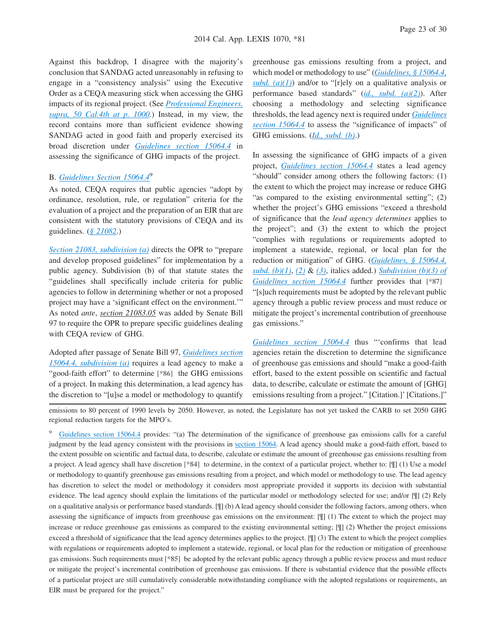Against this backdrop, I disagree with the majority's conclusion that SANDAG acted unreasonably in refusing to engage in a "consistency analysis" using the Executive Order as a CEQA measuring stick when accessing the GHG impacts of its regional project. (See *[Professional Engineers,](http://advance.lexis.com/api/document?collection=cases&id=urn:contentItem:515D-9D41-F04B-P002-00000-00&context=1000516) [supra, 50 Cal.4th at p. 1000](http://advance.lexis.com/api/document?collection=cases&id=urn:contentItem:515D-9D41-F04B-P002-00000-00&context=1000516)*.) Instead, in my view, the record contains more than sufficient evidence showing SANDAG acted in good faith and properly exercised its broad discretion under *[Guidelines section 15064.4](http://advance.lexis.com/api/document?collection=administrative-codes&id=urn:contentItem:5381-TN80-0012-J536-00000-00&context=1000516)* in assessing the significance of GHG impacts of the project.

## B. *[Guidelines Section 15064.4](http://advance.lexis.com/api/document?collection=administrative-codes&id=urn:contentItem:5381-TN80-0012-J536-00000-00&context=1000516)*<sup>9</sup>

As noted, CEQA requires that public agencies "adopt by ordinance, resolution, rule, or regulation" criteria for the evaluation of a project and the preparation of an EIR that are consistent with the statutory provisions of CEQA and its guidelines. (*[§ 21082](http://advance.lexis.com/api/document?collection=statutes-legislation&id=urn:contentItem:4WN4-1BN0-R03K-G1B2-00000-00&context=1000516)*.)

*[Section 21083, subdivision \(a\)](http://advance.lexis.com/api/document?collection=statutes-legislation&id=urn:contentItem:4WN4-1BN0-R03K-G1B5-00000-00&context=1000516)* directs the OPR to "prepare and develop proposed guidelines" for implementation by a public agency. Subdivision (b) of that statute states the "guidelines shall specifically include criteria for public agencies to follow in determining whether or not a proposed project may have a 'significant effect on the environment.'" As noted *ante*, *section 21083.05* was added by Senate Bill 97 to require the OPR to prepare specific guidelines dealing with CEQA review of GHG.

Adopted after passage of Senate Bill 97, *[Guidelines section](http://advance.lexis.com/api/document?collection=administrative-codes&id=urn:contentItem:5381-TN80-0012-J536-00000-00&context=1000516) [15064.4, subdivision \(a\)](http://advance.lexis.com/api/document?collection=administrative-codes&id=urn:contentItem:5381-TN80-0012-J536-00000-00&context=1000516)* requires a lead agency to make a "good-faith effort" to determine **[\*86]** the GHG emissions of a project. In making this determination, a lead agency has the discretion to "[u]se a model or methodology to quantify

greenhouse gas emissions resulting from a project, and which model or methodology to use" (*[Guidelines, § 15064.4,](http://advance.lexis.com/api/document?collection=administrative-codes&id=urn:contentItem:5381-TN80-0012-J536-00000-00&context=1000516) subd.* (a)(1)) and/or to "[r]ely on a qualitative analysis or performance based standards" (*[id., subd. \(a\)\(2\)](http://advance.lexis.com/api/document?collection=administrative-codes&id=urn:contentItem:5381-TN80-0012-J536-00000-00&context=1000516)*). After choosing a methodology and selecting significance thresholds, the lead agency next is required under *[Guidelines](http://advance.lexis.com/api/document?collection=administrative-codes&id=urn:contentItem:5381-TN80-0012-J536-00000-00&context=1000516) [section 15064.4](http://advance.lexis.com/api/document?collection=administrative-codes&id=urn:contentItem:5381-TN80-0012-J536-00000-00&context=1000516)* to assess the "significance of impacts" of GHG emissions. (*[Id., subd. \(b\)](http://advance.lexis.com/api/document?collection=administrative-codes&id=urn:contentItem:5381-TN80-0012-J536-00000-00&context=1000516)*.)

In assessing the significance of GHG impacts of a given project, *[Guidelines section 15064.4](http://advance.lexis.com/api/document?collection=administrative-codes&id=urn:contentItem:5381-TN80-0012-J536-00000-00&context=1000516)* states a lead agency "should" consider among others the following factors: (1) the extent to which the project may increase or reduce GHG "as compared to the existing environmental setting"; (2) whether the project's GHG emissions "exceed a threshold of significance that the *lead agency determines* applies to the project"; and (3) the extent to which the project "complies with regulations or requirements adopted to implement a statewide, regional, or local plan for the reduction or mitigation" of GHG. (*[Guidelines, § 15064.4,](http://advance.lexis.com/api/document?collection=administrative-codes&id=urn:contentItem:5381-TN80-0012-J536-00000-00&context=1000516) [subd. \(b\)\(1\)](http://advance.lexis.com/api/document?collection=administrative-codes&id=urn:contentItem:5381-TN80-0012-J536-00000-00&context=1000516)*, *[\(2\)](http://advance.lexis.com/api/document?collection=administrative-codes&id=urn:contentItem:5381-TN80-0012-J536-00000-00&context=1000516)* & *[\(3\)](http://advance.lexis.com/api/document?collection=administrative-codes&id=urn:contentItem:5381-TN80-0012-J536-00000-00&context=1000516)*, italics added.) *[Subdivision \(b\)\(3\) of](http://advance.lexis.com/api/document?collection=administrative-codes&id=urn:contentItem:5381-TN80-0012-J536-00000-00&context=1000516) [Guidelines section 15064.4](http://advance.lexis.com/api/document?collection=administrative-codes&id=urn:contentItem:5381-TN80-0012-J536-00000-00&context=1000516)* further provides that **[\*87]** "[s]uch requirements must be adopted by the relevant public agency through a public review process and must reduce or mitigate the project's incremental contribution of greenhouse gas emissions."

*[Guidelines section 15064.4](http://advance.lexis.com/api/document?collection=administrative-codes&id=urn:contentItem:5381-TN80-0012-J536-00000-00&context=1000516)* thus "'confirms that lead agencies retain the discretion to determine the significance of greenhouse gas emissions and should "make a good-faith effort, based to the extent possible on scientific and factual data, to describe, calculate or estimate the amount of [GHG] emissions resulting from a project." [Citation.]' [Citations.]"

emissions to 80 percent of 1990 levels by 2050. However, as noted, the Legislature has not yet tasked the CARB to set 2050 GHG regional reduction targets for the MPO's.

<sup>9</sup> [Guidelines section 15064.4](http://advance.lexis.com/api/document?collection=administrative-codes&id=urn:contentItem:5381-TN80-0012-J536-00000-00&context=1000516) provides: "(a) The determination of the significance of greenhouse gas emissions calls for a careful judgment by the lead agency consistent with the provisions in [section 15064.](http://advance.lexis.com/api/document?collection=administrative-codes&id=urn:contentItem:5381-TN80-0012-J535-00000-00&context=1000516) A lead agency should make a good-faith effort, based to the extent possible on scientific and factual data, to describe, calculate or estimate the amount of greenhouse gas emissions resulting from a project. A lead agency shall have discretion **[\*84]** to determine, in the context of a particular project, whether to: [¶] (1) Use a model or methodology to quantify greenhouse gas emissions resulting from a project, and which model or methodology to use. The lead agency has discretion to select the model or methodology it considers most appropriate provided it supports its decision with substantial evidence. The lead agency should explain the limitations of the particular model or methodology selected for use; and/or [¶] (2) Rely on a qualitative analysis or performance based standards. [¶] (b) A lead agency should consider the following factors, among others, when assessing the significance of impacts from greenhouse gas emissions on the environment: [¶] (1) The extent to which the project may increase or reduce greenhouse gas emissions as compared to the existing environmental setting; [¶] (2) Whether the project emissions exceed a threshold of significance that the lead agency determines applies to the project. [¶] (3) The extent to which the project complies with regulations or requirements adopted to implement a statewide, regional, or local plan for the reduction or mitigation of greenhouse gas emissions. Such requirements must **[\*85]** be adopted by the relevant public agency through a public review process and must reduce or mitigate the project's incremental contribution of greenhouse gas emissions. If there is substantial evidence that the possible effects of a particular project are still cumulatively considerable notwithstanding compliance with the adopted regulations or requirements, an EIR must be prepared for the project."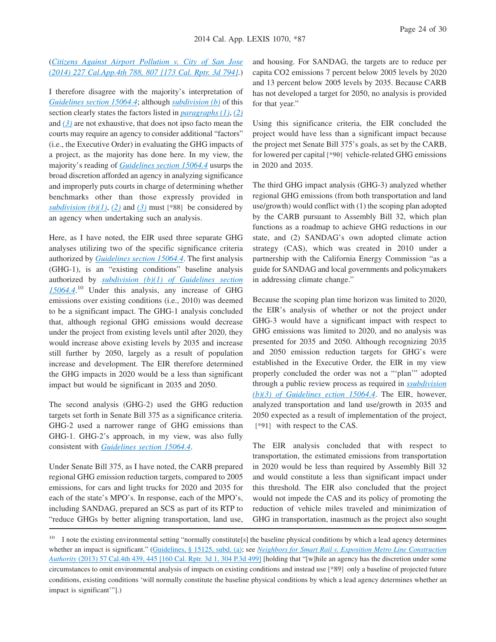## (*[Citizens Against Airport Pollution v. City of San Jose](http://advance.lexis.com/api/document?collection=cases&id=urn:contentItem:5CJY-DBC1-F04B-N034-00000-00&context=1000516) [\(2014\) 227 Cal.App.4th 788, 807 \[173 Cal. Rptr. 3d 794\]](http://advance.lexis.com/api/document?collection=cases&id=urn:contentItem:5CJY-DBC1-F04B-N034-00000-00&context=1000516)*.)

I therefore disagree with the majority's interpretation of *[Guidelines section 15064.4](http://advance.lexis.com/api/document?collection=administrative-codes&id=urn:contentItem:5381-TN80-0012-J536-00000-00&context=1000516)*; although *[subdivision \(b\)](http://advance.lexis.com/api/document?collection=administrative-codes&id=urn:contentItem:5381-TN80-0012-J536-00000-00&context=1000516)* of this section clearly states the factors listed in *[paragraphs \(1\)](http://advance.lexis.com/api/document?collection=administrative-codes&id=urn:contentItem:5381-TN80-0012-J536-00000-00&context=1000516)*, *[\(2\)](http://advance.lexis.com/api/document?collection=administrative-codes&id=urn:contentItem:5381-TN80-0012-J536-00000-00&context=1000516)* and *[\(3\)](http://advance.lexis.com/api/document?collection=administrative-codes&id=urn:contentItem:5381-TN80-0012-J536-00000-00&context=1000516)* are not exhaustive, that does not ipso facto mean the courts may require an agency to consider additional "factors" (i.e., the Executive Order) in evaluating the GHG impacts of a project, as the majority has done here. In my view, the majority's reading of *[Guidelines section 15064.4](http://advance.lexis.com/api/document?collection=administrative-codes&id=urn:contentItem:5381-TN80-0012-J536-00000-00&context=1000516)* usurps the broad discretion afforded an agency in analyzing significance and improperly puts courts in charge of determining whether benchmarks other than those expressly provided in *[subdivision \(b\)\(1\)](http://advance.lexis.com/api/document?collection=administrative-codes&id=urn:contentItem:5381-TN80-0012-J536-00000-00&context=1000516)*, [\(2\)](http://advance.lexis.com/api/document?collection=administrative-codes&id=urn:contentItem:5381-TN80-0012-J536-00000-00&context=1000516) and [\(3\)](http://advance.lexis.com/api/document?collection=administrative-codes&id=urn:contentItem:5381-TN80-0012-J536-00000-00&context=1000516) must  $[$ \*88] be considered by an agency when undertaking such an analysis.

Here, as I have noted, the EIR used three separate GHG analyses utilizing two of the specific significance criteria authorized by *[Guidelines section 15064.4](http://advance.lexis.com/api/document?collection=administrative-codes&id=urn:contentItem:5381-TN80-0012-J536-00000-00&context=1000516)*. The first analysis (GHG-1), is an "existing conditions" baseline analysis authorized by *[subdivision \(b\)\(1\) of Guidelines section](http://advance.lexis.com/api/document?collection=administrative-codes&id=urn:contentItem:5381-TN80-0012-J536-00000-00&context=1000516) [15064.4](http://advance.lexis.com/api/document?collection=administrative-codes&id=urn:contentItem:5381-TN80-0012-J536-00000-00&context=1000516)*. <sup>10</sup> Under this analysis, any increase of GHG emissions over existing conditions (i.e., 2010) was deemed to be a significant impact. The GHG-1 analysis concluded that, although regional GHG emissions would decrease under the project from existing levels until after 2020, they would increase above existing levels by 2035 and increase still further by 2050, largely as a result of population increase and development. The EIR therefore determined the GHG impacts in 2020 would be a less than significant impact but would be significant in 2035 and 2050.

The second analysis (GHG-2) used the GHG reduction targets set forth in Senate Bill 375 as a significance criteria. GHG-2 used a narrower range of GHG emissions than GHG-1. GHG-2's approach, in my view, was also fully consistent with *[Guidelines section 15064.4](http://advance.lexis.com/api/document?collection=administrative-codes&id=urn:contentItem:5381-TN80-0012-J536-00000-00&context=1000516)*.

Under Senate Bill 375, as I have noted, the CARB prepared regional GHG emission reduction targets, compared to 2005 emissions, for cars and light trucks for 2020 and 2035 for each of the state's MPO's. In response, each of the MPO's, including SANDAG, prepared an SCS as part of its RTP to "reduce GHGs by better aligning transportation, land use,

and housing. For SANDAG, the targets are to reduce per capita CO2 emissions 7 percent below 2005 levels by 2020 and 13 percent below 2005 levels by 2035. Because CARB has not developed a target for 2050, no analysis is provided for that year."

Using this significance criteria, the EIR concluded the project would have less than a significant impact because the project met Senate Bill 375's goals, as set by the CARB, for lowered per capital **[\*90]** vehicle-related GHG emissions in 2020 and 2035.

The third GHG impact analysis (GHG-3) analyzed whether regional GHG emissions (from both transportation and land use/growth) would conflict with (1) the scoping plan adopted by the CARB pursuant to Assembly Bill 32, which plan functions as a roadmap to achieve GHG reductions in our state, and (2) SANDAG's own adopted climate action strategy (CAS), which was created in 2010 under a partnership with the California Energy Commission "as a guide for SANDAG and local governments and policymakers in addressing climate change."

Because the scoping plan time horizon was limited to 2020, the EIR's analysis of whether or not the project under GHG-3 would have a significant impact with respect to GHG emissions was limited to 2020, and no analysis was presented for 2035 and 2050. Although recognizing 2035 and 2050 emission reduction targets for GHG's were established in the Executive Order, the EIR in my view properly concluded the order was not a "'plan'" adopted through a public review process as required in *[ssubdivision](http://advance.lexis.com/api/document?collection=administrative-codes&id=urn:contentItem:5381-TN80-0012-J536-00000-00&context=1000516) [\(b\)\(3\) of Guidelines ection 15064.4](http://advance.lexis.com/api/document?collection=administrative-codes&id=urn:contentItem:5381-TN80-0012-J536-00000-00&context=1000516)*. The EIR, however, analyzed transportation and land use/growth in 2035 and 2050 expected as a result of implementation of the project, **[\*91]** with respect to the CAS.

The EIR analysis concluded that with respect to transportation, the estimated emissions from transportation in 2020 would be less than required by Assembly Bill 32 and would constitute a less than significant impact under this threshold. The EIR also concluded that the project would not impede the CAS and its policy of promoting the reduction of vehicle miles traveled and minimization of GHG in transportation, inasmuch as the project also sought

<sup>&</sup>lt;sup>10</sup> I note the existing environmental setting "normally constitute[s] the baseline physical conditions by which a lead agency determines whether an impact is significant." [\(Guidelines, § 15125, subd. \(a\);](http://advance.lexis.com/api/document?collection=administrative-codes&id=urn:contentItem:5381-TN90-0012-J551-00000-00&context=1000516) see *[Neighbors for Smart Rail v. Exposition Metro Line Construction](http://advance.lexis.com/api/document?collection=cases&id=urn:contentItem:592B-3NT1-F04B-P001-00000-00&context=1000516) Authority* [\(2013\) 57 Cal.4th 439, 445 \[160 Cal. Rptr. 3d 1, 304 P.3d 499\]](http://advance.lexis.com/api/document?collection=cases&id=urn:contentItem:592B-3NT1-F04B-P001-00000-00&context=1000516) [holding that "[w]hile an agency has the discretion under some circumstances to omit environmental analysis of impacts on existing conditions and instead use **[\*89]** only a baseline of projected future conditions, existing conditions 'will normally constitute the baseline physical conditions by which a lead agency determines whether an impact is significant'"].)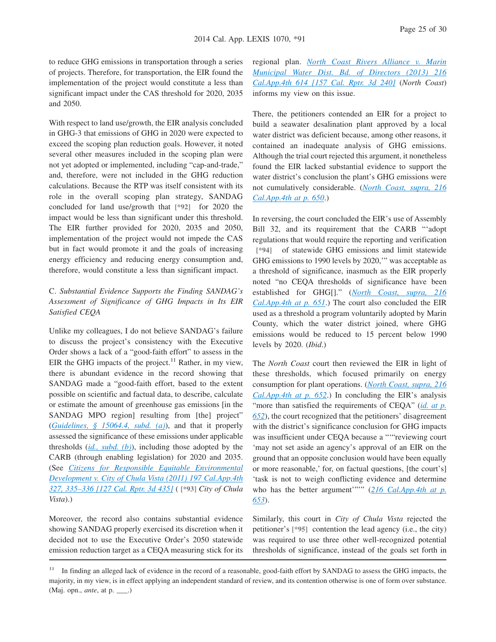to reduce GHG emissions in transportation through a series of projects. Therefore, for transportation, the EIR found the implementation of the project would constitute a less than significant impact under the CAS threshold for 2020, 2035 and 2050.

With respect to land use/growth, the EIR analysis concluded in GHG-3 that emissions of GHG in 2020 were expected to exceed the scoping plan reduction goals. However, it noted several other measures included in the scoping plan were not yet adopted or implemented, including "cap-and-trade," and, therefore, were not included in the GHG reduction calculations. Because the RTP was itself consistent with its role in the overall scoping plan strategy, SANDAG concluded for land use/growth that **[\*92]** for 2020 the impact would be less than significant under this threshold. The EIR further provided for 2020, 2035 and 2050, implementation of the project would not impede the CAS but in fact would promote it and the goals of increasing energy efficiency and reducing energy consumption and, therefore, would constitute a less than significant impact.

## C. *Substantial Evidence Supports the Finding SANDAG's Assessment of Significance of GHG Impacts in Its EIR Satisfied CEQA*

Unlike my colleagues, I do not believe SANDAG's failure to discuss the project's consistency with the Executive Order shows a lack of a "good-faith effort" to assess in the EIR the GHG impacts of the project.<sup>11</sup> Rather, in my view, there is abundant evidence in the record showing that SANDAG made a "good-faith effort, based to the extent possible on scientific and factual data, to describe, calculate or estimate the amount of greenhouse gas emissions [in the SANDAG MPO region] resulting from [the] project" (*[Guidelines, § 15064.4, subd. \(a\)](http://advance.lexis.com/api/document?collection=administrative-codes&id=urn:contentItem:5381-TN80-0012-J536-00000-00&context=1000516)*), and that it properly assessed the significance of these emissions under applicable thresholds (*[id., subd. \(b\)](http://advance.lexis.com/api/document?collection=administrative-codes&id=urn:contentItem:5381-TN80-0012-J536-00000-00&context=1000516)*), including those adopted by the CARB (through enabling legislation) for 2020 and 2035. (See *[Citizens for Responsible Equitable Environmental](http://advance.lexis.com/api/document?collection=cases&id=urn:contentItem:538H-2611-F04B-N4SD-00000-00&context=1000516) [Development v. City of Chula Vista \(2011\) 197 Cal.App.4th](http://advance.lexis.com/api/document?collection=cases&id=urn:contentItem:538H-2611-F04B-N4SD-00000-00&context=1000516) [327, 335–336 \[127 Cal. Rptr. 3d 435\]](http://advance.lexis.com/api/document?collection=cases&id=urn:contentItem:538H-2611-F04B-N4SD-00000-00&context=1000516)* ( **[\*93]** *City of Chula Vista*).)

Moreover, the record also contains substantial evidence showing SANDAG properly exercised its discretion when it decided not to use the Executive Order's 2050 statewide emission reduction target as a CEQA measuring stick for its regional plan. *[North Coast Rivers Alliance v. Marin](http://advance.lexis.com/api/document?collection=cases&id=urn:contentItem:58G5-71Y1-F04B-N00T-00000-00&context=1000516) [Municipal Water Dist. Bd. of Directors \(2013\) 216](http://advance.lexis.com/api/document?collection=cases&id=urn:contentItem:58G5-71Y1-F04B-N00T-00000-00&context=1000516) [Cal.App.4th 614 \[157 Cal. Rptr. 3d 240\]](http://advance.lexis.com/api/document?collection=cases&id=urn:contentItem:58G5-71Y1-F04B-N00T-00000-00&context=1000516)* (*North Coast*) informs my view on this issue.

There, the petitioners contended an EIR for a project to build a seawater desalination plant approved by a local water district was deficient because, among other reasons, it contained an inadequate analysis of GHG emissions. Although the trial court rejected this argument, it nonetheless found the EIR lacked substantial evidence to support the water district's conclusion the plant's GHG emissions were not cumulatively considerable. (*[North Coast, supra, 216](http://advance.lexis.com/api/document?collection=cases&id=urn:contentItem:58G5-71Y1-F04B-N00T-00000-00&context=1000516) [Cal.App.4th at p. 650](http://advance.lexis.com/api/document?collection=cases&id=urn:contentItem:58G5-71Y1-F04B-N00T-00000-00&context=1000516)*.)

In reversing, the court concluded the EIR's use of Assembly Bill 32, and its requirement that the CARB "'adopt regulations that would require the reporting and verification **[\*94]** of statewide GHG emissions and limit statewide GHG emissions to 1990 levels by 2020,'" was acceptable as a threshold of significance, inasmuch as the EIR properly noted "no CEQA thresholds of significance have been established for GHG[]." (*[North Coast, supra, 216](http://advance.lexis.com/api/document?collection=cases&id=urn:contentItem:58G5-71Y1-F04B-N00T-00000-00&context=1000516) [Cal.App.4th at p. 651](http://advance.lexis.com/api/document?collection=cases&id=urn:contentItem:58G5-71Y1-F04B-N00T-00000-00&context=1000516)*.) The court also concluded the EIR used as a threshold a program voluntarily adopted by Marin County, which the water district joined, where GHG emissions would be reduced to 15 percent below 1990 levels by 2020. (*Ibid*.)

The *North Coast* court then reviewed the EIR in light of these thresholds, which focused primarily on energy consumption for plant operations. (*[North Coast, supra, 216](http://advance.lexis.com/api/document?collection=cases&id=urn:contentItem:58G5-71Y1-F04B-N00T-00000-00&context=1000516) [Cal.App.4th at p. 652](http://advance.lexis.com/api/document?collection=cases&id=urn:contentItem:58G5-71Y1-F04B-N00T-00000-00&context=1000516)*.) In concluding the EIR's analysis "more than satisfied the requirements of CEQA" (*[id. at p.](http://advance.lexis.com/api/document?collection=cases&id=urn:contentItem:58G5-71Y1-F04B-N00T-00000-00&context=1000516) [652](http://advance.lexis.com/api/document?collection=cases&id=urn:contentItem:58G5-71Y1-F04B-N00T-00000-00&context=1000516)*), the court recognized that the petitioners' disagreement with the district's significance conclusion for GHG impacts was insufficient under CEQA because a "'"reviewing court 'may not set aside an agency's approval of an EIR on the ground that an opposite conclusion would have been equally or more reasonable,' for, on factual questions, [the court's] 'task is not to weigh conflicting evidence and determine who has the better argument'""" ([216 Cal.App.4th at p.](http://advance.lexis.com/api/document?collection=cases&id=urn:contentItem:58G5-71Y1-F04B-N00T-00000-00&context=1000516) *[653](http://advance.lexis.com/api/document?collection=cases&id=urn:contentItem:58G5-71Y1-F04B-N00T-00000-00&context=1000516)*).

Similarly, this court in *City of Chula Vista* rejected the petitioner's **[\*95]** contention the lead agency (i.e., the city) was required to use three other well-recognized potential thresholds of significance, instead of the goals set forth in

<sup>&</sup>lt;sup>11</sup> In finding an alleged lack of evidence in the record of a reasonable, good-faith effort by SANDAG to assess the GHG impacts, the majority, in my view, is in effect applying an independent standard of review, and its contention otherwise is one of form over substance. (Maj. opn., *ante*, at p. \_\_\_.)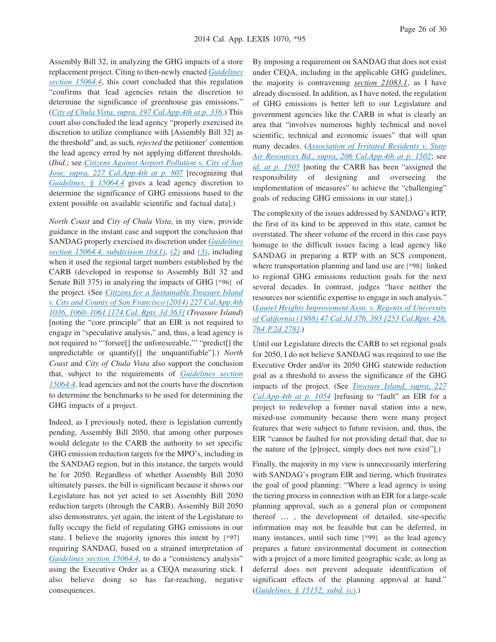Assembly Bill 32, in analyzing the GHG impacts of a store replacement project. Citing to then-newly enacted *[Guidelines](http://advance.lexis.com/api/document?collection=administrative-codes&id=urn:contentItem:5381-TN80-0012-J536-00000-00&context=1000516) [section 15064.4](http://advance.lexis.com/api/document?collection=administrative-codes&id=urn:contentItem:5381-TN80-0012-J536-00000-00&context=1000516)*, this court concluded that this regulation "confirms that lead agencies retain the discretion to determine the significance of greenhouse gas emissions." (*[City of Chula Vista, supra, 197 Cal.App.4th at p. 336](http://advance.lexis.com/api/document?collection=cases&id=urn:contentItem:538H-2611-F04B-N4SD-00000-00&context=1000516)*.) This court also concluded the lead agency "properly exercised its discretion to utilize compliance with [Assembly Bill 32] as the threshold" and, as such, *rejected* the petitioner' contention the lead agency erred by not applying different thresholds. (*Ibid.*; see *[Citizens Against Airport Pollution v. City of San](http://advance.lexis.com/api/document?collection=cases&id=urn:contentItem:5CJY-DBC1-F04B-N034-00000-00&context=1000516) [Jose, supra, 227 Cal.App.4th at p. 807](http://advance.lexis.com/api/document?collection=cases&id=urn:contentItem:5CJY-DBC1-F04B-N034-00000-00&context=1000516)* [recognizing that *[Guidelines, § 15064.4](http://advance.lexis.com/api/document?collection=administrative-codes&id=urn:contentItem:5381-TN80-0012-J536-00000-00&context=1000516)* gives a lead agency discretion to determine the significance of GHG emissions based to the extent possible on available scientific and factual data].)

*North Coast* and *City of Chula Vista*, in my view, provide guidance in the instant case and support the conclusion that SANDAG properly exercised its discretion under *[Guidelines](http://advance.lexis.com/api/document?collection=administrative-codes&id=urn:contentItem:5381-TN80-0012-J536-00000-00&context=1000516) [section 15064.4, subdivision \(b\)\(1\)](http://advance.lexis.com/api/document?collection=administrative-codes&id=urn:contentItem:5381-TN80-0012-J536-00000-00&context=1000516)*, *[\(2\)](http://advance.lexis.com/api/document?collection=administrative-codes&id=urn:contentItem:5381-TN80-0012-J536-00000-00&context=1000516)* and *[\(3\)](http://advance.lexis.com/api/document?collection=administrative-codes&id=urn:contentItem:5381-TN80-0012-J536-00000-00&context=1000516)*, including when it used the regional target numbers established by the CARB (developed in response to Assembly Bill 32 and Senate Bill 375) in analyzing the impacts of GHG **[\*96]** of the project. (See *[Citizens for a Sustainable Treasure Island](http://advance.lexis.com/api/document?collection=cases&id=urn:contentItem:5CM6-2V41-F04B-N045-00000-00&context=1000516) [v. City and County of San Francisco \(2014\) 227 Cal.App.4th](http://advance.lexis.com/api/document?collection=cases&id=urn:contentItem:5CM6-2V41-F04B-N045-00000-00&context=1000516) [1036, 1060–1061 \[174 Cal. Rptr. 3d 363\]](http://advance.lexis.com/api/document?collection=cases&id=urn:contentItem:5CM6-2V41-F04B-N045-00000-00&context=1000516)* (*Treasure Island*) [noting the "core principle" that an EIR is not required to engage in "speculative analysis," and, thus, a lead agency is not required to "'forsee[] the unforeseeable,'" "predict[] the unpredictable or quantify[] the unquantifiable"].) *North Coast* and *City of Chula Vista* also support the conclusion that, subject to the requirements of *[Guidelines section](http://advance.lexis.com/api/document?collection=administrative-codes&id=urn:contentItem:5381-TN80-0012-J536-00000-00&context=1000516) [15064.4](http://advance.lexis.com/api/document?collection=administrative-codes&id=urn:contentItem:5381-TN80-0012-J536-00000-00&context=1000516)*, lead agencies and not the courts have the discretion to determine the benchmarks to be used for determining the GHG impacts of a project.

Indeed, as I previously noted, there is legislation currently pending, Assembly Bill 2050, that among other purposes would delegate to the CARB the authority to set specific GHG emission reduction targets for the MPO's, including in the SANDAG region, but in this instance, the targets would be for 2050. Regardless of whether Assembly Bill 2050 ultimately passes, the bill is significant because it shows our Legislature has not yet acted to set Assembly Bill 2050 reduction targets (through the CARB). Assembly Bill 2050 also demonstrates, yet again, the intent of the Legislature to fully occupy the field of regulating GHG emissions in our state. I believe the majority ignores this intent by **[\*97]** requiring SANDAG, based on a strained interpretation of *[Guidelines section 15064.4](http://advance.lexis.com/api/document?collection=administrative-codes&id=urn:contentItem:5381-TN80-0012-J536-00000-00&context=1000516)*, to do a "consistency analysis" using the Executive Order as a CEQA measuring stick. I also believe doing so has far-reaching, negative consequences.

By imposing a requirement on SANDAG that does not exist under CEQA, including in the applicable GHG guidelines, the majority is contravening *section 21083.1*, as I have already discussed. In addition, as I have noted, the regulation of GHG emissions is better left to our Legislature and government agencies like the CARB in what is clearly an area that "involves numerous highly technical and novel scientific, technical and economic issues" that will span many decades. (*[Association of Irritated Residents v. State](http://advance.lexis.com/api/document?collection=cases&id=urn:contentItem:55XG-F981-F04B-N0V5-00000-00&context=1000516) [Air Resources Bd., supra, 206 Cal.App.4th at p. 1502](http://advance.lexis.com/api/document?collection=cases&id=urn:contentItem:55XG-F981-F04B-N0V5-00000-00&context=1000516)*; see *[id. at p. 1505](http://advance.lexis.com/api/document?collection=cases&id=urn:contentItem:55XG-F981-F04B-N0V5-00000-00&context=1000516)* [noting the CARB has been "assigned the responsibility of designing and overseeing the implementation of measures" to achieve the "challenging" goals of reducing GHG emissions in our state].)

The complexity of the issues addressed by SANDAG's RTP, the first of its kind to be approved in this state, cannot be overstated. The sheer volume of the record in this case pays homage to the difficult issues facing a lead agency like SANDAG in preparing a RTP with an SCS component, where transportation planning and land use are **[\*98]** linked to regional GHG emissions reduction goals for the next several decades. In contrast, judges "have neither the resources nor scientific expertise to engage in such analysis." (*[Laurel Heights Improvement Assn. v. Regents of University](http://advance.lexis.com/api/document?collection=cases&id=urn:contentItem:3RX4-CFC0-003D-J4J6-00000-00&context=1000516) [of California \(1988\) 47 Cal.3d 376, 393 \[253 Cal.Rptr. 426,](http://advance.lexis.com/api/document?collection=cases&id=urn:contentItem:3RX4-CFC0-003D-J4J6-00000-00&context=1000516) [764 P.2d 278\]](http://advance.lexis.com/api/document?collection=cases&id=urn:contentItem:3RX4-CFC0-003D-J4J6-00000-00&context=1000516)*.)

Until our Legislature directs the CARB to set regional goals for 2050, I do not believe SANDAG was required to use the Executive Order and/or its 2050 GHG statewide reduction goal as a threshold to assess the significance of the GHG impacts of the project. (See *[Treasure Island, supra, 227](http://advance.lexis.com/api/document?collection=cases&id=urn:contentItem:5CM6-2V41-F04B-N045-00000-00&context=1000516) [Cal.App.4th at p. 1054](http://advance.lexis.com/api/document?collection=cases&id=urn:contentItem:5CM6-2V41-F04B-N045-00000-00&context=1000516)* [refusing to "fault" an EIR for a project to redevelop a former naval station into a new, mixed-use community because there were many project features that were subject to future revision, and, thus, the EIR "cannot be faulted for not providing detail that, due to the nature of the [p]roject, simply does not now exist"].)

Finally, the majority in my view is unnecessarily interfering with SANDAG's program EIR and tiering, which frustrates the goal of good planning: "Where a lead agency is using the tiering process in connection with an EIR for a large-scale planning approval, such as a general plan or component thereof … , the development of detailed, site-specific information may not be feasible but can be deferred, in many instances, until such time **[\*99]** as the lead agency prepares a future environmental document in connection with a project of a more limited geographic scale, as long as deferral does not prevent adequate identification of significant effects of the planning approval at hand." (*[Guidelines, § 15152, subd. \(c\)](http://advance.lexis.com/api/document?collection=administrative-codes&id=urn:contentItem:5381-TNB0-0012-J55V-00000-00&context=1000516)*.)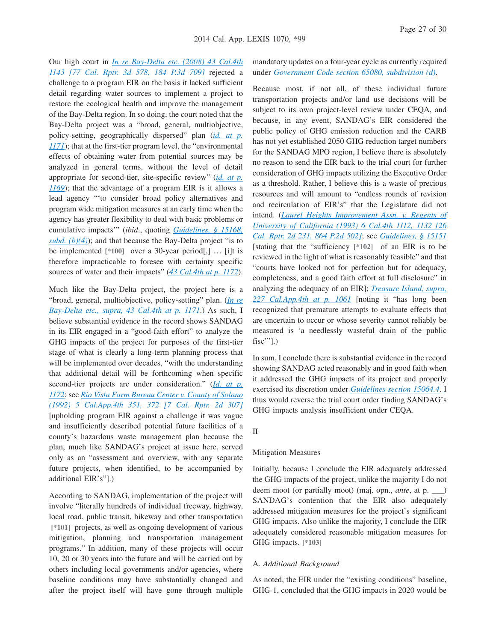Our high court in *[In re Bay-Delta etc. \(2008\) 43 Cal.4th](http://advance.lexis.com/api/document?collection=cases&id=urn:contentItem:4SP4-6FT0-TX4N-G17X-00000-00&context=1000516) [1143 \[77 Cal. Rptr. 3d 578, 184 P.3d 709\]](http://advance.lexis.com/api/document?collection=cases&id=urn:contentItem:4SP4-6FT0-TX4N-G17X-00000-00&context=1000516)* rejected a challenge to a program EIR on the basis it lacked sufficient detail regarding water sources to implement a project to restore the ecological health and improve the management of the Bay-Delta region. In so doing, the court noted that the Bay-Delta project was a "broad, general, multiobjective, policy-setting, geographically dispersed" plan (*[id. at p.](http://advance.lexis.com/api/document?collection=cases&id=urn:contentItem:4SP4-6FT0-TX4N-G17X-00000-00&context=1000516) [1171](http://advance.lexis.com/api/document?collection=cases&id=urn:contentItem:4SP4-6FT0-TX4N-G17X-00000-00&context=1000516)*); that at the first-tier program level, the "environmental effects of obtaining water from potential sources may be analyzed in general terms, without the level of detail appropriate for second-tier, site-specific review" (*[id. at p.](http://advance.lexis.com/api/document?collection=cases&id=urn:contentItem:4SP4-6FT0-TX4N-G17X-00000-00&context=1000516) [1169](http://advance.lexis.com/api/document?collection=cases&id=urn:contentItem:4SP4-6FT0-TX4N-G17X-00000-00&context=1000516)*); that the advantage of a program EIR is it allows a lead agency "'to consider broad policy alternatives and program wide mitigation measures at an early time when the agency has greater flexibility to deal with basic problems or cumulative impacts'" (*ibid*., quoting *[Guidelines, § 15168,](http://advance.lexis.com/api/document?collection=administrative-codes&id=urn:contentItem:5381-TNC0-0012-J001-00000-00&context=1000516) [subd. \(b\)\(4\)](http://advance.lexis.com/api/document?collection=administrative-codes&id=urn:contentItem:5381-TNC0-0012-J001-00000-00&context=1000516)*); and that because the Bay-Delta project "is to be implemented **[\*100]** over a 30-year period[,] … [i]t is therefore impracticable to foresee with certainty specific sources of water and their impacts" (*[43 Cal.4th at p. 1172](http://advance.lexis.com/api/document?collection=cases&id=urn:contentItem:4SP4-6FT0-TX4N-G17X-00000-00&context=1000516)*).

Much like the Bay-Delta project, the project here is a "broad, general, multiobjective, policy-setting" plan. (*[In re](http://advance.lexis.com/api/document?collection=cases&id=urn:contentItem:4SP4-6FT0-TX4N-G17X-00000-00&context=1000516) [Bay-Delta etc., supra, 43 Cal.4th at p. 1171](http://advance.lexis.com/api/document?collection=cases&id=urn:contentItem:4SP4-6FT0-TX4N-G17X-00000-00&context=1000516)*.) As such, I believe substantial evidence in the record shows SANDAG in its EIR engaged in a "good-faith effort" to analyze the GHG impacts of the project for purposes of the first-tier stage of what is clearly a long-term planning process that will be implemented over decades, "with the understanding that additional detail will be forthcoming when specific second-tier projects are under consideration." (*[Id. at p.](http://advance.lexis.com/api/document?collection=cases&id=urn:contentItem:4SP4-6FT0-TX4N-G17X-00000-00&context=1000516) [1172](http://advance.lexis.com/api/document?collection=cases&id=urn:contentItem:4SP4-6FT0-TX4N-G17X-00000-00&context=1000516)*; see *[Rio Vista Farm Bureau Center v. County of Solano](http://advance.lexis.com/api/document?collection=cases&id=urn:contentItem:3RX6-GYP0-003D-J4DR-00000-00&context=1000516) [\(1992\) 5 Cal.App.4th 351, 372 \[7 Cal. Rptr. 2d 307\]](http://advance.lexis.com/api/document?collection=cases&id=urn:contentItem:3RX6-GYP0-003D-J4DR-00000-00&context=1000516)* [upholding program EIR against a challenge it was vague and insufficiently described potential future facilities of a county's hazardous waste management plan because the plan, much like SANDAG's project at issue here, served only as an "assessment and overview, with any separate future projects, when identified, to be accompanied by additional EIR's"].)

According to SANDAG, implementation of the project will involve "literally hundreds of individual freeway, highway, local road, public transit, bikeway and other transportation **[\*101]** projects, as well as ongoing development of various mitigation, planning and transportation management programs." In addition, many of these projects will occur 10, 20 or 30 years into the future and will be carried out by others including local governments and/or agencies, where baseline conditions may have substantially changed and after the project itself will have gone through multiple

mandatory updates on a four-year cycle as currently required under *[Government Code section 65080, subdivision \(d\)](http://advance.lexis.com/api/document?collection=statutes-legislation&id=urn:contentItem:4WN7-X0P0-R03K-N109-00000-00&context=1000516)*.

Because most, if not all, of these individual future transportation projects and/or land use decisions will be subject to its own project-level review under CEQA, and because, in any event, SANDAG's EIR considered the public policy of GHG emission reduction and the CARB has not yet established 2050 GHG reduction target numbers for the SANDAG MPO region, I believe there is absolutely no reason to send the EIR back to the trial court for further consideration of GHG impacts utilizing the Executive Order as a threshold. Rather, I believe this is a waste of precious resources and will amount to "endless rounds of revision and recirculation of EIR's" that the Legislature did not intend. (*[Laurel Heights Improvement Assn. v. Regents of](http://advance.lexis.com/api/document?collection=cases&id=urn:contentItem:3RX4-2WW0-003D-J4BG-00000-00&context=1000516) [University of California \(1993\) 6 Cal.4th 1112, 1132 \[26](http://advance.lexis.com/api/document?collection=cases&id=urn:contentItem:3RX4-2WW0-003D-J4BG-00000-00&context=1000516) [Cal. Rptr. 2d 231, 864 P.2d 502\]](http://advance.lexis.com/api/document?collection=cases&id=urn:contentItem:3RX4-2WW0-003D-J4BG-00000-00&context=1000516)*; see *[Guidelines, § 15151](http://advance.lexis.com/api/document?collection=administrative-codes&id=urn:contentItem:5381-TNB0-0012-J55T-00000-00&context=1000516)* [stating that the "sufficiency **[\*102]** of an EIR is to be reviewed in the light of what is reasonably feasible" and that "courts have looked not for perfection but for adequacy, completeness, and a good faith effort at full disclosure" in analyzing the adequacy of an EIR]; *[Treasure Island, supra,](http://advance.lexis.com/api/document?collection=cases&id=urn:contentItem:5CM6-2V41-F04B-N045-00000-00&context=1000516) [227 Cal.App.4th at p. 1061](http://advance.lexis.com/api/document?collection=cases&id=urn:contentItem:5CM6-2V41-F04B-N045-00000-00&context=1000516)* [noting it "has long been recognized that premature attempts to evaluate effects that are uncertain to occur or whose severity cannot reliably be measured is 'a needlessly wasteful drain of the public fisc'"].)

In sum, I conclude there is substantial evidence in the record showing SANDAG acted reasonably and in good faith when it addressed the GHG impacts of its project and properly exercised its discretion under *[Guidelines section 15064.4](http://advance.lexis.com/api/document?collection=administrative-codes&id=urn:contentItem:5381-TN80-0012-J536-00000-00&context=1000516)*. I thus would reverse the trial court order finding SANDAG's GHG impacts analysis insufficient under CEQA.

#### II

#### Mitigation Measures

Initially, because I conclude the EIR adequately addressed the GHG impacts of the project, unlike the majority I do not deem moot (or partially moot) (maj. opn., *ante*, at p. \_\_\_) SANDAG's contention that the EIR also adequately addressed mitigation measures for the project's significant GHG impacts. Also unlike the majority, I conclude the EIR adequately considered reasonable mitigation measures for GHG impacts. **[\*103]**

#### A. *Additional Background*

As noted, the EIR under the "existing conditions" baseline, GHG-1, concluded that the GHG impacts in 2020 would be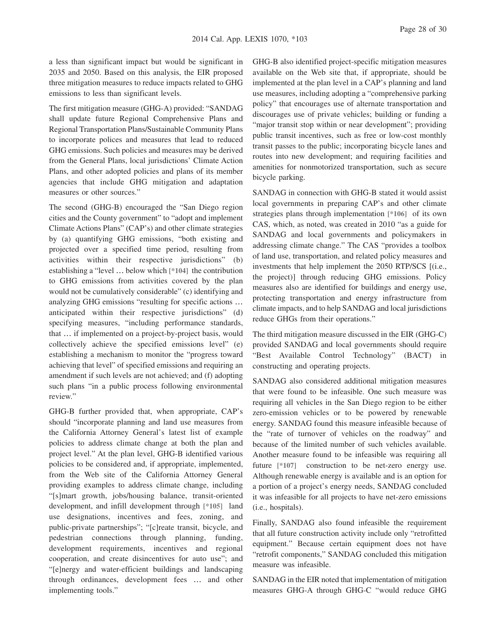a less than significant impact but would be significant in 2035 and 2050. Based on this analysis, the EIR proposed three mitigation measures to reduce impacts related to GHG emissions to less than significant levels.

The first mitigation measure (GHG-A) provided: "SANDAG shall update future Regional Comprehensive Plans and Regional Transportation Plans/Sustainable Community Plans to incorporate polices and measures that lead to reduced GHG emissions. Such policies and measures may be derived from the General Plans, local jurisdictions' Climate Action Plans, and other adopted policies and plans of its member agencies that include GHG mitigation and adaptation measures or other sources."

The second (GHG-B) encouraged the "San Diego region cities and the County government" to "adopt and implement Climate Actions Plans" (CAP's) and other climate strategies by (a) quantifying GHG emissions, "both existing and projected over a specified time period, resulting from activities within their respective jurisdictions" (b) establishing a "level … below which **[\*104]** the contribution to GHG emissions from activities covered by the plan would not be cumulatively considerable" (c) identifying and analyzing GHG emissions "resulting for specific actions … anticipated within their respective jurisdictions" (d) specifying measures, "including performance standards, that … if implemented on a project-by-project basis, would collectively achieve the specified emissions level" (e) establishing a mechanism to monitor the "progress toward achieving that level" of specified emissions and requiring an amendment if such levels are not achieved; and (f) adopting such plans "in a public process following environmental review."

GHG-B further provided that, when appropriate, CAP's should "incorporate planning and land use measures from the California Attorney General's latest list of example policies to address climate change at both the plan and project level." At the plan level, GHG-B identified various policies to be considered and, if appropriate, implemented, from the Web site of the California Attorney General providing examples to address climate change, including "[s]mart growth, jobs/housing balance, transit-oriented development, and infill development through **[\*105]** land use designations, incentives and fees, zoning, and public-private partnerships"; "[c]reate transit, bicycle, and pedestrian connections through planning, funding, development requirements, incentives and regional cooperation, and create disincentives for auto use"; and "[e]nergy and water-efficient buildings and landscaping through ordinances, development fees … and other implementing tools."

GHG-B also identified project-specific mitigation measures available on the Web site that, if appropriate, should be implemented at the plan level in a CAP's planning and land use measures, including adopting a "comprehensive parking policy" that encourages use of alternate transportation and discourages use of private vehicles; building or funding a "major transit stop within or near development"; providing public transit incentives, such as free or low-cost monthly transit passes to the public; incorporating bicycle lanes and routes into new development; and requiring facilities and amenities for nonmotorized transportation, such as secure bicycle parking.

SANDAG in connection with GHG-B stated it would assist local governments in preparing CAP's and other climate strategies plans through implementation **[\*106]** of its own CAS, which, as noted, was created in 2010 "as a guide for SANDAG and local governments and policymakers in addressing climate change." The CAS "provides a toolbox of land use, transportation, and related policy measures and investments that help implement the 2050 RTP/SCS [(i.e., the project)] through reducing GHG emissions. Policy measures also are identified for buildings and energy use, protecting transportation and energy infrastructure from climate impacts, and to help SANDAG and local jurisdictions reduce GHGs from their operations."

The third mitigation measure discussed in the EIR (GHG-C) provided SANDAG and local governments should require "Best Available Control Technology" (BACT) in constructing and operating projects.

SANDAG also considered additional mitigation measures that were found to be infeasible. One such measure was requiring all vehicles in the San Diego region to be either zero-emission vehicles or to be powered by renewable energy. SANDAG found this measure infeasible because of the "rate of turnover of vehicles on the roadway" and because of the limited number of such vehicles available. Another measure found to be infeasible was requiring all future **[\*107]** construction to be net-zero energy use. Although renewable energy is available and is an option for a portion of a project's energy needs, SANDAG concluded it was infeasible for all projects to have net-zero emissions (i.e., hospitals).

Finally, SANDAG also found infeasible the requirement that all future construction activity include only "retrofitted equipment." Because certain equipment does not have "retrofit components," SANDAG concluded this mitigation measure was infeasible.

SANDAG in the EIR noted that implementation of mitigation measures GHG-A through GHG-C "would reduce GHG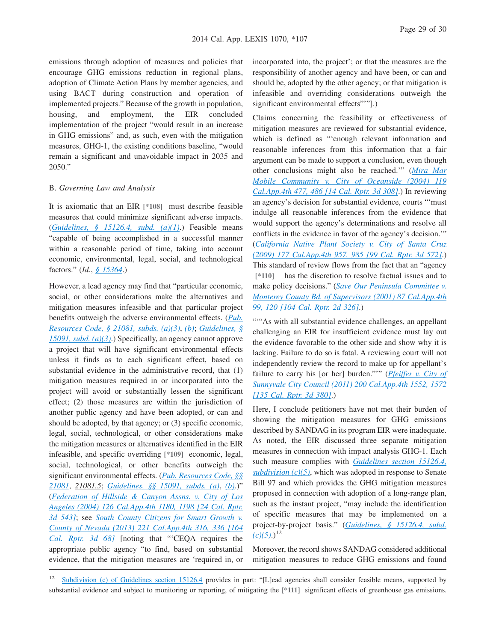emissions through adoption of measures and policies that encourage GHG emissions reduction in regional plans, adoption of Climate Action Plans by member agencies, and using BACT during construction and operation of implemented projects." Because of the growth in population, housing, and employment, the EIR concluded implementation of the project "would result in an increase in GHG emissions" and, as such, even with the mitigation measures, GHG-1, the existing conditions baseline, "would remain a significant and unavoidable impact in 2035 and 2050."

#### B. *Governing Law and Analysis*

It is axiomatic that an EIR **[\*108]** must describe feasible measures that could minimize significant adverse impacts. (*[Guidelines, § 15126.4, subd. \(a\)\(1\)](http://advance.lexis.com/api/document?collection=administrative-codes&id=urn:contentItem:5381-TN90-0012-J554-00000-00&context=1000516)*.) Feasible means "capable of being accomplished in a successful manner within a reasonable period of time, taking into account economic, environmental, legal, social, and technological factors." (*Id.*, *[§ 15364](http://advance.lexis.com/api/document?collection=administrative-codes&id=urn:contentItem:5381-TND0-0012-J04V-00000-00&context=1000516)*.)

However, a lead agency may find that "particular economic, social, or other considerations make the alternatives and mitigation measures infeasible and that particular project benefits outweigh the adverse environmental effects. (*[Pub.](http://advance.lexis.com/api/document?collection=statutes-legislation&id=urn:contentItem:4WN4-1BN0-R03K-G19W-00000-00&context=1000516) [Resources Code, § 21081, subds. \(a\)\(3\)](http://advance.lexis.com/api/document?collection=statutes-legislation&id=urn:contentItem:4WN4-1BN0-R03K-G19W-00000-00&context=1000516)*, *[\(b\)](http://advance.lexis.com/api/document?collection=statutes-legislation&id=urn:contentItem:4WN4-1BN0-R03K-G19W-00000-00&context=1000516)*; *[Guidelines, §](http://advance.lexis.com/api/document?collection=administrative-codes&id=urn:contentItem:5381-TN80-0012-J544-00000-00&context=1000516) [15091, subd. \(a\)\(3\)](http://advance.lexis.com/api/document?collection=administrative-codes&id=urn:contentItem:5381-TN80-0012-J544-00000-00&context=1000516)*.) Specifically, an agency cannot approve a project that will have significant environmental effects unless it finds as to each significant effect, based on substantial evidence in the administrative record, that (1) mitigation measures required in or incorporated into the project will avoid or substantially lessen the significant effect; (2) those measures are within the jurisdiction of another public agency and have been adopted, or can and should be adopted, by that agency; or (3) specific economic, legal, social, technological, or other considerations make the mitigation measures or alternatives identified in the EIR infeasible, and specific overriding **[\*109]** economic, legal, social, technological, or other benefits outweigh the significant environmental effects. (*[Pub. Resources Code, §§](http://advance.lexis.com/api/document?collection=statutes-legislation&id=urn:contentItem:4WN4-1BN0-R03K-G19W-00000-00&context=1000516) [21081](http://advance.lexis.com/api/document?collection=statutes-legislation&id=urn:contentItem:4WN4-1BN0-R03K-G19W-00000-00&context=1000516)*, *21081.5*; *[Guidelines, §§ 15091, subds. \(a\)](http://advance.lexis.com/api/document?collection=administrative-codes&id=urn:contentItem:5381-TN80-0012-J544-00000-00&context=1000516)*, *[\(b\)](http://advance.lexis.com/api/document?collection=administrative-codes&id=urn:contentItem:5381-TN80-0012-J544-00000-00&context=1000516)*.)" (*[Federation of Hillside & Canyon Assns. v. City of Los](http://advance.lexis.com/api/document?collection=cases&id=urn:contentItem:4FH1-6SV0-0039-43KM-00000-00&context=1000516) [Angeles \(2004\) 126 Cal.App.4th 1180, 1198 \[24 Cal. Rptr.](http://advance.lexis.com/api/document?collection=cases&id=urn:contentItem:4FH1-6SV0-0039-43KM-00000-00&context=1000516) [3d 543\]](http://advance.lexis.com/api/document?collection=cases&id=urn:contentItem:4FH1-6SV0-0039-43KM-00000-00&context=1000516)*; see *[South County Citizens for Smart Growth v.](http://advance.lexis.com/api/document?collection=cases&id=urn:contentItem:59S6-4CB1-F04B-N0NW-00000-00&context=1000516) [County of Nevada \(2013\) 221 Cal.App.4th 316, 336 \[164](http://advance.lexis.com/api/document?collection=cases&id=urn:contentItem:59S6-4CB1-F04B-N0NW-00000-00&context=1000516) [Cal. Rptr. 3d 68\]](http://advance.lexis.com/api/document?collection=cases&id=urn:contentItem:59S6-4CB1-F04B-N0NW-00000-00&context=1000516)* [noting that "'CEQA requires the appropriate public agency "to find, based on substantial evidence, that the mitigation measures are 'required in, or

incorporated into, the project'; or that the measures are the responsibility of another agency and have been, or can and should be, adopted by the other agency; or that mitigation is infeasible and overriding considerations outweigh the significant environmental effects""].)

Claims concerning the feasibility or effectiveness of mitigation measures are reviewed for substantial evidence, which is defined as "'enough relevant information and reasonable inferences from this information that a fair argument can be made to support a conclusion, even though other conclusions might also be reached.'" (*[Mira Mar](http://advance.lexis.com/api/document?collection=cases&id=urn:contentItem:4CMJ-CTC0-0039-4438-00000-00&context=1000516) [Mobile Community v. City of Oceanside \(2004\) 119](http://advance.lexis.com/api/document?collection=cases&id=urn:contentItem:4CMJ-CTC0-0039-4438-00000-00&context=1000516) [Cal.App.4th 477, 486 \[14 Cal. Rptr. 3d 308\]](http://advance.lexis.com/api/document?collection=cases&id=urn:contentItem:4CMJ-CTC0-0039-4438-00000-00&context=1000516)*.) In reviewing an agency's decision for substantial evidence, courts "'must indulge all reasonable inferences from the evidence that would support the agency's determinations and resolve all conflicts in the evidence in favor of the agency's decision.'" (*[California Native Plant Society v. City of Santa Cruz](http://advance.lexis.com/api/document?collection=cases&id=urn:contentItem:4X86-1DF0-TXFN-72JG-00000-00&context=1000516) [\(2009\) 177 Cal.App.4th 957, 985 \[99 Cal. Rptr. 3d 572\]](http://advance.lexis.com/api/document?collection=cases&id=urn:contentItem:4X86-1DF0-TXFN-72JG-00000-00&context=1000516)*.) This standard of review flows from the fact that an "agency **[\*110]** has the discretion to resolve factual issues and to make policy decisions." (*[Save Our Peninsula Committee v.](http://advance.lexis.com/api/document?collection=cases&id=urn:contentItem:42CD-35F0-0039-442J-00000-00&context=1000516) [Monterey County Bd. of Supervisors \(2001\) 87 Cal.App.4th](http://advance.lexis.com/api/document?collection=cases&id=urn:contentItem:42CD-35F0-0039-442J-00000-00&context=1000516) [99, 120 \[104 Cal. Rptr. 2d 326\]](http://advance.lexis.com/api/document?collection=cases&id=urn:contentItem:42CD-35F0-0039-442J-00000-00&context=1000516)*.)

""As with all substantial evidence challenges, an appellant challenging an EIR for insufficient evidence must lay out the evidence favorable to the other side and show why it is lacking. Failure to do so is fatal. A reviewing court will not independently review the record to make up for appellant's failure to carry his [or her] burden."'" (*[Pfeiffer v. City of](http://advance.lexis.com/api/document?collection=cases&id=urn:contentItem:549R-8D51-F04B-N019-00000-00&context=1000516) [Sunnyvale City Council \(2011\) 200 Cal.App.4th 1552, 1572](http://advance.lexis.com/api/document?collection=cases&id=urn:contentItem:549R-8D51-F04B-N019-00000-00&context=1000516) [\[135 Cal. Rptr. 3d 380\]](http://advance.lexis.com/api/document?collection=cases&id=urn:contentItem:549R-8D51-F04B-N019-00000-00&context=1000516)*.)

Here, I conclude petitioners have not met their burden of showing the mitigation measures for GHG emissions described by SANDAG in its program EIR were inadequate. As noted, the EIR discussed three separate mitigation measures in connection with impact analysis GHG-1. Each such measure complies with *[Guidelines section 15126.4,](http://advance.lexis.com/api/document?collection=administrative-codes&id=urn:contentItem:5381-TN90-0012-J554-00000-00&context=1000516) [subdivision \(c\)\(5\)](http://advance.lexis.com/api/document?collection=administrative-codes&id=urn:contentItem:5381-TN90-0012-J554-00000-00&context=1000516)*, which was adopted in response to Senate Bill 97 and which provides the GHG mitigation measures proposed in connection with adoption of a long-range plan, such as the instant project, "may include the identification of specific measures that may be implemented on a project-by-project basis." (*[Guidelines, § 15126.4, subd.](http://advance.lexis.com/api/document?collection=administrative-codes&id=urn:contentItem:5381-TN90-0012-J554-00000-00&context=1000516)*  $(c)(5)$ .)<sup>12</sup>

Moreover, the record shows SANDAG considered additional mitigation measures to reduce GHG emissions and found

<sup>&</sup>lt;sup>12</sup> [Subdivision \(c\) of Guidelines section 15126.4](http://advance.lexis.com/api/document?collection=administrative-codes&id=urn:contentItem:5381-TN90-0012-J554-00000-00&context=1000516) provides in part: "[L]ead agencies shall consider feasible means, supported by substantial evidence and subject to monitoring or reporting, of mitigating the **[\*111]** significant effects of greenhouse gas emissions.